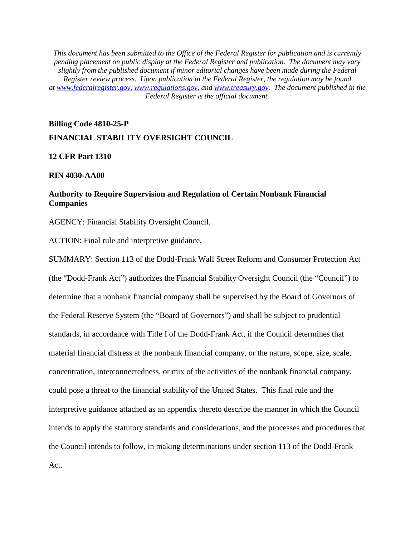*This document has been submitted to the Office of the Federal Register for publication and is currently pending placement on public display at the Federal Register and publication. The document may vary slightly from the published document if minor editorial changes have been made during the Federal Register review process. Upon publication in the Federal Register, the regulation may be found at [www.federalregister.gov,](http://www.federalregister.gov/) [www.regulations.gov,](http://www.regulations.gov/) and [www.treasury.gov.](http://www.treasury.gov/) The document published in the Federal Register is the official document.*

# **Billing Code 4810-25-P FINANCIAL STABILITY OVERSIGHT COUNCIL**

# **12 CFR Part 1310**

#### **RIN 4030-AA00**

# **Authority to Require Supervision and Regulation of Certain Nonbank Financial Companies**

AGENCY: Financial Stability Oversight Council.

ACTION: Final rule and interpretive guidance.

<span id="page-0-0"></span>SUMMARY: Section 113 of the Dodd-Frank Wall Street Reform and Consumer Protection Act (the "Dodd-Frank Act") authorizes the Financial Stability Oversight Council (the "Council") to determine that a nonbank financial company shall be supervised by the Board of Governors of the Federal Reserve System (the "Board of Governors") and shall be subject to prudential standards, in accordance with Title I of the Dodd-Frank Act, if the Council determines that material financial distress at the nonbank financial company, or the nature, scope, size, scale, concentration, interconnectedness, or mix of the activities of the nonbank financial company, could pose a threat to the financial stability of the United States. This final rule and the interpretive guidance attached as an appendix thereto describe the manner in which the Council intends to apply the statutory standards and considerations, and the processes and procedures that the Council intends to follow, in making determinations under section 113 of the Dodd-Frank Act.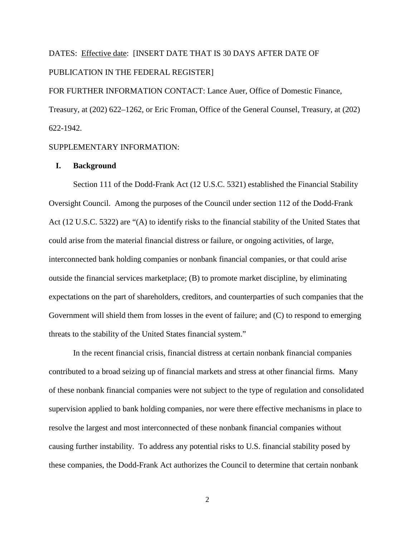# DATES: Effective date: [INSERT DATE THAT IS 30 DAYS AFTER DATE OF PUBLICATION IN THE FEDERAL REGISTER]

FOR FURTHER INFORMATION CONTACT: Lance Auer, Office of Domestic Finance, Treasury, at (202) 622–1262, or Eric Froman, Office of the General Counsel, Treasury, at (202) 622-1942.

# SUPPLEMENTARY INFORMATION:

#### **I. Background**

Section 111 of the Dodd-Frank Act (12 U.S.C. 5321) established the Financial Stability Oversight Council. Among the purposes of the Council under section 112 of the Dodd-Frank Act (12 U.S.C. 5322) are "(A) to identify risks to the financial stability of the United States that could arise from the material financial distress or failure, or ongoing activities, of large, interconnected bank holding companies or nonbank financial companies, or that could arise outside the financial services marketplace; (B) to promote market discipline, by eliminating expectations on the part of shareholders, creditors, and counterparties of such companies that the Government will shield them from losses in the event of failure; and (C) to respond to emerging threats to the stability of the United States financial system."

In the recent financial crisis, financial distress at certain nonbank financial companies contributed to a broad seizing up of financial markets and stress at other financial firms. Many of these nonbank financial companies were not subject to the type of regulation and consolidated supervision applied to bank holding companies, nor were there effective mechanisms in place to resolve the largest and most interconnected of these nonbank financial companies without causing further instability. To address any potential risks to U.S. financial stability posed by these companies, the Dodd-Frank Act authorizes the Council to determine that certain nonbank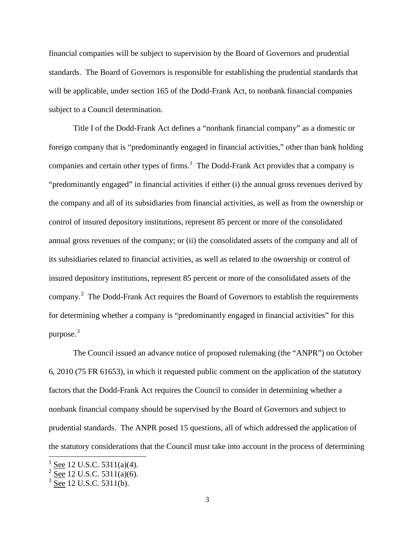financial companies will be subject to supervision by the Board of Governors and prudential standards. The Board of Governors is responsible for establishing the prudential standards that will be applicable, under section 165 of the Dodd-Frank Act, to nonbank financial companies subject to a Council determination.

Title I of the Dodd-Frank Act defines a "nonbank financial company" as a domestic or foreign company that is "predominantly engaged in financial activities," other than bank holding companies and certain other types of firms. $<sup>1</sup>$  $<sup>1</sup>$  $<sup>1</sup>$  The Dodd-Frank Act provides that a company is</sup> "predominantly engaged" in financial activities if either (i) the annual gross revenues derived by the company and all of its subsidiaries from financial activities, as well as from the ownership or control of insured depository institutions, represent 85 percent or more of the consolidated annual gross revenues of the company; or (ii) the consolidated assets of the company and all of its subsidiaries related to financial activities, as well as related to the ownership or control of insured depository institutions, represent 85 percent or more of the consolidated assets of the company.<sup>[2](#page-2-0)</sup> The Dodd-Frank Act requires the Board of Governors to establish the requirements for determining whether a company is "predominantly engaged in financial activities" for this purpose. $3$ 

<span id="page-2-2"></span>The Council issued an advance notice of proposed rulemaking (the "ANPR") on October 6, 2010 (75 FR 61653), in which it requested public comment on the application of the statutory factors that the Dodd-Frank Act requires the Council to consider in determining whether a nonbank financial company should be supervised by the Board of Governors and subject to prudential standards. The ANPR posed 15 questions, all of which addressed the application of the statutory considerations that the Council must take into account in the process of determining

See 12 U.S.C. 5311(a)(4).

<span id="page-2-0"></span>See 12 U.S.C. 5311(a)(6).

<span id="page-2-1"></span> $3$  See 12 U.S.C. 5311(b).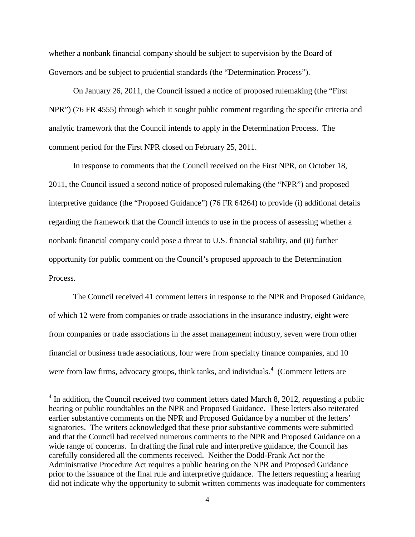whether a nonbank financial company should be subject to supervision by the Board of Governors and be subject to prudential standards (the "Determination Process").

On January 26, 2011, the Council issued a notice of proposed rulemaking (the "First NPR") (76 FR 4555) through which it sought public comment regarding the specific criteria and analytic framework that the Council intends to apply in the Determination Process. The comment period for the First NPR closed on February 25, 2011.

In response to comments that the Council received on the First NPR, on October 18, 2011, the Council issued a second notice of proposed rulemaking (the "NPR") and proposed interpretive guidance (the "Proposed Guidance") (76 FR 64264) to provide (i) additional details regarding the framework that the Council intends to use in the process of assessing whether a nonbank financial company could pose a threat to U.S. financial stability, and (ii) further opportunity for public comment on the Council's proposed approach to the Determination Process.

The Council received 41 comment letters in response to the NPR and Proposed Guidance, of which 12 were from companies or trade associations in the insurance industry, eight were from companies or trade associations in the asset management industry, seven were from other financial or business trade associations, four were from specialty finance companies, and 10 were from law firms, advocacy groups, think tanks, and individuals.<sup>[4](#page-2-2)</sup> (Comment letters are

<span id="page-3-0"></span> $4 \text{ In addition, the Council received two comment letters dated March 8, 2012, requesting a public.}$ hearing or public roundtables on the NPR and Proposed Guidance. These letters also reiterated earlier substantive comments on the NPR and Proposed Guidance by a number of the letters' signatories. The writers acknowledged that these prior substantive comments were submitted and that the Council had received numerous comments to the NPR and Proposed Guidance on a wide range of concerns. In drafting the final rule and interpretive guidance, the Council has carefully considered all the comments received. Neither the Dodd-Frank Act nor the Administrative Procedure Act requires a public hearing on the NPR and Proposed Guidance prior to the issuance of the final rule and interpretive guidance. The letters requesting a hearing did not indicate why the opportunity to submit written comments was inadequate for commenters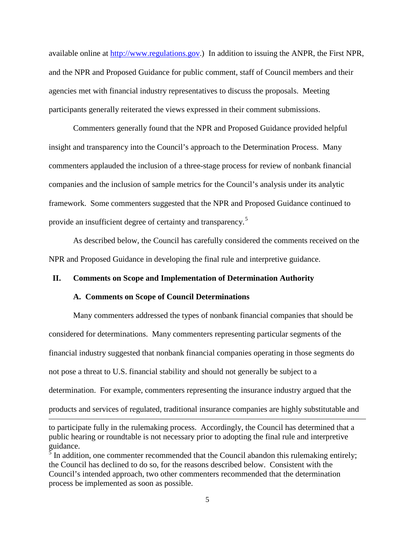available online at [http://www.regulations.gov.](http://www.regulations.gov/)) In addition to issuing the ANPR, the First NPR, and the NPR and Proposed Guidance for public comment, staff of Council members and their agencies met with financial industry representatives to discuss the proposals. Meeting participants generally reiterated the views expressed in their comment submissions.

Commenters generally found that the NPR and Proposed Guidance provided helpful insight and transparency into the Council's approach to the Determination Process. Many commenters applauded the inclusion of a three-stage process for review of nonbank financial companies and the inclusion of sample metrics for the Council's analysis under its analytic framework. Some commenters suggested that the NPR and Proposed Guidance continued to provide an insufficient degree of certainty and transparency.<sup>[5](#page-3-0)</sup>

As described below, the Council has carefully considered the comments received on the NPR and Proposed Guidance in developing the final rule and interpretive guidance.

# **II. Comments on Scope and Implementation of Determination Authority**

#### **A. Comments on Scope of Council Determinations**

<span id="page-4-0"></span> $\overline{a}$ 

Many commenters addressed the types of nonbank financial companies that should be considered for determinations. Many commenters representing particular segments of the financial industry suggested that nonbank financial companies operating in those segments do not pose a threat to U.S. financial stability and should not generally be subject to a determination. For example, commenters representing the insurance industry argued that the products and services of regulated, traditional insurance companies are highly substitutable and

to participate fully in the rulemaking process. Accordingly, the Council has determined that a public hearing or roundtable is not necessary prior to adopting the final rule and interpretive guidance.

 $\overline{5}$  In addition, one commenter recommended that the Council abandon this rulemaking entirely; the Council has declined to do so, for the reasons described below. Consistent with the Council's intended approach, two other commenters recommended that the determination process be implemented as soon as possible.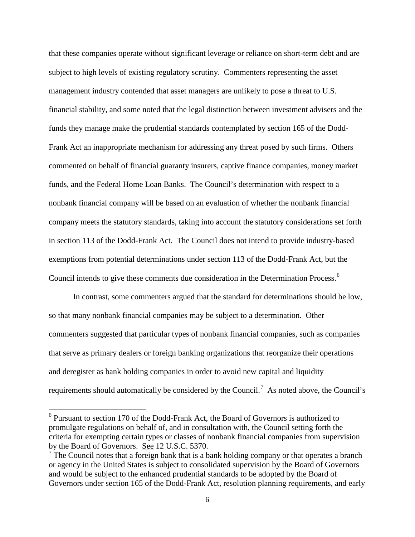that these companies operate without significant leverage or reliance on short-term debt and are subject to high levels of existing regulatory scrutiny. Commenters representing the asset management industry contended that asset managers are unlikely to pose a threat to U.S. financial stability, and some noted that the legal distinction between investment advisers and the funds they manage make the prudential standards contemplated by section 165 of the Dodd-Frank Act an inappropriate mechanism for addressing any threat posed by such firms. Others commented on behalf of financial guaranty insurers, captive finance companies, money market funds, and the Federal Home Loan Banks. The Council's determination with respect to a nonbank financial company will be based on an evaluation of whether the nonbank financial company meets the statutory standards, taking into account the statutory considerations set forth in section 113 of the Dodd-Frank Act. The Council does not intend to provide industry-based exemptions from potential determinations under section 113 of the Dodd-Frank Act, but the Council intends to give these comments due consideration in the Determination Process.<sup>[6](#page-4-0)</sup>

In contrast, some commenters argued that the standard for determinations should be low, so that many nonbank financial companies may be subject to a determination. Other commenters suggested that particular types of nonbank financial companies, such as companies that serve as primary dealers or foreign banking organizations that reorganize their operations and deregister as bank holding companies in order to avoid new capital and liquidity requirements should automatically be considered by the Council.<sup>[7](#page-5-0)</sup> As noted above, the Council's

 <sup>6</sup> Pursuant to section 170 of the Dodd-Frank Act, the Board of Governors is authorized to promulgate regulations on behalf of, and in consultation with, the Council setting forth the criteria for exempting certain types or classes of nonbank financial companies from supervision by the Board of Governors. See 12 U.S.C. 5370.

<span id="page-5-1"></span><span id="page-5-0"></span> $\overline{7}$  The Council notes that a foreign bank that is a bank holding company or that operates a branch or agency in the United States is subject to consolidated supervision by the Board of Governors and would be subject to the enhanced prudential standards to be adopted by the Board of Governors under section 165 of the Dodd-Frank Act, resolution planning requirements, and early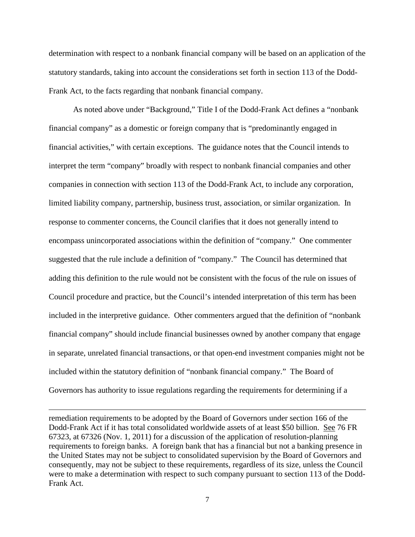determination with respect to a nonbank financial company will be based on an application of the statutory standards, taking into account the considerations set forth in section 113 of the Dodd-Frank Act, to the facts regarding that nonbank financial company.

As noted above under "Background," Title I of the Dodd-Frank Act defines a "nonbank financial company" as a domestic or foreign company that is "predominantly engaged in financial activities," with certain exceptions. The guidance notes that the Council intends to interpret the term "company" broadly with respect to nonbank financial companies and other companies in connection with section 113 of the Dodd-Frank Act, to include any corporation, limited liability company, partnership, business trust, association, or similar organization. In response to commenter concerns, the Council clarifies that it does not generally intend to encompass unincorporated associations within the definition of "company." One commenter suggested that the rule include a definition of "company." The Council has determined that adding this definition to the rule would not be consistent with the focus of the rule on issues of Council procedure and practice, but the Council's intended interpretation of this term has been included in the interpretive guidance. Other commenters argued that the definition of "nonbank financial company" should include financial businesses owned by another company that engage in separate, unrelated financial transactions, or that open-end investment companies might not be included within the statutory definition of "nonbank financial company." The Board of Governors has authority to issue regulations regarding the requirements for determining if a

remediation requirements to be adopted by the Board of Governors under section 166 of the Dodd-Frank Act if it has total consolidated worldwide assets of at least \$50 billion. See 76 FR 67323, at 67326 (Nov. 1, 2011) for a discussion of the application of resolution-planning requirements to foreign banks. A foreign bank that has a financial but not a banking presence in the United States may not be subject to consolidated supervision by the Board of Governors and consequently, may not be subject to these requirements, regardless of its size, unless the Council were to make a determination with respect to such company pursuant to section 113 of the Dodd-Frank Act.

 $\overline{a}$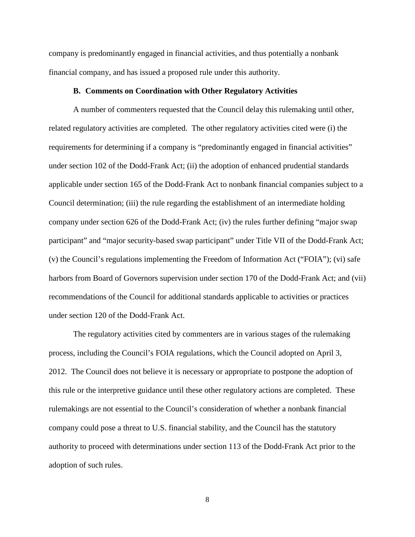company is predominantly engaged in financial activities, and thus potentially a nonbank financial company, and has issued a proposed rule under this authority.

#### **B. Comments on Coordination with Other Regulatory Activities**

A number of commenters requested that the Council delay this rulemaking until other, related regulatory activities are completed. The other regulatory activities cited were (i) the requirements for determining if a company is "predominantly engaged in financial activities" under section 102 of the Dodd-Frank Act; (ii) the adoption of enhanced prudential standards applicable under section 165 of the Dodd-Frank Act to nonbank financial companies subject to a Council determination; (iii) the rule regarding the establishment of an intermediate holding company under section 626 of the Dodd-Frank Act; (iv) the rules further defining "major swap participant" and "major security-based swap participant" under Title VII of the Dodd-Frank Act; (v) the Council's regulations implementing the Freedom of Information Act ("FOIA"); (vi) safe harbors from Board of Governors supervision under section 170 of the Dodd-Frank Act; and (vii) recommendations of the Council for additional standards applicable to activities or practices under section 120 of the Dodd-Frank Act.

The regulatory activities cited by commenters are in various stages of the rulemaking process, including the Council's FOIA regulations, which the Council adopted on April 3, 2012. The Council does not believe it is necessary or appropriate to postpone the adoption of this rule or the interpretive guidance until these other regulatory actions are completed. These rulemakings are not essential to the Council's consideration of whether a nonbank financial company could pose a threat to U.S. financial stability, and the Council has the statutory authority to proceed with determinations under section 113 of the Dodd-Frank Act prior to the adoption of such rules.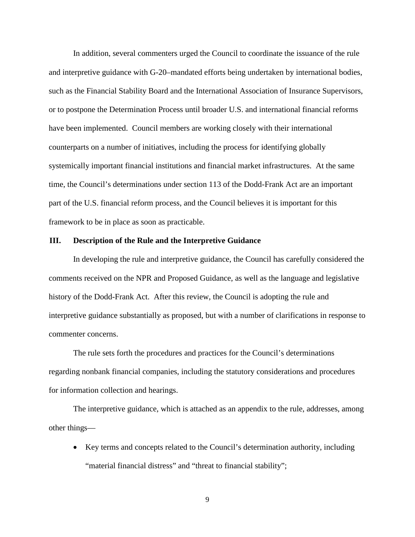In addition, several commenters urged the Council to coordinate the issuance of the rule and interpretive guidance with G-20–mandated efforts being undertaken by international bodies, such as the Financial Stability Board and the International Association of Insurance Supervisors, or to postpone the Determination Process until broader U.S. and international financial reforms have been implemented. Council members are working closely with their international counterparts on a number of initiatives, including the process for identifying globally systemically important financial institutions and financial market infrastructures. At the same time, the Council's determinations under section 113 of the Dodd-Frank Act are an important part of the U.S. financial reform process, and the Council believes it is important for this framework to be in place as soon as practicable.

# **III. Description of the Rule and the Interpretive Guidance**

In developing the rule and interpretive guidance, the Council has carefully considered the comments received on the NPR and Proposed Guidance, as well as the language and legislative history of the Dodd-Frank Act. After this review, the Council is adopting the rule and interpretive guidance substantially as proposed, but with a number of clarifications in response to commenter concerns.

The rule sets forth the procedures and practices for the Council's determinations regarding nonbank financial companies, including the statutory considerations and procedures for information collection and hearings.

The interpretive guidance, which is attached as an appendix to the rule, addresses, among other things—

• Key terms and concepts related to the Council's determination authority, including "material financial distress" and "threat to financial stability";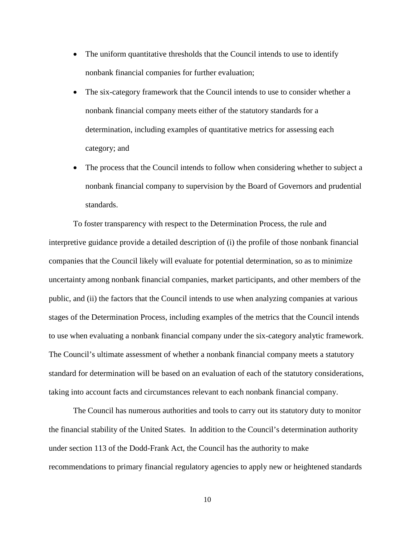- The uniform quantitative thresholds that the Council intends to use to identify nonbank financial companies for further evaluation;
- The six-category framework that the Council intends to use to consider whether a nonbank financial company meets either of the statutory standards for a determination, including examples of quantitative metrics for assessing each category; and
- The process that the Council intends to follow when considering whether to subject a nonbank financial company to supervision by the Board of Governors and prudential standards.

To foster transparency with respect to the Determination Process, the rule and interpretive guidance provide a detailed description of (i) the profile of those nonbank financial companies that the Council likely will evaluate for potential determination, so as to minimize uncertainty among nonbank financial companies, market participants, and other members of the public, and (ii) the factors that the Council intends to use when analyzing companies at various stages of the Determination Process, including examples of the metrics that the Council intends to use when evaluating a nonbank financial company under the six-category analytic framework. The Council's ultimate assessment of whether a nonbank financial company meets a statutory standard for determination will be based on an evaluation of each of the statutory considerations, taking into account facts and circumstances relevant to each nonbank financial company.

The Council has numerous authorities and tools to carry out its statutory duty to monitor the financial stability of the United States. In addition to the Council's determination authority under section 113 of the Dodd-Frank Act, the Council has the authority to make recommendations to primary financial regulatory agencies to apply new or heightened standards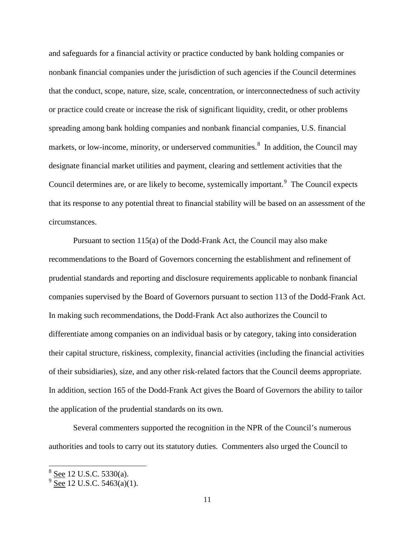and safeguards for a financial activity or practice conducted by bank holding companies or nonbank financial companies under the jurisdiction of such agencies if the Council determines that the conduct, scope, nature, size, scale, concentration, or interconnectedness of such activity or practice could create or increase the risk of significant liquidity, credit, or other problems spreading among bank holding companies and nonbank financial companies, U.S. financial markets, or low-income, minority, or underserved communities.<sup>[8](#page-5-1)</sup> In addition, the Council may designate financial market utilities and payment, clearing and settlement activities that the Council determines are, or are likely to become, systemically important.<sup>[9](#page-10-0)</sup> The Council expects that its response to any potential threat to financial stability will be based on an assessment of the circumstances.

Pursuant to section 115(a) of the Dodd-Frank Act, the Council may also make recommendations to the Board of Governors concerning the establishment and refinement of prudential standards and reporting and disclosure requirements applicable to nonbank financial companies supervised by the Board of Governors pursuant to section 113 of the Dodd-Frank Act. In making such recommendations, the Dodd-Frank Act also authorizes the Council to differentiate among companies on an individual basis or by category, taking into consideration their capital structure, riskiness, complexity, financial activities (including the financial activities of their subsidiaries), size, and any other risk-related factors that the Council deems appropriate. In addition, section 165 of the Dodd-Frank Act gives the Board of Governors the ability to tailor the application of the prudential standards on its own.

Several commenters supported the recognition in the NPR of the Council's numerous authorities and tools to carry out its statutory duties. Commenters also urged the Council to

<span id="page-10-1"></span> $8\frac{\text{See}}{\text{2}}$  12 U.S.C. 5330(a).

<span id="page-10-0"></span> $9\overline{See}$  12 U.S.C. 5463(a)(1).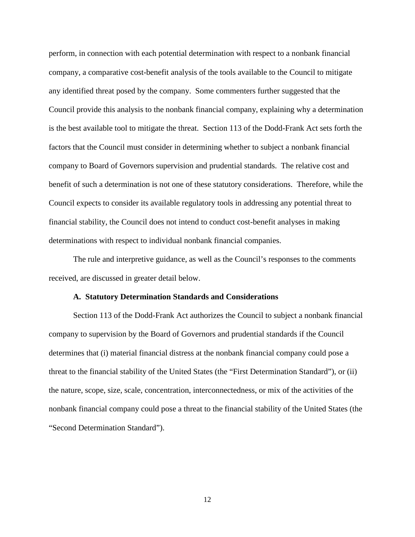perform, in connection with each potential determination with respect to a nonbank financial company, a comparative cost-benefit analysis of the tools available to the Council to mitigate any identified threat posed by the company. Some commenters further suggested that the Council provide this analysis to the nonbank financial company, explaining why a determination is the best available tool to mitigate the threat. Section 113 of the Dodd-Frank Act sets forth the factors that the Council must consider in determining whether to subject a nonbank financial company to Board of Governors supervision and prudential standards. The relative cost and benefit of such a determination is not one of these statutory considerations. Therefore, while the Council expects to consider its available regulatory tools in addressing any potential threat to financial stability, the Council does not intend to conduct cost-benefit analyses in making determinations with respect to individual nonbank financial companies.

The rule and interpretive guidance, as well as the Council's responses to the comments received, are discussed in greater detail below.

#### **A. Statutory Determination Standards and Considerations**

Section 113 of the Dodd-Frank Act authorizes the Council to subject a nonbank financial company to supervision by the Board of Governors and prudential standards if the Council determines that (i) material financial distress at the nonbank financial company could pose a threat to the financial stability of the United States (the "First Determination Standard"), or (ii) the nature, scope, size, scale, concentration, interconnectedness, or mix of the activities of the nonbank financial company could pose a threat to the financial stability of the United States (the "Second Determination Standard").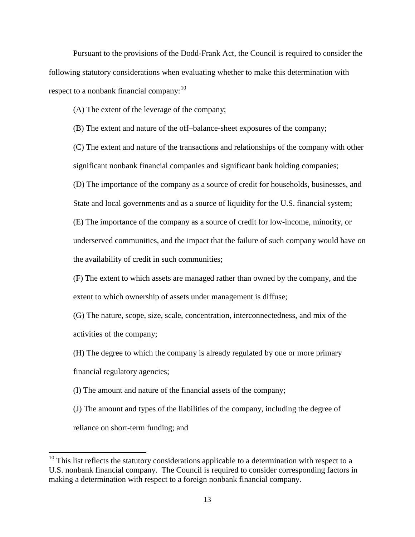Pursuant to the provisions of the Dodd-Frank Act, the Council is required to consider the following statutory considerations when evaluating whether to make this determination with respect to a nonbank financial company:  $10$ 

(A) The extent of the leverage of the company;

(B) The extent and nature of the off–balance-sheet exposures of the company;

(C) The extent and nature of the transactions and relationships of the company with other significant nonbank financial companies and significant bank holding companies;

(D) The importance of the company as a source of credit for households, businesses, and

State and local governments and as a source of liquidity for the U.S. financial system;

(E) The importance of the company as a source of credit for low-income, minority, or

underserved communities, and the impact that the failure of such company would have on

the availability of credit in such communities;

(F) The extent to which assets are managed rather than owned by the company, and the extent to which ownership of assets under management is diffuse;

(G) The nature, scope, size, scale, concentration, interconnectedness, and mix of the activities of the company;

(H) The degree to which the company is already regulated by one or more primary financial regulatory agencies;

(I) The amount and nature of the financial assets of the company;

(J) The amount and types of the liabilities of the company, including the degree of reliance on short-term funding; and

<span id="page-12-0"></span> $10$  This list reflects the statutory considerations applicable to a determination with respect to a U.S. nonbank financial company. The Council is required to consider corresponding factors in making a determination with respect to a foreign nonbank financial company.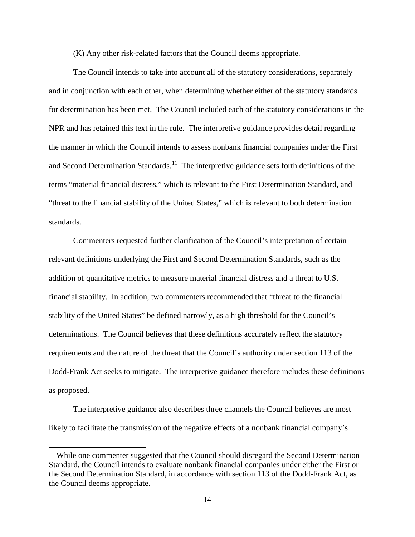(K) Any other risk-related factors that the Council deems appropriate.

The Council intends to take into account all of the statutory considerations, separately and in conjunction with each other, when determining whether either of the statutory standards for determination has been met. The Council included each of the statutory considerations in the NPR and has retained this text in the rule. The interpretive guidance provides detail regarding the manner in which the Council intends to assess nonbank financial companies under the First and Second Determination Standards.<sup>11</sup> The interpretive guidance sets forth definitions of the terms "material financial distress," which is relevant to the First Determination Standard, and "threat to the financial stability of the United States," which is relevant to both determination standards.

Commenters requested further clarification of the Council's interpretation of certain relevant definitions underlying the First and Second Determination Standards, such as the addition of quantitative metrics to measure material financial distress and a threat to U.S. financial stability. In addition, two commenters recommended that "threat to the financial stability of the United States" be defined narrowly, as a high threshold for the Council's determinations. The Council believes that these definitions accurately reflect the statutory requirements and the nature of the threat that the Council's authority under section 113 of the Dodd-Frank Act seeks to mitigate. The interpretive guidance therefore includes these definitions as proposed.

The interpretive guidance also describes three channels the Council believes are most likely to facilitate the transmission of the negative effects of a nonbank financial company's

<span id="page-13-0"></span><sup>&</sup>lt;sup>11</sup> While one commenter suggested that the Council should disregard the Second Determination Standard, the Council intends to evaluate nonbank financial companies under either the First or the Second Determination Standard, in accordance with section 113 of the Dodd-Frank Act, as the Council deems appropriate.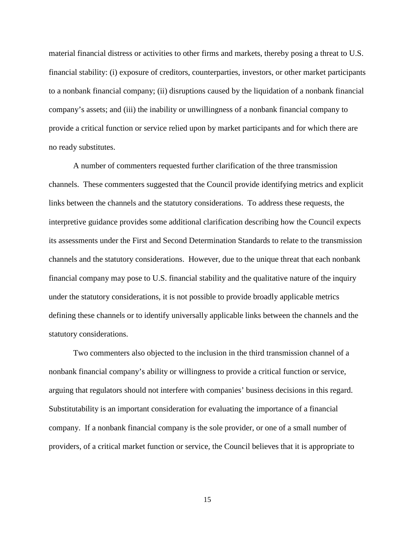material financial distress or activities to other firms and markets, thereby posing a threat to U.S. financial stability: (i) exposure of creditors, counterparties, investors, or other market participants to a nonbank financial company; (ii) disruptions caused by the liquidation of a nonbank financial company's assets; and (iii) the inability or unwillingness of a nonbank financial company to provide a critical function or service relied upon by market participants and for which there are no ready substitutes.

A number of commenters requested further clarification of the three transmission channels. These commenters suggested that the Council provide identifying metrics and explicit links between the channels and the statutory considerations. To address these requests, the interpretive guidance provides some additional clarification describing how the Council expects its assessments under the First and Second Determination Standards to relate to the transmission channels and the statutory considerations. However, due to the unique threat that each nonbank financial company may pose to U.S. financial stability and the qualitative nature of the inquiry under the statutory considerations, it is not possible to provide broadly applicable metrics defining these channels or to identify universally applicable links between the channels and the statutory considerations.

Two commenters also objected to the inclusion in the third transmission channel of a nonbank financial company's ability or willingness to provide a critical function or service, arguing that regulators should not interfere with companies' business decisions in this regard. Substitutability is an important consideration for evaluating the importance of a financial company. If a nonbank financial company is the sole provider, or one of a small number of providers, of a critical market function or service, the Council believes that it is appropriate to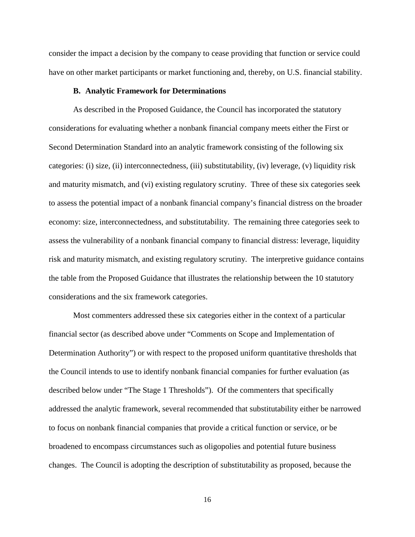consider the impact a decision by the company to cease providing that function or service could have on other market participants or market functioning and, thereby, on U.S. financial stability.

# **B. Analytic Framework for Determinations**

As described in the Proposed Guidance, the Council has incorporated the statutory considerations for evaluating whether a nonbank financial company meets either the First or Second Determination Standard into an analytic framework consisting of the following six categories: (i) size, (ii) interconnectedness, (iii) substitutability, (iv) leverage, (v) liquidity risk and maturity mismatch, and (vi) existing regulatory scrutiny. Three of these six categories seek to assess the potential impact of a nonbank financial company's financial distress on the broader economy: size, interconnectedness, and substitutability. The remaining three categories seek to assess the vulnerability of a nonbank financial company to financial distress: leverage, liquidity risk and maturity mismatch, and existing regulatory scrutiny. The interpretive guidance contains the table from the Proposed Guidance that illustrates the relationship between the 10 statutory considerations and the six framework categories.

Most commenters addressed these six categories either in the context of a particular financial sector (as described above under "Comments on Scope and Implementation of Determination Authority") or with respect to the proposed uniform quantitative thresholds that the Council intends to use to identify nonbank financial companies for further evaluation (as described below under "The Stage 1 Thresholds"). Of the commenters that specifically addressed the analytic framework, several recommended that substitutability either be narrowed to focus on nonbank financial companies that provide a critical function or service, or be broadened to encompass circumstances such as oligopolies and potential future business changes. The Council is adopting the description of substitutability as proposed, because the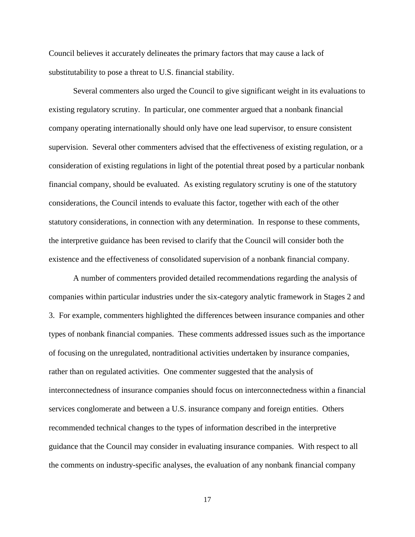Council believes it accurately delineates the primary factors that may cause a lack of substitutability to pose a threat to U.S. financial stability.

Several commenters also urged the Council to give significant weight in its evaluations to existing regulatory scrutiny. In particular, one commenter argued that a nonbank financial company operating internationally should only have one lead supervisor, to ensure consistent supervision. Several other commenters advised that the effectiveness of existing regulation, or a consideration of existing regulations in light of the potential threat posed by a particular nonbank financial company, should be evaluated. As existing regulatory scrutiny is one of the statutory considerations, the Council intends to evaluate this factor, together with each of the other statutory considerations, in connection with any determination. In response to these comments, the interpretive guidance has been revised to clarify that the Council will consider both the existence and the effectiveness of consolidated supervision of a nonbank financial company.

A number of commenters provided detailed recommendations regarding the analysis of companies within particular industries under the six-category analytic framework in Stages 2 and 3. For example, commenters highlighted the differences between insurance companies and other types of nonbank financial companies. These comments addressed issues such as the importance of focusing on the unregulated, nontraditional activities undertaken by insurance companies, rather than on regulated activities. One commenter suggested that the analysis of interconnectedness of insurance companies should focus on interconnectedness within a financial services conglomerate and between a U.S. insurance company and foreign entities. Others recommended technical changes to the types of information described in the interpretive guidance that the Council may consider in evaluating insurance companies. With respect to all the comments on industry-specific analyses, the evaluation of any nonbank financial company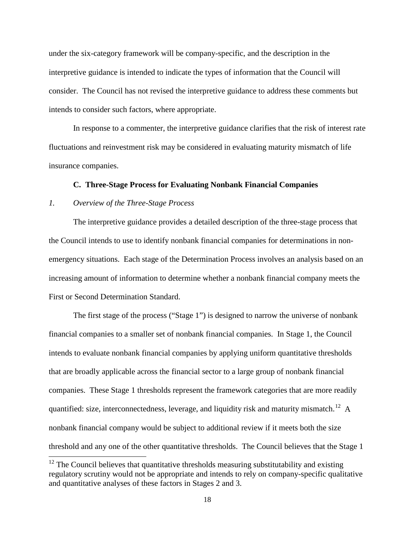under the six-category framework will be company-specific, and the description in the interpretive guidance is intended to indicate the types of information that the Council will consider. The Council has not revised the interpretive guidance to address these comments but intends to consider such factors, where appropriate.

In response to a commenter, the interpretive guidance clarifies that the risk of interest rate fluctuations and reinvestment risk may be considered in evaluating maturity mismatch of life insurance companies.

# **C. Three-Stage Process for Evaluating Nonbank Financial Companies**

# *1. Overview of the Three-Stage Process*

The interpretive guidance provides a detailed description of the three-stage process that the Council intends to use to identify nonbank financial companies for determinations in nonemergency situations. Each stage of the Determination Process involves an analysis based on an increasing amount of information to determine whether a nonbank financial company meets the First or Second Determination Standard.

The first stage of the process ("Stage 1") is designed to narrow the universe of nonbank financial companies to a smaller set of nonbank financial companies. In Stage 1, the Council intends to evaluate nonbank financial companies by applying uniform quantitative thresholds that are broadly applicable across the financial sector to a large group of nonbank financial companies. These Stage 1 thresholds represent the framework categories that are more readily quantified: size, interconnectedness, leverage, and liquidity risk and maturity mismatch.<sup>12</sup> A nonbank financial company would be subject to additional review if it meets both the size threshold and any one of the other quantitative thresholds. The Council believes that the Stage 1

<span id="page-17-0"></span> $12$  The Council believes that quantitative thresholds measuring substitutability and existing regulatory scrutiny would not be appropriate and intends to rely on company-specific qualitative and quantitative analyses of these factors in Stages 2 and 3.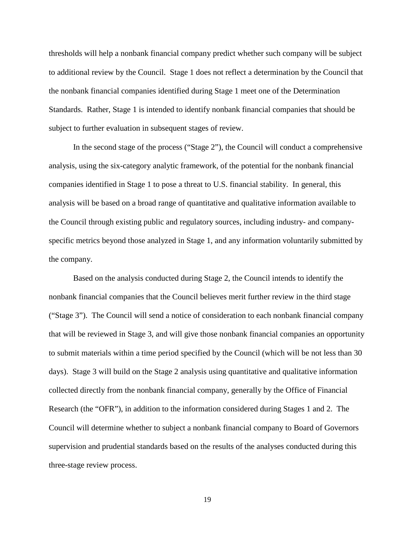thresholds will help a nonbank financial company predict whether such company will be subject to additional review by the Council. Stage 1 does not reflect a determination by the Council that the nonbank financial companies identified during Stage 1 meet one of the Determination Standards. Rather, Stage 1 is intended to identify nonbank financial companies that should be subject to further evaluation in subsequent stages of review.

In the second stage of the process ("Stage 2"), the Council will conduct a comprehensive analysis, using the six-category analytic framework, of the potential for the nonbank financial companies identified in Stage 1 to pose a threat to U.S. financial stability. In general, this analysis will be based on a broad range of quantitative and qualitative information available to the Council through existing public and regulatory sources, including industry- and companyspecific metrics beyond those analyzed in Stage 1, and any information voluntarily submitted by the company.

Based on the analysis conducted during Stage 2, the Council intends to identify the nonbank financial companies that the Council believes merit further review in the third stage ("Stage 3"). The Council will send a notice of consideration to each nonbank financial company that will be reviewed in Stage 3, and will give those nonbank financial companies an opportunity to submit materials within a time period specified by the Council (which will be not less than 30 days). Stage 3 will build on the Stage 2 analysis using quantitative and qualitative information collected directly from the nonbank financial company, generally by the Office of Financial Research (the "OFR"), in addition to the information considered during Stages 1 and 2. The Council will determine whether to subject a nonbank financial company to Board of Governors supervision and prudential standards based on the results of the analyses conducted during this three-stage review process.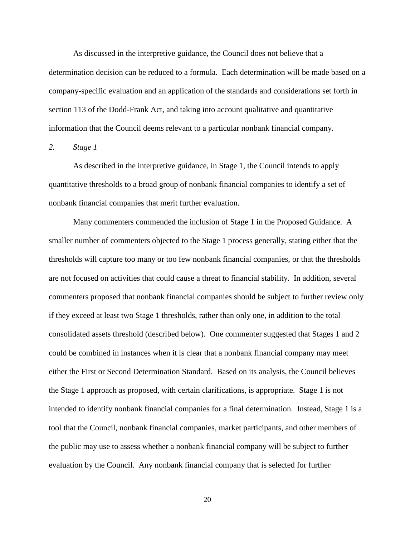As discussed in the interpretive guidance, the Council does not believe that a determination decision can be reduced to a formula. Each determination will be made based on a company-specific evaluation and an application of the standards and considerations set forth in section 113 of the Dodd-Frank Act, and taking into account qualitative and quantitative information that the Council deems relevant to a particular nonbank financial company.

*2. Stage 1*

As described in the interpretive guidance, in Stage 1, the Council intends to apply quantitative thresholds to a broad group of nonbank financial companies to identify a set of nonbank financial companies that merit further evaluation.

Many commenters commended the inclusion of Stage 1 in the Proposed Guidance. A smaller number of commenters objected to the Stage 1 process generally, stating either that the thresholds will capture too many or too few nonbank financial companies, or that the thresholds are not focused on activities that could cause a threat to financial stability. In addition, several commenters proposed that nonbank financial companies should be subject to further review only if they exceed at least two Stage 1 thresholds, rather than only one, in addition to the total consolidated assets threshold (described below). One commenter suggested that Stages 1 and 2 could be combined in instances when it is clear that a nonbank financial company may meet either the First or Second Determination Standard. Based on its analysis, the Council believes the Stage 1 approach as proposed, with certain clarifications, is appropriate. Stage 1 is not intended to identify nonbank financial companies for a final determination. Instead, Stage 1 is a tool that the Council, nonbank financial companies, market participants, and other members of the public may use to assess whether a nonbank financial company will be subject to further evaluation by the Council. Any nonbank financial company that is selected for further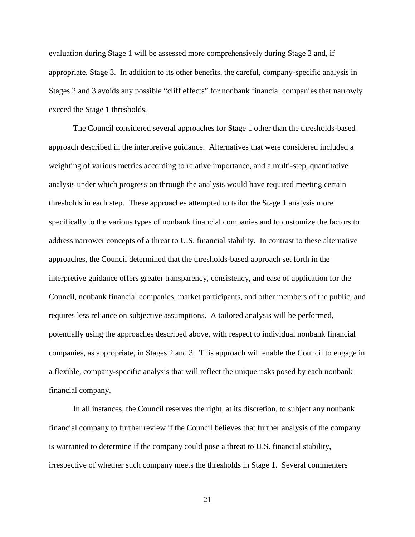evaluation during Stage 1 will be assessed more comprehensively during Stage 2 and, if appropriate, Stage 3. In addition to its other benefits, the careful, company-specific analysis in Stages 2 and 3 avoids any possible "cliff effects" for nonbank financial companies that narrowly exceed the Stage 1 thresholds.

The Council considered several approaches for Stage 1 other than the thresholds-based approach described in the interpretive guidance. Alternatives that were considered included a weighting of various metrics according to relative importance, and a multi-step, quantitative analysis under which progression through the analysis would have required meeting certain thresholds in each step. These approaches attempted to tailor the Stage 1 analysis more specifically to the various types of nonbank financial companies and to customize the factors to address narrower concepts of a threat to U.S. financial stability. In contrast to these alternative approaches, the Council determined that the thresholds-based approach set forth in the interpretive guidance offers greater transparency, consistency, and ease of application for the Council, nonbank financial companies, market participants, and other members of the public, and requires less reliance on subjective assumptions. A tailored analysis will be performed, potentially using the approaches described above, with respect to individual nonbank financial companies, as appropriate, in Stages 2 and 3. This approach will enable the Council to engage in a flexible, company-specific analysis that will reflect the unique risks posed by each nonbank financial company.

In all instances, the Council reserves the right, at its discretion, to subject any nonbank financial company to further review if the Council believes that further analysis of the company is warranted to determine if the company could pose a threat to U.S. financial stability, irrespective of whether such company meets the thresholds in Stage 1. Several commenters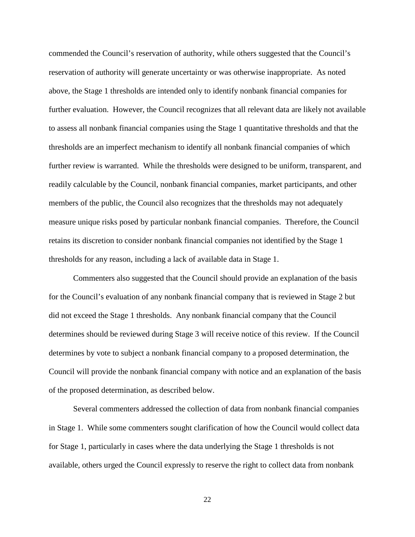commended the Council's reservation of authority, while others suggested that the Council's reservation of authority will generate uncertainty or was otherwise inappropriate. As noted above, the Stage 1 thresholds are intended only to identify nonbank financial companies for further evaluation. However, the Council recognizes that all relevant data are likely not available to assess all nonbank financial companies using the Stage 1 quantitative thresholds and that the thresholds are an imperfect mechanism to identify all nonbank financial companies of which further review is warranted. While the thresholds were designed to be uniform, transparent, and readily calculable by the Council, nonbank financial companies, market participants, and other members of the public, the Council also recognizes that the thresholds may not adequately measure unique risks posed by particular nonbank financial companies. Therefore, the Council retains its discretion to consider nonbank financial companies not identified by the Stage 1 thresholds for any reason, including a lack of available data in Stage 1.

Commenters also suggested that the Council should provide an explanation of the basis for the Council's evaluation of any nonbank financial company that is reviewed in Stage 2 but did not exceed the Stage 1 thresholds. Any nonbank financial company that the Council determines should be reviewed during Stage 3 will receive notice of this review. If the Council determines by vote to subject a nonbank financial company to a proposed determination, the Council will provide the nonbank financial company with notice and an explanation of the basis of the proposed determination, as described below.

Several commenters addressed the collection of data from nonbank financial companies in Stage 1. While some commenters sought clarification of how the Council would collect data for Stage 1, particularly in cases where the data underlying the Stage 1 thresholds is not available, others urged the Council expressly to reserve the right to collect data from nonbank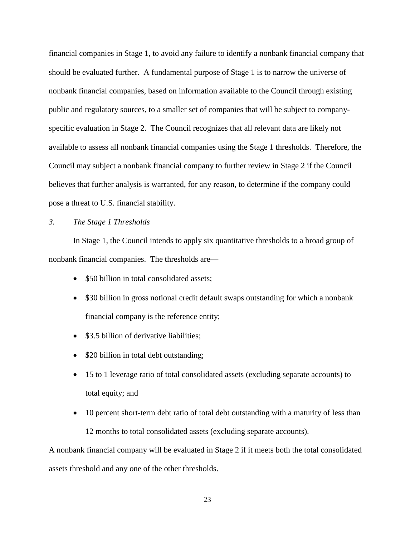financial companies in Stage 1, to avoid any failure to identify a nonbank financial company that should be evaluated further. A fundamental purpose of Stage 1 is to narrow the universe of nonbank financial companies, based on information available to the Council through existing public and regulatory sources, to a smaller set of companies that will be subject to companyspecific evaluation in Stage 2. The Council recognizes that all relevant data are likely not available to assess all nonbank financial companies using the Stage 1 thresholds. Therefore, the Council may subject a nonbank financial company to further review in Stage 2 if the Council believes that further analysis is warranted, for any reason, to determine if the company could pose a threat to U.S. financial stability.

# *3. The Stage 1 Thresholds*

In Stage 1, the Council intends to apply six quantitative thresholds to a broad group of nonbank financial companies. The thresholds are—

- \$50 billion in total consolidated assets;
- \$30 billion in gross notional credit default swaps outstanding for which a nonbank financial company is the reference entity;
- \$3.5 billion of derivative liabilities;
- \$20 billion in total debt outstanding;
- 15 to 1 leverage ratio of total consolidated assets (excluding separate accounts) to total equity; and
- 10 percent short-term debt ratio of total debt outstanding with a maturity of less than 12 months to total consolidated assets (excluding separate accounts).

A nonbank financial company will be evaluated in Stage 2 if it meets both the total consolidated assets threshold and any one of the other thresholds.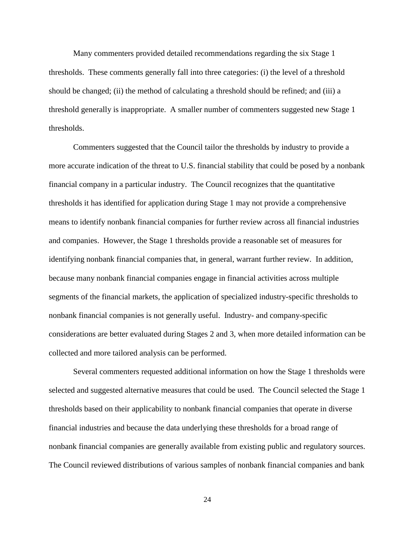Many commenters provided detailed recommendations regarding the six Stage 1 thresholds. These comments generally fall into three categories: (i) the level of a threshold should be changed; (ii) the method of calculating a threshold should be refined; and (iii) a threshold generally is inappropriate. A smaller number of commenters suggested new Stage 1 thresholds.

Commenters suggested that the Council tailor the thresholds by industry to provide a more accurate indication of the threat to U.S. financial stability that could be posed by a nonbank financial company in a particular industry. The Council recognizes that the quantitative thresholds it has identified for application during Stage 1 may not provide a comprehensive means to identify nonbank financial companies for further review across all financial industries and companies. However, the Stage 1 thresholds provide a reasonable set of measures for identifying nonbank financial companies that, in general, warrant further review. In addition, because many nonbank financial companies engage in financial activities across multiple segments of the financial markets, the application of specialized industry-specific thresholds to nonbank financial companies is not generally useful. Industry- and company-specific considerations are better evaluated during Stages 2 and 3, when more detailed information can be collected and more tailored analysis can be performed.

Several commenters requested additional information on how the Stage 1 thresholds were selected and suggested alternative measures that could be used. The Council selected the Stage 1 thresholds based on their applicability to nonbank financial companies that operate in diverse financial industries and because the data underlying these thresholds for a broad range of nonbank financial companies are generally available from existing public and regulatory sources. The Council reviewed distributions of various samples of nonbank financial companies and bank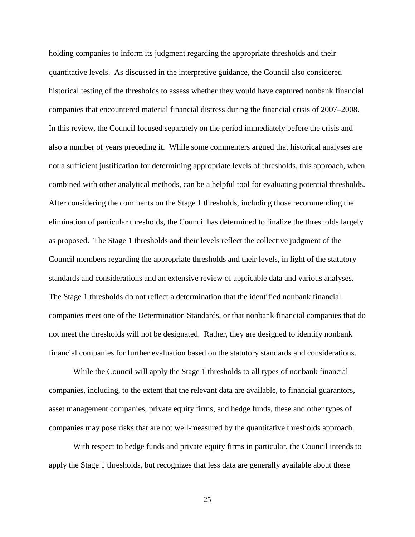holding companies to inform its judgment regarding the appropriate thresholds and their quantitative levels. As discussed in the interpretive guidance, the Council also considered historical testing of the thresholds to assess whether they would have captured nonbank financial companies that encountered material financial distress during the financial crisis of 2007–2008. In this review, the Council focused separately on the period immediately before the crisis and also a number of years preceding it. While some commenters argued that historical analyses are not a sufficient justification for determining appropriate levels of thresholds, this approach, when combined with other analytical methods, can be a helpful tool for evaluating potential thresholds. After considering the comments on the Stage 1 thresholds, including those recommending the elimination of particular thresholds, the Council has determined to finalize the thresholds largely as proposed. The Stage 1 thresholds and their levels reflect the collective judgment of the Council members regarding the appropriate thresholds and their levels, in light of the statutory standards and considerations and an extensive review of applicable data and various analyses. The Stage 1 thresholds do not reflect a determination that the identified nonbank financial companies meet one of the Determination Standards, or that nonbank financial companies that do not meet the thresholds will not be designated. Rather, they are designed to identify nonbank financial companies for further evaluation based on the statutory standards and considerations.

While the Council will apply the Stage 1 thresholds to all types of nonbank financial companies, including, to the extent that the relevant data are available, to financial guarantors, asset management companies, private equity firms, and hedge funds, these and other types of companies may pose risks that are not well-measured by the quantitative thresholds approach.

With respect to hedge funds and private equity firms in particular, the Council intends to apply the Stage 1 thresholds, but recognizes that less data are generally available about these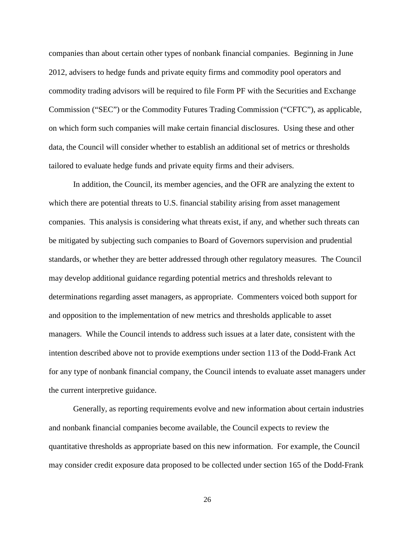companies than about certain other types of nonbank financial companies. Beginning in June 2012, advisers to hedge funds and private equity firms and commodity pool operators and commodity trading advisors will be required to file Form PF with the Securities and Exchange Commission ("SEC") or the Commodity Futures Trading Commission ("CFTC"), as applicable, on which form such companies will make certain financial disclosures. Using these and other data, the Council will consider whether to establish an additional set of metrics or thresholds tailored to evaluate hedge funds and private equity firms and their advisers.

In addition, the Council, its member agencies, and the OFR are analyzing the extent to which there are potential threats to U.S. financial stability arising from asset management companies. This analysis is considering what threats exist, if any, and whether such threats can be mitigated by subjecting such companies to Board of Governors supervision and prudential standards, or whether they are better addressed through other regulatory measures. The Council may develop additional guidance regarding potential metrics and thresholds relevant to determinations regarding asset managers, as appropriate. Commenters voiced both support for and opposition to the implementation of new metrics and thresholds applicable to asset managers. While the Council intends to address such issues at a later date, consistent with the intention described above not to provide exemptions under section 113 of the Dodd-Frank Act for any type of nonbank financial company, the Council intends to evaluate asset managers under the current interpretive guidance.

Generally, as reporting requirements evolve and new information about certain industries and nonbank financial companies become available, the Council expects to review the quantitative thresholds as appropriate based on this new information. For example, the Council may consider credit exposure data proposed to be collected under section 165 of the Dodd-Frank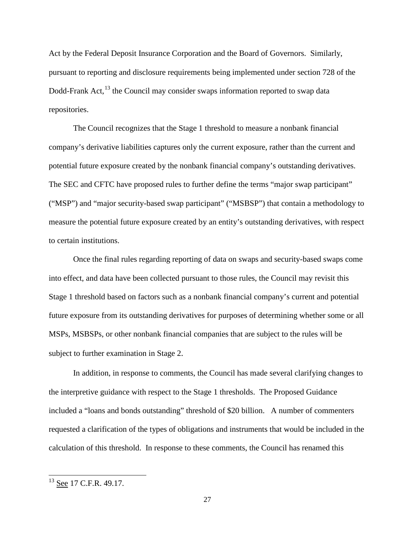Act by the Federal Deposit Insurance Corporation and the Board of Governors. Similarly, pursuant to reporting and disclosure requirements being implemented under section 728 of the Dodd-Frank Act,  $^{13}$  $^{13}$  $^{13}$  the Council may consider swaps information reported to swap data repositories.

The Council recognizes that the Stage 1 threshold to measure a nonbank financial company's derivative liabilities captures only the current exposure, rather than the current and potential future exposure created by the nonbank financial company's outstanding derivatives. The SEC and CFTC have proposed rules to further define the terms "major swap participant" ("MSP") and "major security-based swap participant" ("MSBSP") that contain a methodology to measure the potential future exposure created by an entity's outstanding derivatives, with respect to certain institutions.

Once the final rules regarding reporting of data on swaps and security-based swaps come into effect, and data have been collected pursuant to those rules, the Council may revisit this Stage 1 threshold based on factors such as a nonbank financial company's current and potential future exposure from its outstanding derivatives for purposes of determining whether some or all MSPs, MSBSPs, or other nonbank financial companies that are subject to the rules will be subject to further examination in Stage 2.

In addition, in response to comments, the Council has made several clarifying changes to the interpretive guidance with respect to the Stage 1 thresholds. The Proposed Guidance included a "loans and bonds outstanding" threshold of \$20 billion. A number of commenters requested a clarification of the types of obligations and instruments that would be included in the calculation of this threshold. In response to these comments, the Council has renamed this

<span id="page-26-0"></span><sup>&</sup>lt;sup>13</sup> See 17 C.F.R. 49.17.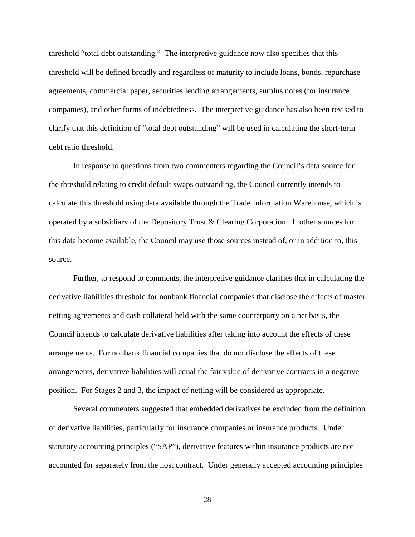threshold "total debt outstanding." The interpretive guidance now also specifies that this threshold will be defined broadly and regardless of maturity to include loans, bonds, repurchase agreements, commercial paper, securities lending arrangements, surplus notes (for insurance companies), and other forms of indebtedness. The interpretive guidance has also been revised to clarify that this definition of "total debt outstanding" will be used in calculating the short-term debt ratio threshold.

In response to questions from two commenters regarding the Council's data source for the threshold relating to credit default swaps outstanding, the Council currently intends to calculate this threshold using data available through the Trade Information Warehouse, which is operated by a subsidiary of the Depository Trust & Clearing Corporation. If other sources for this data become available, the Council may use those sources instead of, or in addition to, this source.

Further, to respond to comments, the interpretive guidance clarifies that in calculating the derivative liabilities threshold for nonbank financial companies that disclose the effects of master netting agreements and cash collateral held with the same counterparty on a net basis, the Council intends to calculate derivative liabilities after taking into account the effects of these arrangements. For nonbank financial companies that do not disclose the effects of these arrangements, derivative liabilities will equal the fair value of derivative contracts in a negative position. For Stages 2 and 3, the impact of netting will be considered as appropriate.

Several commenters suggested that embedded derivatives be excluded from the definition of derivative liabilities, particularly for insurance companies or insurance products. Under statutory accounting principles ("SAP"), derivative features within insurance products are not accounted for separately from the host contract. Under generally accepted accounting principles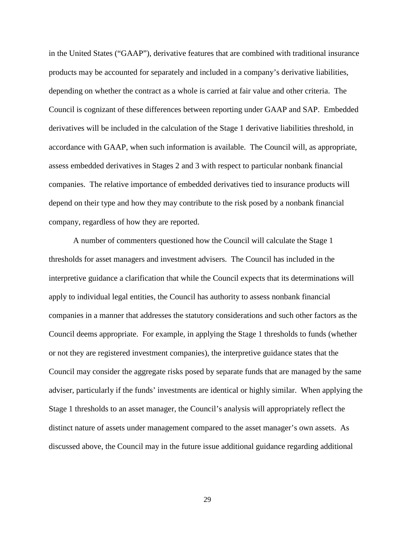in the United States ("GAAP"), derivative features that are combined with traditional insurance products may be accounted for separately and included in a company's derivative liabilities, depending on whether the contract as a whole is carried at fair value and other criteria. The Council is cognizant of these differences between reporting under GAAP and SAP. Embedded derivatives will be included in the calculation of the Stage 1 derivative liabilities threshold, in accordance with GAAP, when such information is available. The Council will, as appropriate, assess embedded derivatives in Stages 2 and 3 with respect to particular nonbank financial companies. The relative importance of embedded derivatives tied to insurance products will depend on their type and how they may contribute to the risk posed by a nonbank financial company, regardless of how they are reported.

A number of commenters questioned how the Council will calculate the Stage 1 thresholds for asset managers and investment advisers. The Council has included in the interpretive guidance a clarification that while the Council expects that its determinations will apply to individual legal entities, the Council has authority to assess nonbank financial companies in a manner that addresses the statutory considerations and such other factors as the Council deems appropriate. For example, in applying the Stage 1 thresholds to funds (whether or not they are registered investment companies), the interpretive guidance states that the Council may consider the aggregate risks posed by separate funds that are managed by the same adviser, particularly if the funds' investments are identical or highly similar. When applying the Stage 1 thresholds to an asset manager, the Council's analysis will appropriately reflect the distinct nature of assets under management compared to the asset manager's own assets. As discussed above, the Council may in the future issue additional guidance regarding additional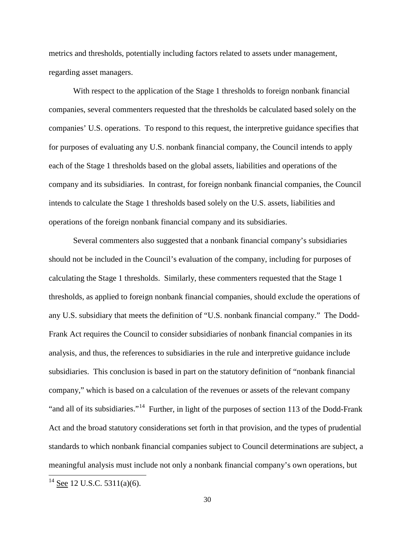metrics and thresholds, potentially including factors related to assets under management, regarding asset managers.

With respect to the application of the Stage 1 thresholds to foreign nonbank financial companies, several commenters requested that the thresholds be calculated based solely on the companies' U.S. operations. To respond to this request, the interpretive guidance specifies that for purposes of evaluating any U.S. nonbank financial company, the Council intends to apply each of the Stage 1 thresholds based on the global assets, liabilities and operations of the company and its subsidiaries. In contrast, for foreign nonbank financial companies, the Council intends to calculate the Stage 1 thresholds based solely on the U.S. assets, liabilities and operations of the foreign nonbank financial company and its subsidiaries.

Several commenters also suggested that a nonbank financial company's subsidiaries should not be included in the Council's evaluation of the company, including for purposes of calculating the Stage 1 thresholds. Similarly, these commenters requested that the Stage 1 thresholds, as applied to foreign nonbank financial companies, should exclude the operations of any U.S. subsidiary that meets the definition of "U.S. nonbank financial company." The Dodd-Frank Act requires the Council to consider subsidiaries of nonbank financial companies in its analysis, and thus, the references to subsidiaries in the rule and interpretive guidance include subsidiaries. This conclusion is based in part on the statutory definition of "nonbank financial company," which is based on a calculation of the revenues or assets of the relevant company "and all of its subsidiaries."<sup>14</sup> Further, in light of the purposes of section 113 of the Dodd-Frank Act and the broad statutory considerations set forth in that provision, and the types of prudential standards to which nonbank financial companies subject to Council determinations are subject, a meaningful analysis must include not only a nonbank financial company's own operations, but

<span id="page-29-0"></span> $14$  See 12 U.S.C. 5311(a)(6).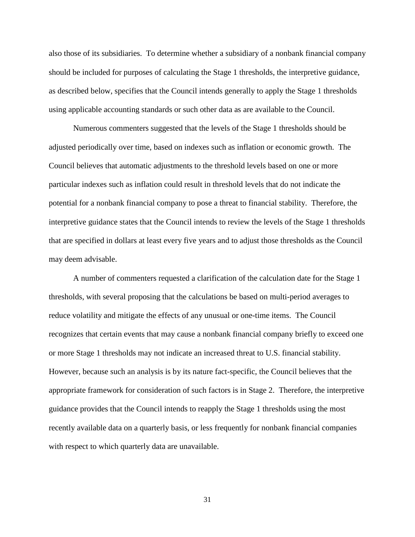also those of its subsidiaries. To determine whether a subsidiary of a nonbank financial company should be included for purposes of calculating the Stage 1 thresholds, the interpretive guidance, as described below, specifies that the Council intends generally to apply the Stage 1 thresholds using applicable accounting standards or such other data as are available to the Council.

Numerous commenters suggested that the levels of the Stage 1 thresholds should be adjusted periodically over time, based on indexes such as inflation or economic growth. The Council believes that automatic adjustments to the threshold levels based on one or more particular indexes such as inflation could result in threshold levels that do not indicate the potential for a nonbank financial company to pose a threat to financial stability. Therefore, the interpretive guidance states that the Council intends to review the levels of the Stage 1 thresholds that are specified in dollars at least every five years and to adjust those thresholds as the Council may deem advisable.

A number of commenters requested a clarification of the calculation date for the Stage 1 thresholds, with several proposing that the calculations be based on multi-period averages to reduce volatility and mitigate the effects of any unusual or one-time items. The Council recognizes that certain events that may cause a nonbank financial company briefly to exceed one or more Stage 1 thresholds may not indicate an increased threat to U.S. financial stability. However, because such an analysis is by its nature fact-specific, the Council believes that the appropriate framework for consideration of such factors is in Stage 2. Therefore, the interpretive guidance provides that the Council intends to reapply the Stage 1 thresholds using the most recently available data on a quarterly basis, or less frequently for nonbank financial companies with respect to which quarterly data are unavailable.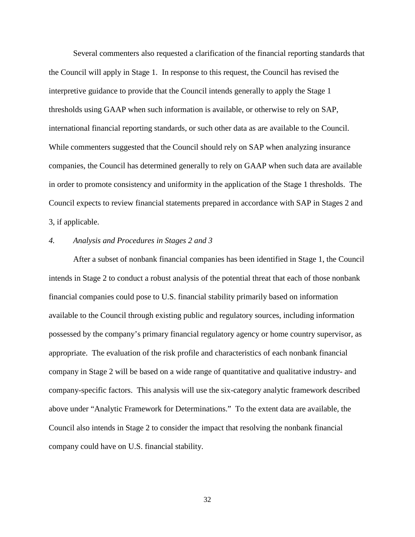Several commenters also requested a clarification of the financial reporting standards that the Council will apply in Stage 1. In response to this request, the Council has revised the interpretive guidance to provide that the Council intends generally to apply the Stage 1 thresholds using GAAP when such information is available, or otherwise to rely on SAP, international financial reporting standards, or such other data as are available to the Council. While commenters suggested that the Council should rely on SAP when analyzing insurance companies, the Council has determined generally to rely on GAAP when such data are available in order to promote consistency and uniformity in the application of the Stage 1 thresholds. The Council expects to review financial statements prepared in accordance with SAP in Stages 2 and 3, if applicable.

#### *4. Analysis and Procedures in Stages 2 and 3*

After a subset of nonbank financial companies has been identified in Stage 1, the Council intends in Stage 2 to conduct a robust analysis of the potential threat that each of those nonbank financial companies could pose to U.S. financial stability primarily based on information available to the Council through existing public and regulatory sources, including information possessed by the company's primary financial regulatory agency or home country supervisor, as appropriate. The evaluation of the risk profile and characteristics of each nonbank financial company in Stage 2 will be based on a wide range of quantitative and qualitative industry- and company-specific factors. This analysis will use the six-category analytic framework described above under "Analytic Framework for Determinations." To the extent data are available, the Council also intends in Stage 2 to consider the impact that resolving the nonbank financial company could have on U.S. financial stability.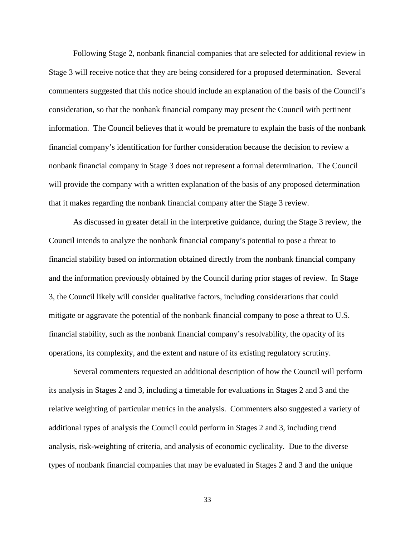Following Stage 2, nonbank financial companies that are selected for additional review in Stage 3 will receive notice that they are being considered for a proposed determination. Several commenters suggested that this notice should include an explanation of the basis of the Council's consideration, so that the nonbank financial company may present the Council with pertinent information. The Council believes that it would be premature to explain the basis of the nonbank financial company's identification for further consideration because the decision to review a nonbank financial company in Stage 3 does not represent a formal determination. The Council will provide the company with a written explanation of the basis of any proposed determination that it makes regarding the nonbank financial company after the Stage 3 review.

As discussed in greater detail in the interpretive guidance, during the Stage 3 review, the Council intends to analyze the nonbank financial company's potential to pose a threat to financial stability based on information obtained directly from the nonbank financial company and the information previously obtained by the Council during prior stages of review. In Stage 3, the Council likely will consider qualitative factors, including considerations that could mitigate or aggravate the potential of the nonbank financial company to pose a threat to U.S. financial stability, such as the nonbank financial company's resolvability, the opacity of its operations, its complexity, and the extent and nature of its existing regulatory scrutiny.

Several commenters requested an additional description of how the Council will perform its analysis in Stages 2 and 3, including a timetable for evaluations in Stages 2 and 3 and the relative weighting of particular metrics in the analysis. Commenters also suggested a variety of additional types of analysis the Council could perform in Stages 2 and 3, including trend analysis, risk-weighting of criteria, and analysis of economic cyclicality. Due to the diverse types of nonbank financial companies that may be evaluated in Stages 2 and 3 and the unique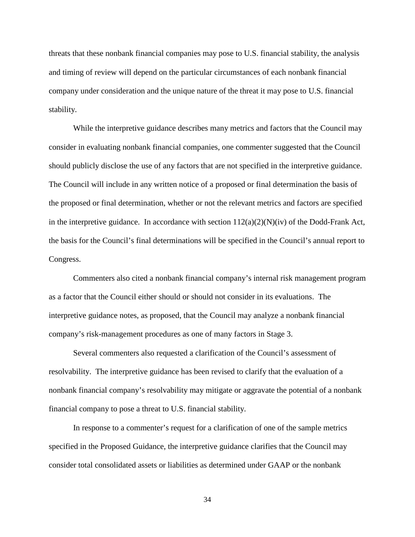threats that these nonbank financial companies may pose to U.S. financial stability, the analysis and timing of review will depend on the particular circumstances of each nonbank financial company under consideration and the unique nature of the threat it may pose to U.S. financial stability.

While the interpretive guidance describes many metrics and factors that the Council may consider in evaluating nonbank financial companies, one commenter suggested that the Council should publicly disclose the use of any factors that are not specified in the interpretive guidance. The Council will include in any written notice of a proposed or final determination the basis of the proposed or final determination, whether or not the relevant metrics and factors are specified in the interpretive guidance. In accordance with section  $112(a)(2)(N)(iv)$  of the Dodd-Frank Act, the basis for the Council's final determinations will be specified in the Council's annual report to Congress.

Commenters also cited a nonbank financial company's internal risk management program as a factor that the Council either should or should not consider in its evaluations. The interpretive guidance notes, as proposed, that the Council may analyze a nonbank financial company's risk-management procedures as one of many factors in Stage 3.

Several commenters also requested a clarification of the Council's assessment of resolvability. The interpretive guidance has been revised to clarify that the evaluation of a nonbank financial company's resolvability may mitigate or aggravate the potential of a nonbank financial company to pose a threat to U.S. financial stability.

In response to a commenter's request for a clarification of one of the sample metrics specified in the Proposed Guidance, the interpretive guidance clarifies that the Council may consider total consolidated assets or liabilities as determined under GAAP or the nonbank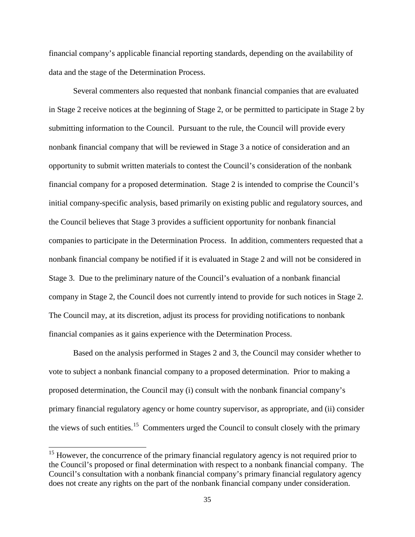financial company's applicable financial reporting standards, depending on the availability of data and the stage of the Determination Process.

Several commenters also requested that nonbank financial companies that are evaluated in Stage 2 receive notices at the beginning of Stage 2, or be permitted to participate in Stage 2 by submitting information to the Council. Pursuant to the rule, the Council will provide every nonbank financial company that will be reviewed in Stage 3 a notice of consideration and an opportunity to submit written materials to contest the Council's consideration of the nonbank financial company for a proposed determination. Stage 2 is intended to comprise the Council's initial company-specific analysis, based primarily on existing public and regulatory sources, and the Council believes that Stage 3 provides a sufficient opportunity for nonbank financial companies to participate in the Determination Process. In addition, commenters requested that a nonbank financial company be notified if it is evaluated in Stage 2 and will not be considered in Stage 3. Due to the preliminary nature of the Council's evaluation of a nonbank financial company in Stage 2, the Council does not currently intend to provide for such notices in Stage 2. The Council may, at its discretion, adjust its process for providing notifications to nonbank financial companies as it gains experience with the Determination Process.

Based on the analysis performed in Stages 2 and 3, the Council may consider whether to vote to subject a nonbank financial company to a proposed determination. Prior to making a proposed determination, the Council may (i) consult with the nonbank financial company's primary financial regulatory agency or home country supervisor, as appropriate, and (ii) consider the views of such entities.<sup>15</sup> Commenters urged the Council to consult closely with the primary

<sup>&</sup>lt;sup>15</sup> However, the concurrence of the primary financial regulatory agency is not required prior to the Council's proposed or final determination with respect to a nonbank financial company. The Council's consultation with a nonbank financial company's primary financial regulatory agency does not create any rights on the part of the nonbank financial company under consideration.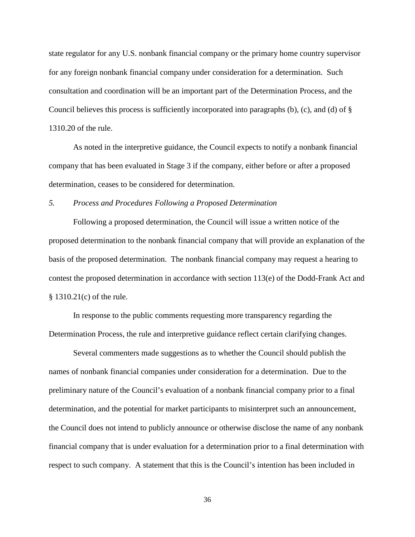state regulator for any U.S. nonbank financial company or the primary home country supervisor for any foreign nonbank financial company under consideration for a determination. Such consultation and coordination will be an important part of the Determination Process, and the Council believes this process is sufficiently incorporated into paragraphs (b), (c), and (d) of § 1310.20 of the rule.

As noted in the interpretive guidance, the Council expects to notify a nonbank financial company that has been evaluated in Stage 3 if the company, either before or after a proposed determination, ceases to be considered for determination.

# *5. Process and Procedures Following a Proposed Determination*

Following a proposed determination, the Council will issue a written notice of the proposed determination to the nonbank financial company that will provide an explanation of the basis of the proposed determination. The nonbank financial company may request a hearing to contest the proposed determination in accordance with section 113(e) of the Dodd-Frank Act and § 1310.21(c) of the rule.

In response to the public comments requesting more transparency regarding the Determination Process, the rule and interpretive guidance reflect certain clarifying changes.

Several commenters made suggestions as to whether the Council should publish the names of nonbank financial companies under consideration for a determination. Due to the preliminary nature of the Council's evaluation of a nonbank financial company prior to a final determination, and the potential for market participants to misinterpret such an announcement, the Council does not intend to publicly announce or otherwise disclose the name of any nonbank financial company that is under evaluation for a determination prior to a final determination with respect to such company. A statement that this is the Council's intention has been included in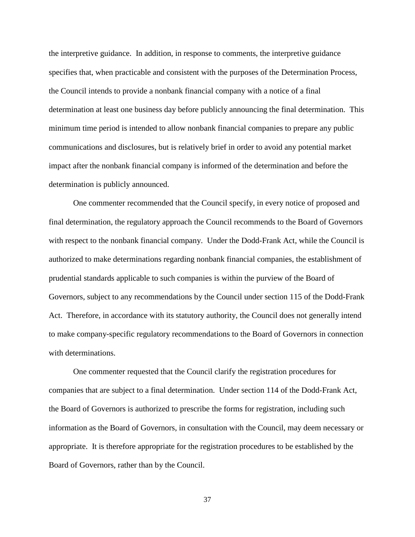the interpretive guidance. In addition, in response to comments, the interpretive guidance specifies that, when practicable and consistent with the purposes of the Determination Process, the Council intends to provide a nonbank financial company with a notice of a final determination at least one business day before publicly announcing the final determination. This minimum time period is intended to allow nonbank financial companies to prepare any public communications and disclosures, but is relatively brief in order to avoid any potential market impact after the nonbank financial company is informed of the determination and before the determination is publicly announced.

One commenter recommended that the Council specify, in every notice of proposed and final determination, the regulatory approach the Council recommends to the Board of Governors with respect to the nonbank financial company. Under the Dodd-Frank Act, while the Council is authorized to make determinations regarding nonbank financial companies, the establishment of prudential standards applicable to such companies is within the purview of the Board of Governors, subject to any recommendations by the Council under section 115 of the Dodd-Frank Act. Therefore, in accordance with its statutory authority, the Council does not generally intend to make company-specific regulatory recommendations to the Board of Governors in connection with determinations.

One commenter requested that the Council clarify the registration procedures for companies that are subject to a final determination. Under section 114 of the Dodd-Frank Act, the Board of Governors is authorized to prescribe the forms for registration, including such information as the Board of Governors, in consultation with the Council, may deem necessary or appropriate. It is therefore appropriate for the registration procedures to be established by the Board of Governors, rather than by the Council.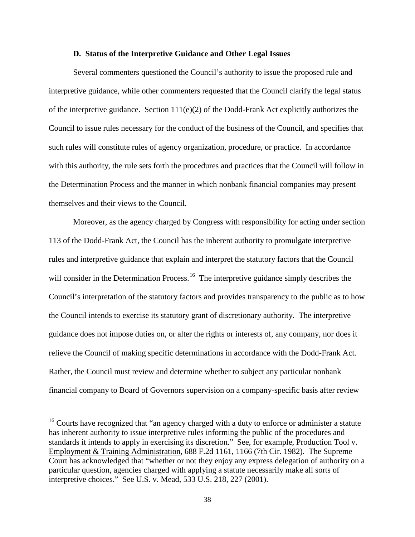## **D. Status of the Interpretive Guidance and Other Legal Issues**

Several commenters questioned the Council's authority to issue the proposed rule and interpretive guidance, while other commenters requested that the Council clarify the legal status of the interpretive guidance. Section  $111(e)(2)$  of the Dodd-Frank Act explicitly authorizes the Council to issue rules necessary for the conduct of the business of the Council, and specifies that such rules will constitute rules of agency organization, procedure, or practice. In accordance with this authority, the rule sets forth the procedures and practices that the Council will follow in the Determination Process and the manner in which nonbank financial companies may present themselves and their views to the Council.

Moreover, as the agency charged by Congress with responsibility for acting under section 113 of the Dodd-Frank Act, the Council has the inherent authority to promulgate interpretive rules and interpretive guidance that explain and interpret the statutory factors that the Council will consider in the Determination Process.<sup>16</sup> The interpretive guidance simply describes the Council's interpretation of the statutory factors and provides transparency to the public as to how the Council intends to exercise its statutory grant of discretionary authority. The interpretive guidance does not impose duties on, or alter the rights or interests of, any company, nor does it relieve the Council of making specific determinations in accordance with the Dodd-Frank Act. Rather, the Council must review and determine whether to subject any particular nonbank financial company to Board of Governors supervision on a company-specific basis after review

<span id="page-37-0"></span><sup>&</sup>lt;sup>16</sup> Courts have recognized that "an agency charged with a duty to enforce or administer a statute has inherent authority to issue interpretive rules informing the public of the procedures and standards it intends to apply in exercising its discretion." See, for example, Production Tool v. Employment & Training Administration, 688 F.2d 1161, 1166 (7th Cir. 1982). The Supreme Court has acknowledged that "whether or not they enjoy any express delegation of authority on a particular question, agencies charged with applying a statute necessarily make all sorts of interpretive choices." See U.S. v. Mead, 533 U.S. 218, 227 (2001).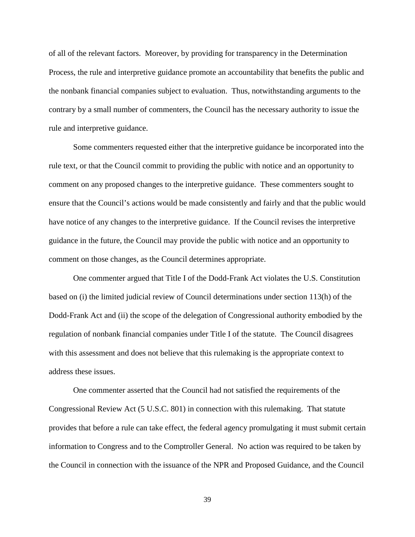of all of the relevant factors. Moreover, by providing for transparency in the Determination Process, the rule and interpretive guidance promote an accountability that benefits the public and the nonbank financial companies subject to evaluation. Thus, notwithstanding arguments to the contrary by a small number of commenters, the Council has the necessary authority to issue the rule and interpretive guidance.

Some commenters requested either that the interpretive guidance be incorporated into the rule text, or that the Council commit to providing the public with notice and an opportunity to comment on any proposed changes to the interpretive guidance. These commenters sought to ensure that the Council's actions would be made consistently and fairly and that the public would have notice of any changes to the interpretive guidance. If the Council revises the interpretive guidance in the future, the Council may provide the public with notice and an opportunity to comment on those changes, as the Council determines appropriate.

One commenter argued that Title I of the Dodd-Frank Act violates the U.S. Constitution based on (i) the limited judicial review of Council determinations under section 113(h) of the Dodd-Frank Act and (ii) the scope of the delegation of Congressional authority embodied by the regulation of nonbank financial companies under Title I of the statute. The Council disagrees with this assessment and does not believe that this rulemaking is the appropriate context to address these issues.

One commenter asserted that the Council had not satisfied the requirements of the Congressional Review Act (5 U.S.C. 801) in connection with this rulemaking. That statute provides that before a rule can take effect, the federal agency promulgating it must submit certain information to Congress and to the Comptroller General. No action was required to be taken by the Council in connection with the issuance of the NPR and Proposed Guidance, and the Council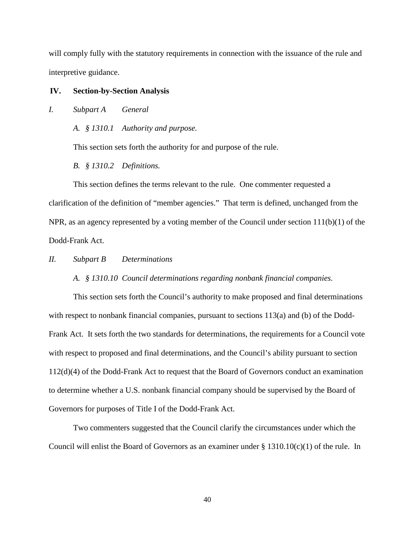will comply fully with the statutory requirements in connection with the issuance of the rule and interpretive guidance.

## **IV. Section-by-Section Analysis**

## *I. Subpart A General*

*A. § 1310.1 Authority and purpose.*

This section sets forth the authority for and purpose of the rule.

*B. § 1310.2 Definitions.*

This section defines the terms relevant to the rule. One commenter requested a clarification of the definition of "member agencies." That term is defined, unchanged from the NPR, as an agency represented by a voting member of the Council under section 111(b)(1) of the Dodd-Frank Act.

*II. Subpart B Determinations*

## *A. § 1310.10 Council determinations regarding nonbank financial companies.*

This section sets forth the Council's authority to make proposed and final determinations with respect to nonbank financial companies, pursuant to sections 113(a) and (b) of the Dodd-Frank Act. It sets forth the two standards for determinations, the requirements for a Council vote with respect to proposed and final determinations, and the Council's ability pursuant to section 112(d)(4) of the Dodd-Frank Act to request that the Board of Governors conduct an examination to determine whether a U.S. nonbank financial company should be supervised by the Board of Governors for purposes of Title I of the Dodd-Frank Act.

Two commenters suggested that the Council clarify the circumstances under which the Council will enlist the Board of Governors as an examiner under  $\S 1310.10(c)(1)$  of the rule. In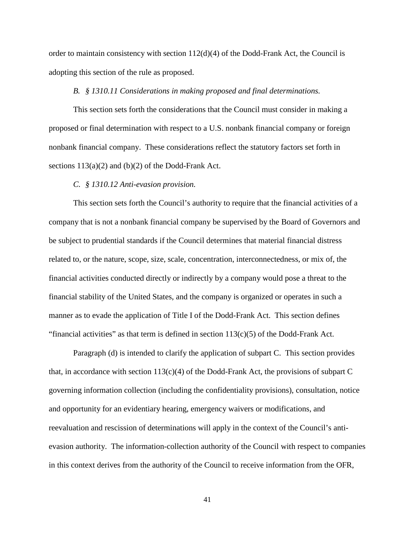order to maintain consistency with section  $112(d)(4)$  of the Dodd-Frank Act, the Council is adopting this section of the rule as proposed.

## *B. § 1310.11 Considerations in making proposed and final determinations.*

This section sets forth the considerations that the Council must consider in making a proposed or final determination with respect to a U.S. nonbank financial company or foreign nonbank financial company. These considerations reflect the statutory factors set forth in sections  $113(a)(2)$  and  $(b)(2)$  of the Dodd-Frank Act.

#### *C. § 1310.12 Anti-evasion provision.*

This section sets forth the Council's authority to require that the financial activities of a company that is not a nonbank financial company be supervised by the Board of Governors and be subject to prudential standards if the Council determines that material financial distress related to, or the nature, scope, size, scale, concentration, interconnectedness, or mix of, the financial activities conducted directly or indirectly by a company would pose a threat to the financial stability of the United States, and the company is organized or operates in such a manner as to evade the application of Title I of the Dodd-Frank Act. This section defines "financial activities" as that term is defined in section  $113(c)(5)$  of the Dodd-Frank Act.

Paragraph (d) is intended to clarify the application of subpart C. This section provides that, in accordance with section  $113(c)(4)$  of the Dodd-Frank Act, the provisions of subpart C governing information collection (including the confidentiality provisions), consultation, notice and opportunity for an evidentiary hearing, emergency waivers or modifications, and reevaluation and rescission of determinations will apply in the context of the Council's antievasion authority. The information-collection authority of the Council with respect to companies in this context derives from the authority of the Council to receive information from the OFR,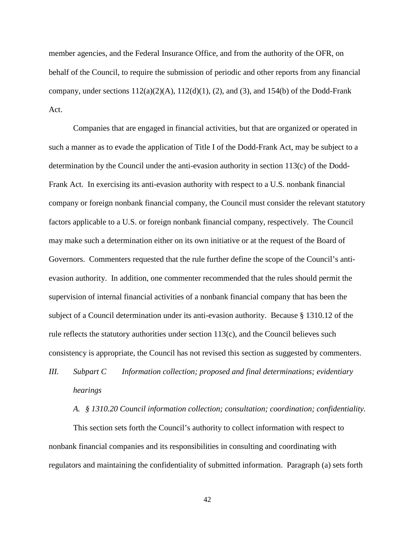member agencies, and the Federal Insurance Office, and from the authority of the OFR, on behalf of the Council, to require the submission of periodic and other reports from any financial company, under sections  $112(a)(2)(A)$ ,  $112(d)(1)$ , (2), and (3), and 154(b) of the Dodd-Frank Act.

Companies that are engaged in financial activities, but that are organized or operated in such a manner as to evade the application of Title I of the Dodd-Frank Act, may be subject to a determination by the Council under the anti-evasion authority in section 113(c) of the Dodd-Frank Act. In exercising its anti-evasion authority with respect to a U.S. nonbank financial company or foreign nonbank financial company, the Council must consider the relevant statutory factors applicable to a U.S. or foreign nonbank financial company, respectively. The Council may make such a determination either on its own initiative or at the request of the Board of Governors. Commenters requested that the rule further define the scope of the Council's antievasion authority. In addition, one commenter recommended that the rules should permit the supervision of internal financial activities of a nonbank financial company that has been the subject of a Council determination under its anti-evasion authority. Because § 1310.12 of the rule reflects the statutory authorities under section  $113(c)$ , and the Council believes such consistency is appropriate, the Council has not revised this section as suggested by commenters.

*III. Subpart C Information collection; proposed and final determinations; evidentiary hearings*

*A. § 1310.20 Council information collection; consultation; coordination; confidentiality.*

This section sets forth the Council's authority to collect information with respect to nonbank financial companies and its responsibilities in consulting and coordinating with regulators and maintaining the confidentiality of submitted information. Paragraph (a) sets forth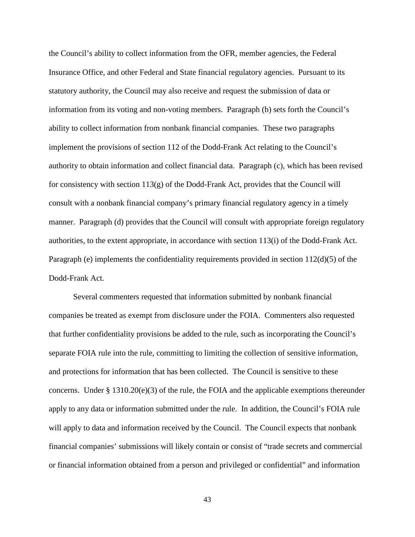the Council's ability to collect information from the OFR, member agencies, the Federal Insurance Office, and other Federal and State financial regulatory agencies. Pursuant to its statutory authority, the Council may also receive and request the submission of data or information from its voting and non-voting members. Paragraph (b) sets forth the Council's ability to collect information from nonbank financial companies. These two paragraphs implement the provisions of section 112 of the Dodd-Frank Act relating to the Council's authority to obtain information and collect financial data. Paragraph (c), which has been revised for consistency with section  $113(g)$  of the Dodd-Frank Act, provides that the Council will consult with a nonbank financial company's primary financial regulatory agency in a timely manner. Paragraph (d) provides that the Council will consult with appropriate foreign regulatory authorities, to the extent appropriate, in accordance with section 113(i) of the Dodd-Frank Act. Paragraph (e) implements the confidentiality requirements provided in section 112(d)(5) of the Dodd-Frank Act.

Several commenters requested that information submitted by nonbank financial companies be treated as exempt from disclosure under the FOIA. Commenters also requested that further confidentiality provisions be added to the rule, such as incorporating the Council's separate FOIA rule into the rule, committing to limiting the collection of sensitive information, and protections for information that has been collected. The Council is sensitive to these concerns. Under § 1310.20(e)(3) of the rule, the FOIA and the applicable exemptions thereunder apply to any data or information submitted under the rule. In addition, the Council's FOIA rule will apply to data and information received by the Council. The Council expects that nonbank financial companies' submissions will likely contain or consist of "trade secrets and commercial or financial information obtained from a person and privileged or confidential" and information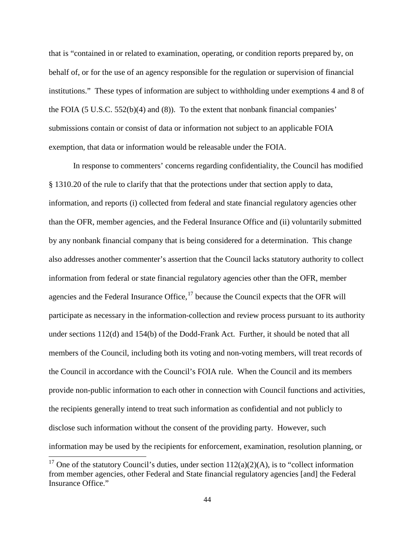that is "contained in or related to examination, operating, or condition reports prepared by, on behalf of, or for the use of an agency responsible for the regulation or supervision of financial institutions." These types of information are subject to withholding under exemptions 4 and 8 of the FOIA (5 U.S.C. 552(b)(4) and (8)). To the extent that nonbank financial companies' submissions contain or consist of data or information not subject to an applicable FOIA exemption, that data or information would be releasable under the FOIA.

In response to commenters' concerns regarding confidentiality, the Council has modified § 1310.20 of the rule to clarify that that the protections under that section apply to data, information, and reports (i) collected from federal and state financial regulatory agencies other than the OFR, member agencies, and the Federal Insurance Office and (ii) voluntarily submitted by any nonbank financial company that is being considered for a determination. This change also addresses another commenter's assertion that the Council lacks statutory authority to collect information from federal or state financial regulatory agencies other than the OFR, member agencies and the Federal Insurance Office,  $17$  because the Council expects that the OFR will participate as necessary in the information-collection and review process pursuant to its authority under sections 112(d) and 154(b) of the Dodd-Frank Act. Further, it should be noted that all members of the Council, including both its voting and non-voting members, will treat records of the Council in accordance with the Council's FOIA rule. When the Council and its members provide non-public information to each other in connection with Council functions and activities, the recipients generally intend to treat such information as confidential and not publicly to disclose such information without the consent of the providing party. However, such information may be used by the recipients for enforcement, examination, resolution planning, or

<span id="page-43-0"></span><sup>&</sup>lt;sup>17</sup> One of the statutory Council's duties, under section  $112(a)(2)(A)$ , is to "collect information" from member agencies, other Federal and State financial regulatory agencies [and] the Federal Insurance Office."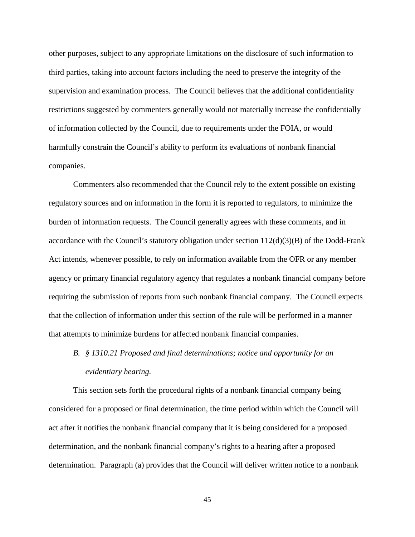other purposes, subject to any appropriate limitations on the disclosure of such information to third parties, taking into account factors including the need to preserve the integrity of the supervision and examination process. The Council believes that the additional confidentiality restrictions suggested by commenters generally would not materially increase the confidentially of information collected by the Council, due to requirements under the FOIA, or would harmfully constrain the Council's ability to perform its evaluations of nonbank financial companies.

Commenters also recommended that the Council rely to the extent possible on existing regulatory sources and on information in the form it is reported to regulators, to minimize the burden of information requests. The Council generally agrees with these comments, and in accordance with the Council's statutory obligation under section 112(d)(3)(B) of the Dodd-Frank Act intends, whenever possible, to rely on information available from the OFR or any member agency or primary financial regulatory agency that regulates a nonbank financial company before requiring the submission of reports from such nonbank financial company. The Council expects that the collection of information under this section of the rule will be performed in a manner that attempts to minimize burdens for affected nonbank financial companies.

# *B. § 1310.21 Proposed and final determinations; notice and opportunity for an evidentiary hearing.*

This section sets forth the procedural rights of a nonbank financial company being considered for a proposed or final determination, the time period within which the Council will act after it notifies the nonbank financial company that it is being considered for a proposed determination, and the nonbank financial company's rights to a hearing after a proposed determination. Paragraph (a) provides that the Council will deliver written notice to a nonbank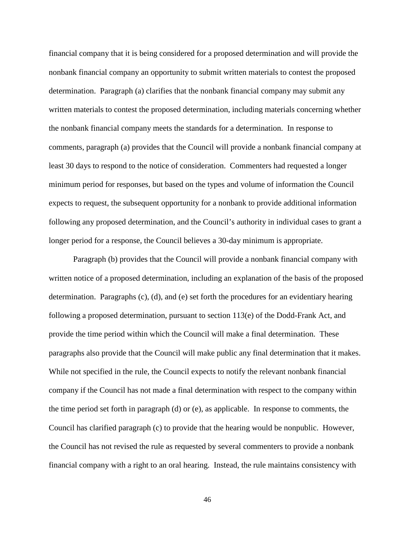financial company that it is being considered for a proposed determination and will provide the nonbank financial company an opportunity to submit written materials to contest the proposed determination. Paragraph (a) clarifies that the nonbank financial company may submit any written materials to contest the proposed determination, including materials concerning whether the nonbank financial company meets the standards for a determination. In response to comments, paragraph (a) provides that the Council will provide a nonbank financial company at least 30 days to respond to the notice of consideration. Commenters had requested a longer minimum period for responses, but based on the types and volume of information the Council expects to request, the subsequent opportunity for a nonbank to provide additional information following any proposed determination, and the Council's authority in individual cases to grant a longer period for a response, the Council believes a 30-day minimum is appropriate.

Paragraph (b) provides that the Council will provide a nonbank financial company with written notice of a proposed determination, including an explanation of the basis of the proposed determination. Paragraphs (c), (d), and (e) set forth the procedures for an evidentiary hearing following a proposed determination, pursuant to section  $113(e)$  of the Dodd-Frank Act, and provide the time period within which the Council will make a final determination. These paragraphs also provide that the Council will make public any final determination that it makes. While not specified in the rule, the Council expects to notify the relevant nonbank financial company if the Council has not made a final determination with respect to the company within the time period set forth in paragraph (d) or (e), as applicable. In response to comments, the Council has clarified paragraph (c) to provide that the hearing would be nonpublic. However, the Council has not revised the rule as requested by several commenters to provide a nonbank financial company with a right to an oral hearing. Instead, the rule maintains consistency with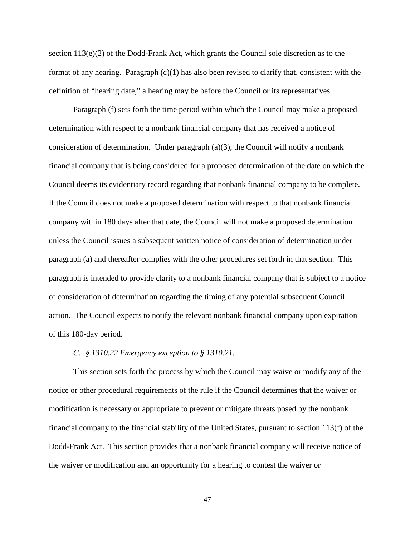section 113(e)(2) of the Dodd-Frank Act, which grants the Council sole discretion as to the format of any hearing. Paragraph (c)(1) has also been revised to clarify that, consistent with the definition of "hearing date," a hearing may be before the Council or its representatives.

Paragraph (f) sets forth the time period within which the Council may make a proposed determination with respect to a nonbank financial company that has received a notice of consideration of determination. Under paragraph (a)(3), the Council will notify a nonbank financial company that is being considered for a proposed determination of the date on which the Council deems its evidentiary record regarding that nonbank financial company to be complete. If the Council does not make a proposed determination with respect to that nonbank financial company within 180 days after that date, the Council will not make a proposed determination unless the Council issues a subsequent written notice of consideration of determination under paragraph (a) and thereafter complies with the other procedures set forth in that section. This paragraph is intended to provide clarity to a nonbank financial company that is subject to a notice of consideration of determination regarding the timing of any potential subsequent Council action. The Council expects to notify the relevant nonbank financial company upon expiration of this 180-day period.

#### *C. § 1310.22 Emergency exception to § 1310.21.*

This section sets forth the process by which the Council may waive or modify any of the notice or other procedural requirements of the rule if the Council determines that the waiver or modification is necessary or appropriate to prevent or mitigate threats posed by the nonbank financial company to the financial stability of the United States, pursuant to section 113(f) of the Dodd-Frank Act. This section provides that a nonbank financial company will receive notice of the waiver or modification and an opportunity for a hearing to contest the waiver or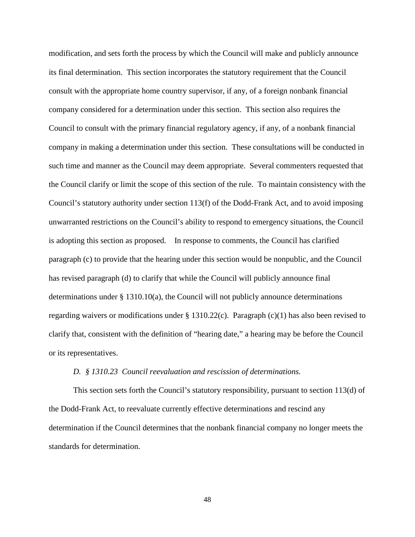modification, and sets forth the process by which the Council will make and publicly announce its final determination. This section incorporates the statutory requirement that the Council consult with the appropriate home country supervisor, if any, of a foreign nonbank financial company considered for a determination under this section. This section also requires the Council to consult with the primary financial regulatory agency, if any, of a nonbank financial company in making a determination under this section. These consultations will be conducted in such time and manner as the Council may deem appropriate. Several commenters requested that the Council clarify or limit the scope of this section of the rule. To maintain consistency with the Council's statutory authority under section 113(f) of the Dodd-Frank Act, and to avoid imposing unwarranted restrictions on the Council's ability to respond to emergency situations, the Council is adopting this section as proposed. In response to comments, the Council has clarified paragraph (c) to provide that the hearing under this section would be nonpublic, and the Council has revised paragraph (d) to clarify that while the Council will publicly announce final determinations under § 1310.10(a), the Council will not publicly announce determinations regarding waivers or modifications under § 1310.22(c). Paragraph (c)(1) has also been revised to clarify that, consistent with the definition of "hearing date," a hearing may be before the Council or its representatives.

#### *D. § 1310.23 Council reevaluation and rescission of determinations.*

This section sets forth the Council's statutory responsibility, pursuant to section 113(d) of the Dodd-Frank Act, to reevaluate currently effective determinations and rescind any determination if the Council determines that the nonbank financial company no longer meets the standards for determination.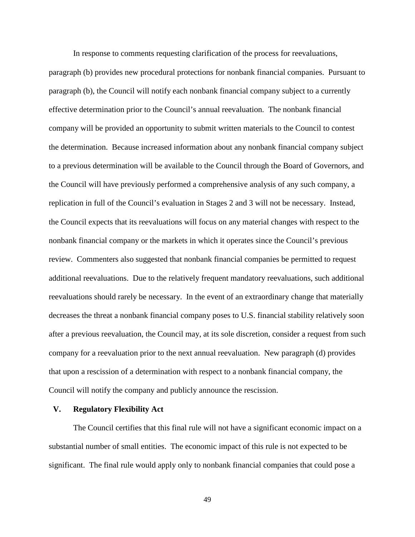In response to comments requesting clarification of the process for reevaluations, paragraph (b) provides new procedural protections for nonbank financial companies. Pursuant to paragraph (b), the Council will notify each nonbank financial company subject to a currently effective determination prior to the Council's annual reevaluation. The nonbank financial company will be provided an opportunity to submit written materials to the Council to contest the determination. Because increased information about any nonbank financial company subject to a previous determination will be available to the Council through the Board of Governors, and the Council will have previously performed a comprehensive analysis of any such company, a replication in full of the Council's evaluation in Stages 2 and 3 will not be necessary. Instead, the Council expects that its reevaluations will focus on any material changes with respect to the nonbank financial company or the markets in which it operates since the Council's previous review. Commenters also suggested that nonbank financial companies be permitted to request additional reevaluations. Due to the relatively frequent mandatory reevaluations, such additional reevaluations should rarely be necessary. In the event of an extraordinary change that materially decreases the threat a nonbank financial company poses to U.S. financial stability relatively soon after a previous reevaluation, the Council may, at its sole discretion, consider a request from such company for a reevaluation prior to the next annual reevaluation. New paragraph (d) provides that upon a rescission of a determination with respect to a nonbank financial company, the Council will notify the company and publicly announce the rescission.

#### **V. Regulatory Flexibility Act**

The Council certifies that this final rule will not have a significant economic impact on a substantial number of small entities. The economic impact of this rule is not expected to be significant. The final rule would apply only to nonbank financial companies that could pose a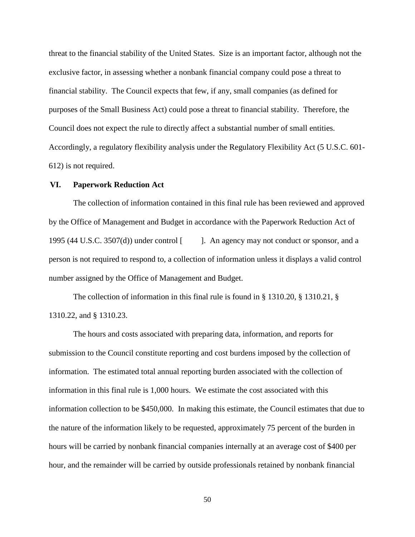threat to the financial stability of the United States. Size is an important factor, although not the exclusive factor, in assessing whether a nonbank financial company could pose a threat to financial stability. The Council expects that few, if any, small companies (as defined for purposes of the Small Business Act) could pose a threat to financial stability. Therefore, the Council does not expect the rule to directly affect a substantial number of small entities. Accordingly, a regulatory flexibility analysis under the Regulatory Flexibility Act (5 U.S.C. 601- 612) is not required.

## **VI. Paperwork Reduction Act**

The collection of information contained in this final rule has been reviewed and approved by the Office of Management and Budget in accordance with the Paperwork Reduction Act of 1995 (44 U.S.C. 3507(d)) under control [ ]. An agency may not conduct or sponsor, and a person is not required to respond to, a collection of information unless it displays a valid control number assigned by the Office of Management and Budget.

The collection of information in this final rule is found in § 1310.20, § 1310.21, § 1310.22, and § 1310.23.

The hours and costs associated with preparing data, information, and reports for submission to the Council constitute reporting and cost burdens imposed by the collection of information. The estimated total annual reporting burden associated with the collection of information in this final rule is 1,000 hours. We estimate the cost associated with this information collection to be \$450,000. In making this estimate, the Council estimates that due to the nature of the information likely to be requested, approximately 75 percent of the burden in hours will be carried by nonbank financial companies internally at an average cost of \$400 per hour, and the remainder will be carried by outside professionals retained by nonbank financial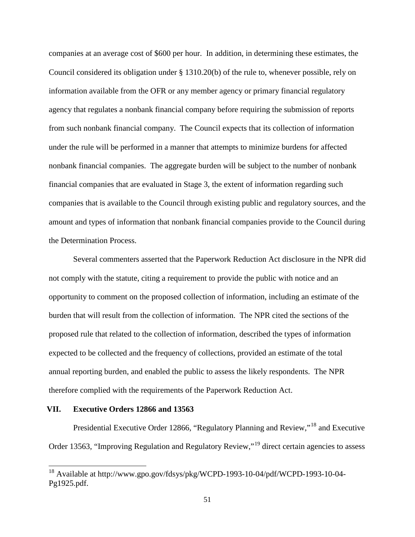companies at an average cost of \$600 per hour. In addition, in determining these estimates, the Council considered its obligation under § 1310.20(b) of the rule to, whenever possible, rely on information available from the OFR or any member agency or primary financial regulatory agency that regulates a nonbank financial company before requiring the submission of reports from such nonbank financial company. The Council expects that its collection of information under the rule will be performed in a manner that attempts to minimize burdens for affected nonbank financial companies. The aggregate burden will be subject to the number of nonbank financial companies that are evaluated in Stage 3, the extent of information regarding such companies that is available to the Council through existing public and regulatory sources, and the amount and types of information that nonbank financial companies provide to the Council during the Determination Process.

Several commenters asserted that the Paperwork Reduction Act disclosure in the NPR did not comply with the statute, citing a requirement to provide the public with notice and an opportunity to comment on the proposed collection of information, including an estimate of the burden that will result from the collection of information. The NPR cited the sections of the proposed rule that related to the collection of information, described the types of information expected to be collected and the frequency of collections, provided an estimate of the total annual reporting burden, and enabled the public to assess the likely respondents. The NPR therefore complied with the requirements of the Paperwork Reduction Act.

## **VII. Executive Orders 12866 and 13563**

Presidential Executive Order 12866, "Regulatory Planning and Review,"[18](#page-43-0) and Executive Order 13563, "Improving Regulation and Regulatory Review,"[19](#page-50-0) direct certain agencies to assess

<span id="page-50-0"></span> <sup>18</sup> Available at http://www.gpo.gov/fdsys/pkg/WCPD-1993-10-04/pdf/WCPD-1993-10-04- Pg1925.pdf.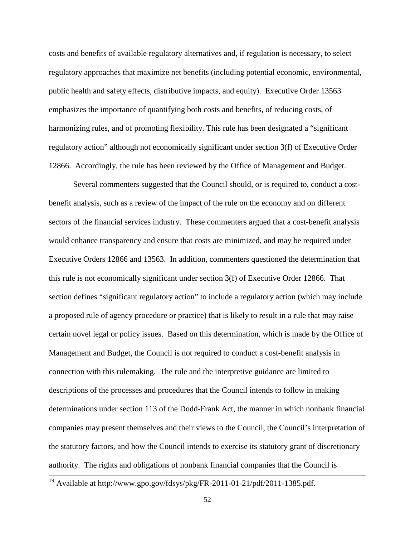costs and benefits of available regulatory alternatives and, if regulation is necessary, to select regulatory approaches that maximize net benefits (including potential economic, environmental, public health and safety effects, distributive impacts, and equity). Executive Order 13563 emphasizes the importance of quantifying both costs and benefits, of reducing costs, of harmonizing rules, and of promoting flexibility. This rule has been designated a "significant regulatory action" although not economically significant under section 3(f) of Executive Order 12866. Accordingly, the rule has been reviewed by the Office of Management and Budget.

Several commenters suggested that the Council should, or is required to, conduct a costbenefit analysis, such as a review of the impact of the rule on the economy and on different sectors of the financial services industry. These commenters argued that a cost-benefit analysis would enhance transparency and ensure that costs are minimized, and may be required under Executive Orders 12866 and 13563. In addition, commenters questioned the determination that this rule is not economically significant under section 3(f) of Executive Order 12866. That section defines "significant regulatory action" to include a regulatory action (which may include a proposed rule of agency procedure or practice) that is likely to result in a rule that may raise certain novel legal or policy issues. Based on this determination, which is made by the Office of Management and Budget, the Council is not required to conduct a cost-benefit analysis in connection with this rulemaking. The rule and the interpretive guidance are limited to descriptions of the processes and procedures that the Council intends to follow in making determinations under section 113 of the Dodd-Frank Act, the manner in which nonbank financial companies may present themselves and their views to the Council, the Council's interpretation of the statutory factors, and how the Council intends to exercise its statutory grant of discretionary authority. The rights and obligations of nonbank financial companies that the Council is

<sup>&</sup>lt;sup>19</sup> Available at http://www.gpo.gov/fdsys/pkg/FR-2011-01-21/pdf/2011-1385.pdf.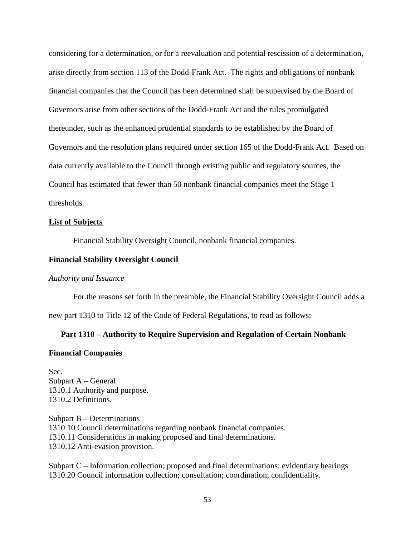considering for a determination, or for a reevaluation and potential rescission of a determination, arise directly from section 113 of the Dodd-Frank Act. The rights and obligations of nonbank financial companies that the Council has been determined shall be supervised by the Board of Governors arise from other sections of the Dodd-Frank Act and the rules promulgated thereunder, such as the enhanced prudential standards to be established by the Board of Governors and the resolution plans required under section 165 of the Dodd-Frank Act. Based on data currently available to the Council through existing public and regulatory sources, the Council has estimated that fewer than 50 nonbank financial companies meet the Stage 1 thresholds.

#### **List of Subjects**

Financial Stability Oversight Council, nonbank financial companies.

#### **Financial Stability Oversight Council**

## *Authority and Issuance*

For the reasons set forth in the preamble, the Financial Stability Oversight Council adds a

new part 1310 to Title 12 of the Code of Federal Regulations, to read as follows:

#### **Part 1310 – Authority to Require Supervision and Regulation of Certain Nonbank**

### **Financial Companies**

Sec. Subpart A – General 1310.1 Authority and purpose. 1310.2 Definitions.

Subpart B – Determinations 1310.10 Council determinations regarding nonbank financial companies. 1310.11 Considerations in making proposed and final determinations. 1310.12 Anti-evasion provision.

Subpart C – Information collection; proposed and final determinations; evidentiary hearings 1310.20 Council information collection; consultation; coordination; confidentiality.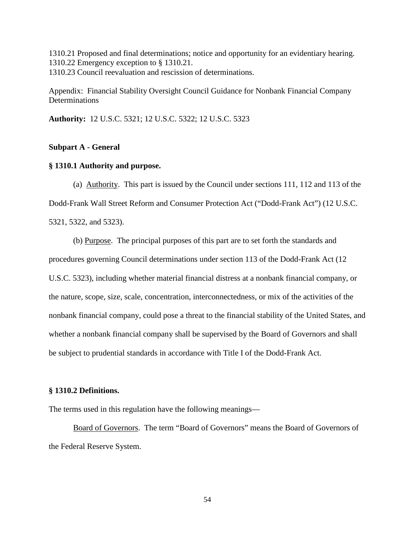1310.21 Proposed and final determinations; notice and opportunity for an evidentiary hearing. 1310.22 Emergency exception to § 1310.21. 1310.23 Council reevaluation and rescission of determinations.

Appendix: Financial Stability Oversight Council Guidance for Nonbank Financial Company **Determinations** 

**Authority:** 12 U.S.C. 5321; 12 U.S.C. 5322; 12 U.S.C. 5323

## **Subpart A - General**

#### **§ 1310.1 Authority and purpose.**

(a) Authority. This part is issued by the Council under sections 111, 112 and 113 of the Dodd-Frank Wall Street Reform and Consumer Protection Act ("Dodd-Frank Act") (12 U.S.C.

5321, 5322, and 5323).

(b) Purpose. The principal purposes of this part are to set forth the standards and procedures governing Council determinations under section 113 of the Dodd-Frank Act (12 U.S.C. 5323), including whether material financial distress at a nonbank financial company, or the nature, scope, size, scale, concentration, interconnectedness, or mix of the activities of the nonbank financial company, could pose a threat to the financial stability of the United States, and whether a nonbank financial company shall be supervised by the Board of Governors and shall be subject to prudential standards in accordance with Title I of the Dodd-Frank Act.

## **§ 1310.2 Definitions.**

The terms used in this regulation have the following meanings—

Board of Governors. The term "Board of Governors" means the Board of Governors of the Federal Reserve System.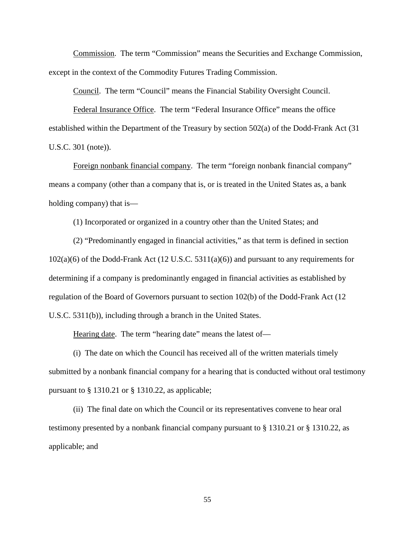Commission. The term "Commission" means the Securities and Exchange Commission, except in the context of the Commodity Futures Trading Commission.

Council. The term "Council" means the Financial Stability Oversight Council.

Federal Insurance Office. The term "Federal Insurance Office" means the office established within the Department of the Treasury by section 502(a) of the Dodd-Frank Act (31 U.S.C. 301 (note)).

Foreign nonbank financial company. The term "foreign nonbank financial company" means a company (other than a company that is, or is treated in the United States as, a bank holding company) that is—

(1) Incorporated or organized in a country other than the United States; and

(2) "Predominantly engaged in financial activities," as that term is defined in section 102(a)(6) of the Dodd-Frank Act (12 U.S.C. 5311(a)(6)) and pursuant to any requirements for determining if a company is predominantly engaged in financial activities as established by regulation of the Board of Governors pursuant to section 102(b) of the Dodd-Frank Act (12 U.S.C. 5311(b)), including through a branch in the United States.

Hearing date. The term "hearing date" means the latest of—

(i) The date on which the Council has received all of the written materials timely submitted by a nonbank financial company for a hearing that is conducted without oral testimony pursuant to § 1310.21 or § 1310.22, as applicable;

(ii) The final date on which the Council or its representatives convene to hear oral testimony presented by a nonbank financial company pursuant to § 1310.21 or § 1310.22, as applicable; and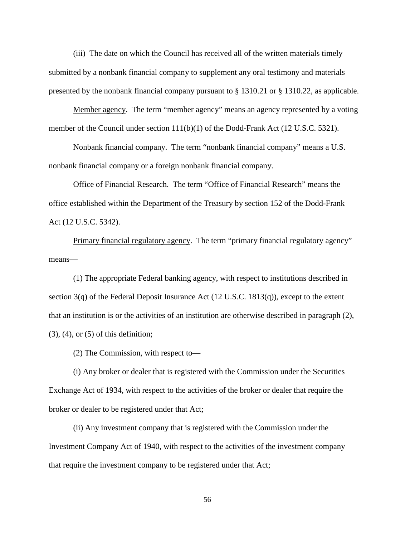(iii) The date on which the Council has received all of the written materials timely submitted by a nonbank financial company to supplement any oral testimony and materials presented by the nonbank financial company pursuant to § 1310.21 or § 1310.22, as applicable.

Member agency. The term "member agency" means an agency represented by a voting member of the Council under section 111(b)(1) of the Dodd-Frank Act (12 U.S.C. 5321).

Nonbank financial company. The term "nonbank financial company" means a U.S. nonbank financial company or a foreign nonbank financial company.

Office of Financial Research. The term "Office of Financial Research" means the office established within the Department of the Treasury by section 152 of the Dodd-Frank Act (12 U.S.C. 5342).

Primary financial regulatory agency. The term "primary financial regulatory agency" means—

(1) The appropriate Federal banking agency, with respect to institutions described in section 3(q) of the Federal Deposit Insurance Act (12 U.S.C. 1813(q)), except to the extent that an institution is or the activities of an institution are otherwise described in paragraph (2), (3), (4), or (5) of this definition;

(2) The Commission, with respect to—

(i) Any broker or dealer that is registered with the Commission under the Securities Exchange Act of 1934, with respect to the activities of the broker or dealer that require the broker or dealer to be registered under that Act;

(ii) Any investment company that is registered with the Commission under the Investment Company Act of 1940, with respect to the activities of the investment company that require the investment company to be registered under that Act;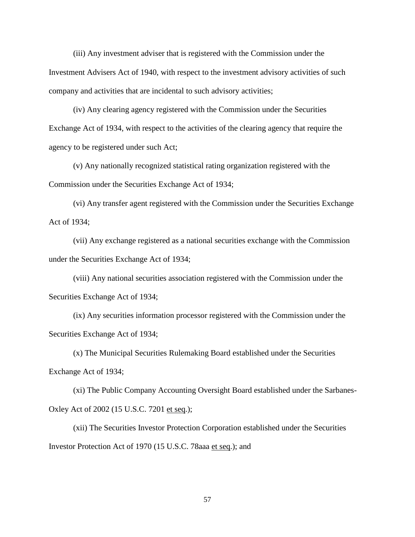(iii) Any investment adviser that is registered with the Commission under the Investment Advisers Act of 1940, with respect to the investment advisory activities of such company and activities that are incidental to such advisory activities;

(iv) Any clearing agency registered with the Commission under the Securities Exchange Act of 1934, with respect to the activities of the clearing agency that require the agency to be registered under such Act;

(v) Any nationally recognized statistical rating organization registered with the Commission under the Securities Exchange Act of 1934;

(vi) Any transfer agent registered with the Commission under the Securities Exchange Act of 1934;

(vii) Any exchange registered as a national securities exchange with the Commission under the Securities Exchange Act of 1934;

(viii) Any national securities association registered with the Commission under the Securities Exchange Act of 1934;

(ix) Any securities information processor registered with the Commission under the Securities Exchange Act of 1934;

(x) The Municipal Securities Rulemaking Board established under the Securities Exchange Act of 1934;

(xi) The Public Company Accounting Oversight Board established under the Sarbanes-Oxley Act of 2002 (15 U.S.C. 7201 et seq.);

(xii) The Securities Investor Protection Corporation established under the Securities Investor Protection Act of 1970 (15 U.S.C. 78aaa et seq.); and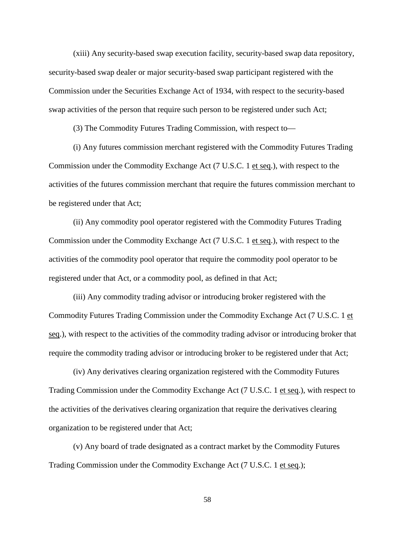(xiii) Any security-based swap execution facility, security-based swap data repository, security-based swap dealer or major security-based swap participant registered with the Commission under the Securities Exchange Act of 1934, with respect to the security-based swap activities of the person that require such person to be registered under such Act;

(3) The Commodity Futures Trading Commission, with respect to—

(i) Any futures commission merchant registered with the Commodity Futures Trading Commission under the Commodity Exchange Act (7 U.S.C. 1 et seq.), with respect to the activities of the futures commission merchant that require the futures commission merchant to be registered under that Act;

(ii) Any commodity pool operator registered with the Commodity Futures Trading Commission under the Commodity Exchange Act (7 U.S.C. 1 et seq.), with respect to the activities of the commodity pool operator that require the commodity pool operator to be registered under that Act, or a commodity pool, as defined in that Act;

(iii) Any commodity trading advisor or introducing broker registered with the Commodity Futures Trading Commission under the Commodity Exchange Act (7 U.S.C. 1 et seq.), with respect to the activities of the commodity trading advisor or introducing broker that require the commodity trading advisor or introducing broker to be registered under that Act;

(iv) Any derivatives clearing organization registered with the Commodity Futures Trading Commission under the Commodity Exchange Act (7 U.S.C. 1 et seq.), with respect to the activities of the derivatives clearing organization that require the derivatives clearing organization to be registered under that Act;

(v) Any board of trade designated as a contract market by the Commodity Futures Trading Commission under the Commodity Exchange Act (7 U.S.C. 1 et seq.);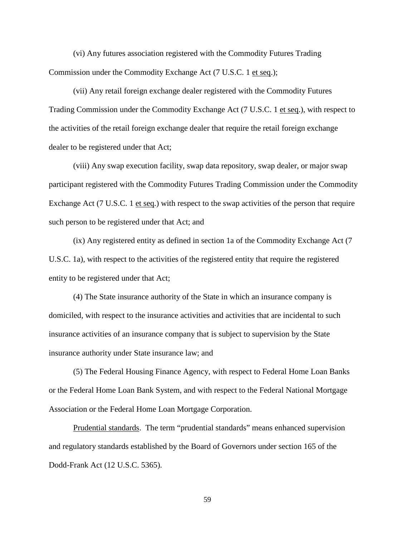(vi) Any futures association registered with the Commodity Futures Trading Commission under the Commodity Exchange Act (7 U.S.C. 1 et seq.);

(vii) Any retail foreign exchange dealer registered with the Commodity Futures Trading Commission under the Commodity Exchange Act (7 U.S.C. 1 et seq.), with respect to the activities of the retail foreign exchange dealer that require the retail foreign exchange dealer to be registered under that Act;

(viii) Any swap execution facility, swap data repository, swap dealer, or major swap participant registered with the Commodity Futures Trading Commission under the Commodity Exchange Act (7 U.S.C. 1 et seq.) with respect to the swap activities of the person that require such person to be registered under that Act; and

(ix) Any registered entity as defined in section 1a of the Commodity Exchange Act (7 U.S.C. 1a), with respect to the activities of the registered entity that require the registered entity to be registered under that Act;

(4) The State insurance authority of the State in which an insurance company is domiciled, with respect to the insurance activities and activities that are incidental to such insurance activities of an insurance company that is subject to supervision by the State insurance authority under State insurance law; and

(5) The Federal Housing Finance Agency, with respect to Federal Home Loan Banks or the Federal Home Loan Bank System, and with respect to the Federal National Mortgage Association or the Federal Home Loan Mortgage Corporation.

Prudential standards. The term "prudential standards" means enhanced supervision and regulatory standards established by the Board of Governors under section 165 of the Dodd-Frank Act (12 U.S.C. 5365).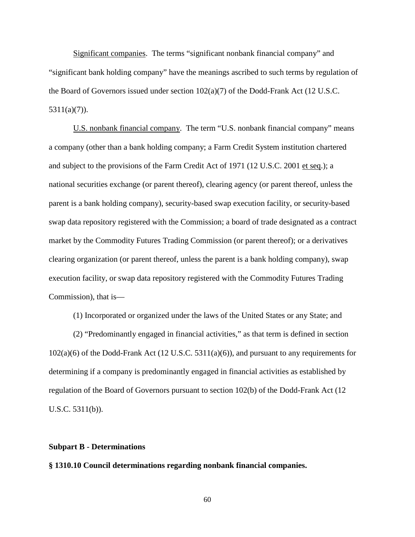Significant companies. The terms "significant nonbank financial company" and "significant bank holding company" have the meanings ascribed to such terms by regulation of the Board of Governors issued under section  $102(a)(7)$  of the Dodd-Frank Act (12 U.S.C. 5311(a)(7)).

U.S. nonbank financial company. The term "U.S. nonbank financial company" means a company (other than a bank holding company; a Farm Credit System institution chartered and subject to the provisions of the Farm Credit Act of 1971 (12 U.S.C. 2001 et seq.); a national securities exchange (or parent thereof), clearing agency (or parent thereof, unless the parent is a bank holding company), security-based swap execution facility, or security-based swap data repository registered with the Commission; a board of trade designated as a contract market by the Commodity Futures Trading Commission (or parent thereof); or a derivatives clearing organization (or parent thereof, unless the parent is a bank holding company), swap execution facility, or swap data repository registered with the Commodity Futures Trading Commission), that is—

(1) Incorporated or organized under the laws of the United States or any State; and

(2) "Predominantly engaged in financial activities," as that term is defined in section 102(a)(6) of the Dodd-Frank Act (12 U.S.C. 5311(a)(6)), and pursuant to any requirements for determining if a company is predominantly engaged in financial activities as established by regulation of the Board of Governors pursuant to section 102(b) of the Dodd-Frank Act (12 U.S.C. 5311(b)).

### **Subpart B - Determinations**

**§ 1310.10 Council determinations regarding nonbank financial companies.**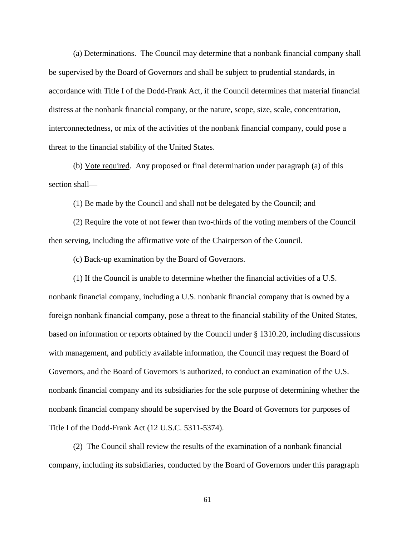(a) Determinations. The Council may determine that a nonbank financial company shall be supervised by the Board of Governors and shall be subject to prudential standards, in accordance with Title I of the Dodd-Frank Act, if the Council determines that material financial distress at the nonbank financial company, or the nature, scope, size, scale, concentration, interconnectedness, or mix of the activities of the nonbank financial company, could pose a threat to the financial stability of the United States.

(b) Vote required. Any proposed or final determination under paragraph (a) of this section shall—

(1) Be made by the Council and shall not be delegated by the Council; and

(2) Require the vote of not fewer than two-thirds of the voting members of the Council then serving, including the affirmative vote of the Chairperson of the Council.

(c) Back-up examination by the Board of Governors.

(1) If the Council is unable to determine whether the financial activities of a U.S. nonbank financial company, including a U.S. nonbank financial company that is owned by a foreign nonbank financial company, pose a threat to the financial stability of the United States, based on information or reports obtained by the Council under § 1310.20, including discussions with management, and publicly available information, the Council may request the Board of Governors, and the Board of Governors is authorized, to conduct an examination of the U.S. nonbank financial company and its subsidiaries for the sole purpose of determining whether the nonbank financial company should be supervised by the Board of Governors for purposes of Title I of the Dodd-Frank Act (12 U.S.C. 5311-5374).

(2) The Council shall review the results of the examination of a nonbank financial company, including its subsidiaries, conducted by the Board of Governors under this paragraph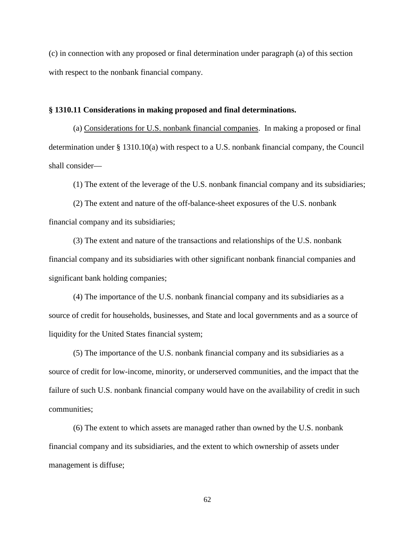(c) in connection with any proposed or final determination under paragraph (a) of this section with respect to the nonbank financial company.

## **§ 1310.11 Considerations in making proposed and final determinations.**

(a) Considerations for U.S. nonbank financial companies. In making a proposed or final determination under § 1310.10(a) with respect to a U.S. nonbank financial company, the Council shall consider—

(1) The extent of the leverage of the U.S. nonbank financial company and its subsidiaries;

(2) The extent and nature of the off-balance-sheet exposures of the U.S. nonbank financial company and its subsidiaries;

(3) The extent and nature of the transactions and relationships of the U.S. nonbank financial company and its subsidiaries with other significant nonbank financial companies and significant bank holding companies;

(4) The importance of the U.S. nonbank financial company and its subsidiaries as a source of credit for households, businesses, and State and local governments and as a source of liquidity for the United States financial system;

(5) The importance of the U.S. nonbank financial company and its subsidiaries as a source of credit for low-income, minority, or underserved communities, and the impact that the failure of such U.S. nonbank financial company would have on the availability of credit in such communities;

(6) The extent to which assets are managed rather than owned by the U.S. nonbank financial company and its subsidiaries, and the extent to which ownership of assets under management is diffuse;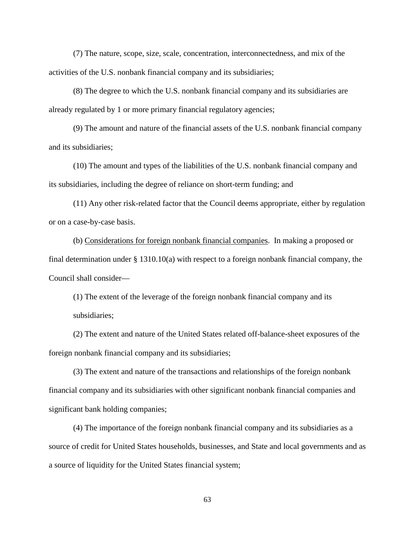(7) The nature, scope, size, scale, concentration, interconnectedness, and mix of the activities of the U.S. nonbank financial company and its subsidiaries;

(8) The degree to which the U.S. nonbank financial company and its subsidiaries are already regulated by 1 or more primary financial regulatory agencies;

(9) The amount and nature of the financial assets of the U.S. nonbank financial company and its subsidiaries;

(10) The amount and types of the liabilities of the U.S. nonbank financial company and its subsidiaries, including the degree of reliance on short-term funding; and

(11) Any other risk-related factor that the Council deems appropriate, either by regulation or on a case-by-case basis.

(b) Considerations for foreign nonbank financial companies. In making a proposed or final determination under § 1310.10(a) with respect to a foreign nonbank financial company, the Council shall consider—

(1) The extent of the leverage of the foreign nonbank financial company and its subsidiaries;

(2) The extent and nature of the United States related off-balance-sheet exposures of the foreign nonbank financial company and its subsidiaries;

(3) The extent and nature of the transactions and relationships of the foreign nonbank financial company and its subsidiaries with other significant nonbank financial companies and significant bank holding companies;

(4) The importance of the foreign nonbank financial company and its subsidiaries as a source of credit for United States households, businesses, and State and local governments and as a source of liquidity for the United States financial system;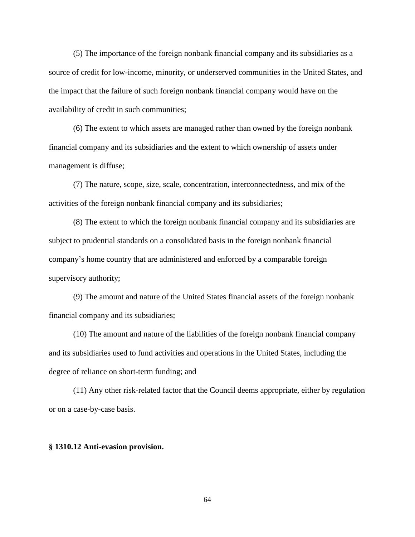(5) The importance of the foreign nonbank financial company and its subsidiaries as a source of credit for low-income, minority, or underserved communities in the United States, and the impact that the failure of such foreign nonbank financial company would have on the availability of credit in such communities;

(6) The extent to which assets are managed rather than owned by the foreign nonbank financial company and its subsidiaries and the extent to which ownership of assets under management is diffuse;

(7) The nature, scope, size, scale, concentration, interconnectedness, and mix of the activities of the foreign nonbank financial company and its subsidiaries;

(8) The extent to which the foreign nonbank financial company and its subsidiaries are subject to prudential standards on a consolidated basis in the foreign nonbank financial company's home country that are administered and enforced by a comparable foreign supervisory authority;

(9) The amount and nature of the United States financial assets of the foreign nonbank financial company and its subsidiaries;

(10) The amount and nature of the liabilities of the foreign nonbank financial company and its subsidiaries used to fund activities and operations in the United States, including the degree of reliance on short-term funding; and

(11) Any other risk-related factor that the Council deems appropriate, either by regulation or on a case-by-case basis.

### **§ 1310.12 Anti-evasion provision.**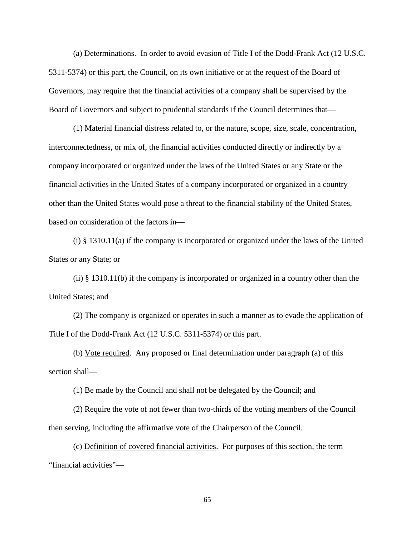(a) Determinations. In order to avoid evasion of Title I of the Dodd-Frank Act (12 U.S.C. 5311-5374) or this part, the Council, on its own initiative or at the request of the Board of Governors, may require that the financial activities of a company shall be supervised by the Board of Governors and subject to prudential standards if the Council determines that—

(1) Material financial distress related to, or the nature, scope, size, scale, concentration, interconnectedness, or mix of, the financial activities conducted directly or indirectly by a company incorporated or organized under the laws of the United States or any State or the financial activities in the United States of a company incorporated or organized in a country other than the United States would pose a threat to the financial stability of the United States, based on consideration of the factors in—

(i) § 1310.11(a) if the company is incorporated or organized under the laws of the United States or any State; or

(ii)  $\S$  1310.11(b) if the company is incorporated or organized in a country other than the United States; and

(2) The company is organized or operates in such a manner as to evade the application of Title I of the Dodd-Frank Act (12 U.S.C. 5311-5374) or this part.

(b) Vote required. Any proposed or final determination under paragraph (a) of this section shall—

(1) Be made by the Council and shall not be delegated by the Council; and

(2) Require the vote of not fewer than two-thirds of the voting members of the Council then serving, including the affirmative vote of the Chairperson of the Council.

(c) Definition of covered financial activities. For purposes of this section, the term "financial activities"—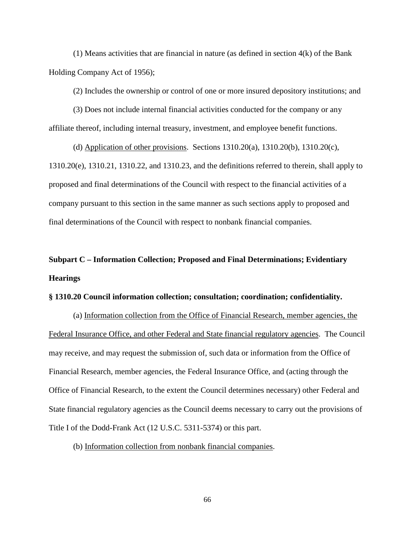(1) Means activities that are financial in nature (as defined in section 4(k) of the Bank Holding Company Act of 1956);

(2) Includes the ownership or control of one or more insured depository institutions; and

(3) Does not include internal financial activities conducted for the company or any affiliate thereof, including internal treasury, investment, and employee benefit functions.

(d) Application of other provisions. Sections  $1310.20(a)$ ,  $1310.20(b)$ ,  $1310.20(c)$ , 1310.20(e), 1310.21, 1310.22, and 1310.23, and the definitions referred to therein, shall apply to proposed and final determinations of the Council with respect to the financial activities of a company pursuant to this section in the same manner as such sections apply to proposed and final determinations of the Council with respect to nonbank financial companies.

## **Subpart C – Information Collection; Proposed and Final Determinations; Evidentiary Hearings**

## **§ 1310.20 Council information collection; consultation; coordination; confidentiality.**

(a) Information collection from the Office of Financial Research, member agencies, the Federal Insurance Office, and other Federal and State financial regulatory agencies. The Council may receive, and may request the submission of, such data or information from the Office of Financial Research, member agencies, the Federal Insurance Office, and (acting through the Office of Financial Research, to the extent the Council determines necessary) other Federal and State financial regulatory agencies as the Council deems necessary to carry out the provisions of Title I of the Dodd-Frank Act (12 U.S.C. 5311-5374) or this part.

(b) Information collection from nonbank financial companies.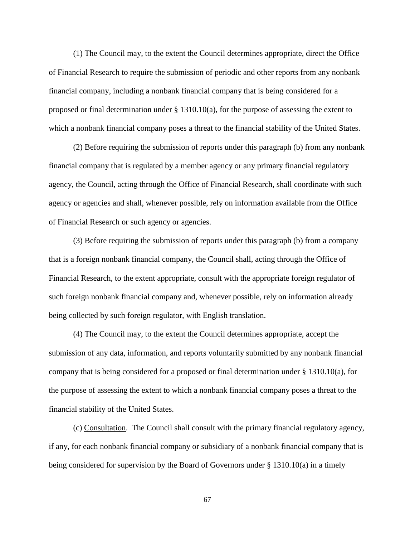(1) The Council may, to the extent the Council determines appropriate, direct the Office of Financial Research to require the submission of periodic and other reports from any nonbank financial company, including a nonbank financial company that is being considered for a proposed or final determination under § 1310.10(a), for the purpose of assessing the extent to which a nonbank financial company poses a threat to the financial stability of the United States.

(2) Before requiring the submission of reports under this paragraph (b) from any nonbank financial company that is regulated by a member agency or any primary financial regulatory agency, the Council, acting through the Office of Financial Research, shall coordinate with such agency or agencies and shall, whenever possible, rely on information available from the Office of Financial Research or such agency or agencies.

(3) Before requiring the submission of reports under this paragraph (b) from a company that is a foreign nonbank financial company, the Council shall, acting through the Office of Financial Research, to the extent appropriate, consult with the appropriate foreign regulator of such foreign nonbank financial company and, whenever possible, rely on information already being collected by such foreign regulator, with English translation.

(4) The Council may, to the extent the Council determines appropriate, accept the submission of any data, information, and reports voluntarily submitted by any nonbank financial company that is being considered for a proposed or final determination under § 1310.10(a), for the purpose of assessing the extent to which a nonbank financial company poses a threat to the financial stability of the United States.

(c) Consultation. The Council shall consult with the primary financial regulatory agency, if any, for each nonbank financial company or subsidiary of a nonbank financial company that is being considered for supervision by the Board of Governors under  $\S$  1310.10(a) in a timely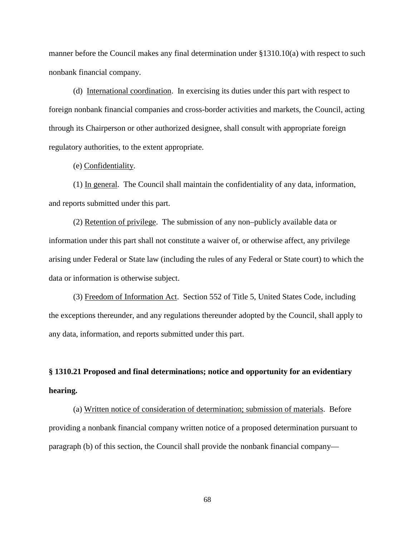manner before the Council makes any final determination under §1310.10(a) with respect to such nonbank financial company.

(d) International coordination. In exercising its duties under this part with respect to foreign nonbank financial companies and cross-border activities and markets, the Council, acting through its Chairperson or other authorized designee, shall consult with appropriate foreign regulatory authorities, to the extent appropriate.

(e) Confidentiality.

(1) In general. The Council shall maintain the confidentiality of any data, information, and reports submitted under this part.

(2) Retention of privilege. The submission of any non–publicly available data or information under this part shall not constitute a waiver of, or otherwise affect, any privilege arising under Federal or State law (including the rules of any Federal or State court) to which the data or information is otherwise subject.

(3) Freedom of Information Act. Section 552 of Title 5, United States Code, including the exceptions thereunder, and any regulations thereunder adopted by the Council, shall apply to any data, information, and reports submitted under this part.

## **§ 1310.21 Proposed and final determinations; notice and opportunity for an evidentiary hearing.**

(a) Written notice of consideration of determination; submission of materials. Before providing a nonbank financial company written notice of a proposed determination pursuant to paragraph (b) of this section, the Council shall provide the nonbank financial company—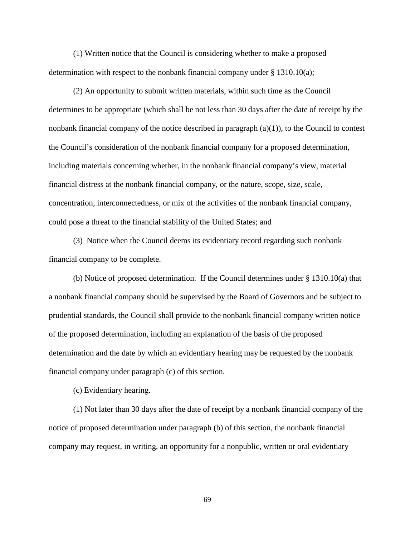(1) Written notice that the Council is considering whether to make a proposed determination with respect to the nonbank financial company under  $\S$  1310.10(a);

(2) An opportunity to submit written materials, within such time as the Council determines to be appropriate (which shall be not less than 30 days after the date of receipt by the nonbank financial company of the notice described in paragraph  $(a)(1)$ ), to the Council to contest the Council's consideration of the nonbank financial company for a proposed determination, including materials concerning whether, in the nonbank financial company's view, material financial distress at the nonbank financial company, or the nature, scope, size, scale, concentration, interconnectedness, or mix of the activities of the nonbank financial company, could pose a threat to the financial stability of the United States; and

(3) Notice when the Council deems its evidentiary record regarding such nonbank financial company to be complete.

(b) Notice of proposed determination. If the Council determines under § 1310.10(a) that a nonbank financial company should be supervised by the Board of Governors and be subject to prudential standards, the Council shall provide to the nonbank financial company written notice of the proposed determination, including an explanation of the basis of the proposed determination and the date by which an evidentiary hearing may be requested by the nonbank financial company under paragraph (c) of this section.

(c) Evidentiary hearing.

(1) Not later than 30 days after the date of receipt by a nonbank financial company of the notice of proposed determination under paragraph (b) of this section, the nonbank financial company may request, in writing, an opportunity for a nonpublic, written or oral evidentiary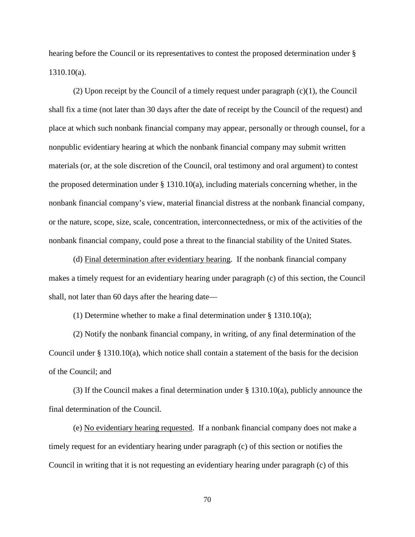hearing before the Council or its representatives to contest the proposed determination under § 1310.10(a).

(2) Upon receipt by the Council of a timely request under paragraph (c)(1), the Council shall fix a time (not later than 30 days after the date of receipt by the Council of the request) and place at which such nonbank financial company may appear, personally or through counsel, for a nonpublic evidentiary hearing at which the nonbank financial company may submit written materials (or, at the sole discretion of the Council, oral testimony and oral argument) to contest the proposed determination under § 1310.10(a), including materials concerning whether, in the nonbank financial company's view, material financial distress at the nonbank financial company, or the nature, scope, size, scale, concentration, interconnectedness, or mix of the activities of the nonbank financial company, could pose a threat to the financial stability of the United States.

(d) Final determination after evidentiary hearing. If the nonbank financial company makes a timely request for an evidentiary hearing under paragraph (c) of this section, the Council shall, not later than 60 days after the hearing date—

(1) Determine whether to make a final determination under § 1310.10(a);

(2) Notify the nonbank financial company, in writing, of any final determination of the Council under § 1310.10(a), which notice shall contain a statement of the basis for the decision of the Council; and

(3) If the Council makes a final determination under § 1310.10(a), publicly announce the final determination of the Council.

(e) No evidentiary hearing requested. If a nonbank financial company does not make a timely request for an evidentiary hearing under paragraph (c) of this section or notifies the Council in writing that it is not requesting an evidentiary hearing under paragraph (c) of this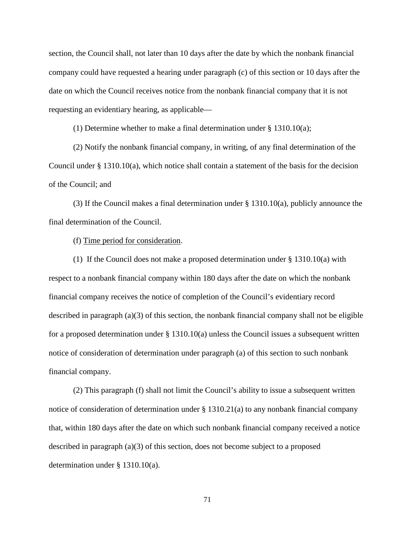section, the Council shall, not later than 10 days after the date by which the nonbank financial company could have requested a hearing under paragraph (c) of this section or 10 days after the date on which the Council receives notice from the nonbank financial company that it is not requesting an evidentiary hearing, as applicable—

(1) Determine whether to make a final determination under § 1310.10(a);

(2) Notify the nonbank financial company, in writing, of any final determination of the Council under § 1310.10(a), which notice shall contain a statement of the basis for the decision of the Council; and

(3) If the Council makes a final determination under § 1310.10(a), publicly announce the final determination of the Council.

(f) Time period for consideration.

(1) If the Council does not make a proposed determination under  $\S$  1310.10(a) with respect to a nonbank financial company within 180 days after the date on which the nonbank financial company receives the notice of completion of the Council's evidentiary record described in paragraph (a)(3) of this section, the nonbank financial company shall not be eligible for a proposed determination under § 1310.10(a) unless the Council issues a subsequent written notice of consideration of determination under paragraph (a) of this section to such nonbank financial company.

(2) This paragraph (f) shall not limit the Council's ability to issue a subsequent written notice of consideration of determination under § 1310.21(a) to any nonbank financial company that, within 180 days after the date on which such nonbank financial company received a notice described in paragraph (a)(3) of this section, does not become subject to a proposed determination under § 1310.10(a).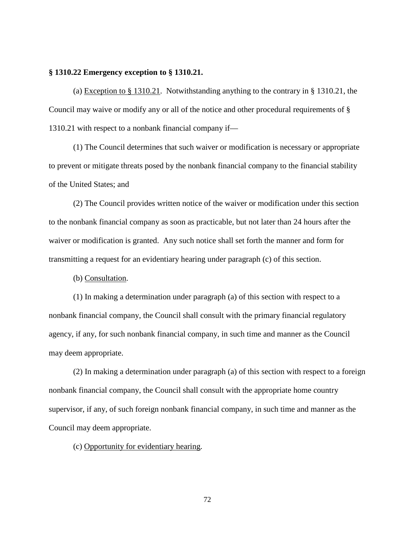### **§ 1310.22 Emergency exception to § 1310.21.**

(a) Exception to  $\S 1310.21$ . Notwithstanding anything to the contrary in  $\S 1310.21$ , the Council may waive or modify any or all of the notice and other procedural requirements of § 1310.21 with respect to a nonbank financial company if—

(1) The Council determines that such waiver or modification is necessary or appropriate to prevent or mitigate threats posed by the nonbank financial company to the financial stability of the United States; and

(2) The Council provides written notice of the waiver or modification under this section to the nonbank financial company as soon as practicable, but not later than 24 hours after the waiver or modification is granted. Any such notice shall set forth the manner and form for transmitting a request for an evidentiary hearing under paragraph (c) of this section.

(b) Consultation.

(1) In making a determination under paragraph (a) of this section with respect to a nonbank financial company, the Council shall consult with the primary financial regulatory agency, if any, for such nonbank financial company, in such time and manner as the Council may deem appropriate.

(2) In making a determination under paragraph (a) of this section with respect to a foreign nonbank financial company, the Council shall consult with the appropriate home country supervisor, if any, of such foreign nonbank financial company, in such time and manner as the Council may deem appropriate.

(c) Opportunity for evidentiary hearing.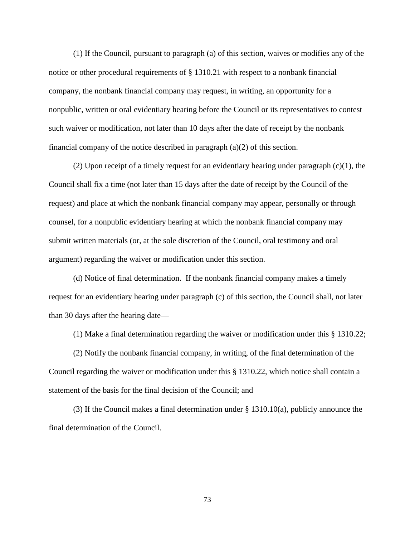(1) If the Council, pursuant to paragraph (a) of this section, waives or modifies any of the notice or other procedural requirements of § 1310.21 with respect to a nonbank financial company, the nonbank financial company may request, in writing, an opportunity for a nonpublic, written or oral evidentiary hearing before the Council or its representatives to contest such waiver or modification, not later than 10 days after the date of receipt by the nonbank financial company of the notice described in paragraph (a)(2) of this section.

(2) Upon receipt of a timely request for an evidentiary hearing under paragraph (c)(1), the Council shall fix a time (not later than 15 days after the date of receipt by the Council of the request) and place at which the nonbank financial company may appear, personally or through counsel, for a nonpublic evidentiary hearing at which the nonbank financial company may submit written materials (or, at the sole discretion of the Council, oral testimony and oral argument) regarding the waiver or modification under this section.

(d) Notice of final determination. If the nonbank financial company makes a timely request for an evidentiary hearing under paragraph (c) of this section, the Council shall, not later than 30 days after the hearing date—

(1) Make a final determination regarding the waiver or modification under this § 1310.22;

(2) Notify the nonbank financial company, in writing, of the final determination of the Council regarding the waiver or modification under this § 1310.22, which notice shall contain a statement of the basis for the final decision of the Council; and

(3) If the Council makes a final determination under § 1310.10(a), publicly announce the final determination of the Council.

73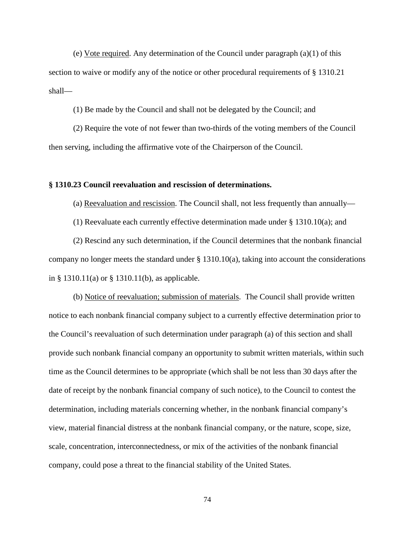(e) Vote required. Any determination of the Council under paragraph (a)(1) of this section to waive or modify any of the notice or other procedural requirements of § 1310.21 shall—

(1) Be made by the Council and shall not be delegated by the Council; and

(2) Require the vote of not fewer than two-thirds of the voting members of the Council then serving, including the affirmative vote of the Chairperson of the Council.

#### **§ 1310.23 Council reevaluation and rescission of determinations.**

(a) Reevaluation and rescission. The Council shall, not less frequently than annually—

(1) Reevaluate each currently effective determination made under  $\S$  1310.10(a); and

(2) Rescind any such determination, if the Council determines that the nonbank financial company no longer meets the standard under § 1310.10(a), taking into account the considerations in § 1310.11(a) or § 1310.11(b), as applicable.

(b) Notice of reevaluation; submission of materials. The Council shall provide written notice to each nonbank financial company subject to a currently effective determination prior to the Council's reevaluation of such determination under paragraph (a) of this section and shall provide such nonbank financial company an opportunity to submit written materials, within such time as the Council determines to be appropriate (which shall be not less than 30 days after the date of receipt by the nonbank financial company of such notice), to the Council to contest the determination, including materials concerning whether, in the nonbank financial company's view, material financial distress at the nonbank financial company, or the nature, scope, size, scale, concentration, interconnectedness, or mix of the activities of the nonbank financial company, could pose a threat to the financial stability of the United States.

74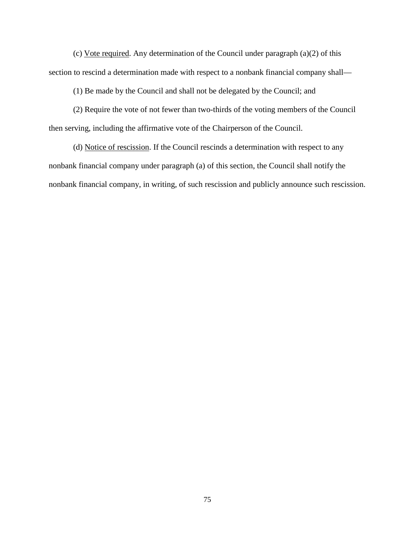(c) Vote required. Any determination of the Council under paragraph (a)(2) of this section to rescind a determination made with respect to a nonbank financial company shall—

(1) Be made by the Council and shall not be delegated by the Council; and

(2) Require the vote of not fewer than two-thirds of the voting members of the Council then serving, including the affirmative vote of the Chairperson of the Council.

(d) Notice of rescission. If the Council rescinds a determination with respect to any nonbank financial company under paragraph (a) of this section, the Council shall notify the nonbank financial company, in writing, of such rescission and publicly announce such rescission.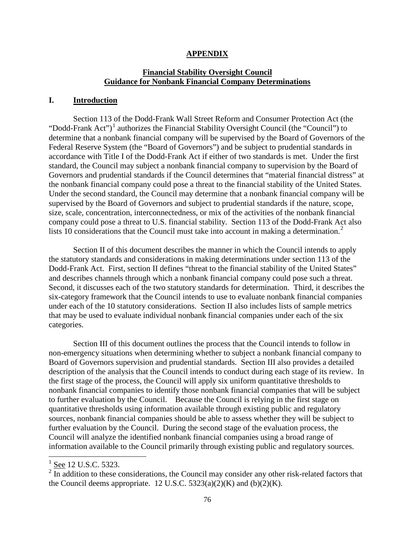#### **APPENDIX**

## **Financial Stability Oversight Council Guidance for Nonbank Financial Company Determinations**

### **I. Introduction**

Section 113 of the Dodd-Frank Wall Street Reform and Consumer Protection Act (the "Dodd-Frank Act")<sup>[1](#page-50-0)</sup> authorizes the Financial Stability Oversight Council (the "Council") to determine that a nonbank financial company will be supervised by the Board of Governors of the Federal Reserve System (the "Board of Governors") and be subject to prudential standards in accordance with Title I of the Dodd-Frank Act if either of two standards is met. Under the first standard, the Council may subject a nonbank financial company to supervision by the Board of Governors and prudential standards if the Council determines that "material financial distress" at the nonbank financial company could pose a threat to the financial stability of the United States. Under the second standard, the Council may determine that a nonbank financial company will be supervised by the Board of Governors and subject to prudential standards if the nature, scope, size, scale, concentration, interconnectedness, or mix of the activities of the nonbank financial company could pose a threat to U.S. financial stability. Section 113 of the Dodd-Frank Act also lists 10 considerations that the Council must take into account in making a determination.<sup>[2](#page-75-0)</sup>

Section II of this document describes the manner in which the Council intends to apply the statutory standards and considerations in making determinations under section 113 of the Dodd-Frank Act. First, section II defines "threat to the financial stability of the United States" and describes channels through which a nonbank financial company could pose such a threat. Second, it discusses each of the two statutory standards for determination. Third, it describes the six-category framework that the Council intends to use to evaluate nonbank financial companies under each of the 10 statutory considerations. Section II also includes lists of sample metrics that may be used to evaluate individual nonbank financial companies under each of the six categories.

Section III of this document outlines the process that the Council intends to follow in non-emergency situations when determining whether to subject a nonbank financial company to Board of Governors supervision and prudential standards. Section III also provides a detailed description of the analysis that the Council intends to conduct during each stage of its review. In the first stage of the process, the Council will apply six uniform quantitative thresholds to nonbank financial companies to identify those nonbank financial companies that will be subject to further evaluation by the Council. Because the Council is relying in the first stage on quantitative thresholds using information available through existing public and regulatory sources, nonbank financial companies should be able to assess whether they will be subject to further evaluation by the Council. During the second stage of the evaluation process, the Council will analyze the identified nonbank financial companies using a broad range of information available to the Council primarily through existing public and regulatory sources.

 $1$  See 12 U.S.C. 5323.

<span id="page-75-0"></span> $2 \frac{322}{\pi}$  In addition to these considerations, the Council may consider any other risk-related factors that the Council deems appropriate. 12 U.S.C.  $5323(a)(2)(K)$  and  $(b)(2)(K)$ .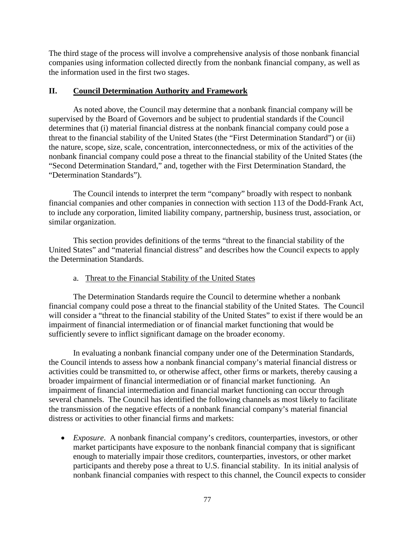The third stage of the process will involve a comprehensive analysis of those nonbank financial companies using information collected directly from the nonbank financial company, as well as the information used in the first two stages.

## **II. Council Determination Authority and Framework**

As noted above, the Council may determine that a nonbank financial company will be supervised by the Board of Governors and be subject to prudential standards if the Council determines that (i) material financial distress at the nonbank financial company could pose a threat to the financial stability of the United States (the "First Determination Standard") or (ii) the nature, scope, size, scale, concentration, interconnectedness, or mix of the activities of the nonbank financial company could pose a threat to the financial stability of the United States (the "Second Determination Standard," and, together with the First Determination Standard, the "Determination Standards").

The Council intends to interpret the term "company" broadly with respect to nonbank financial companies and other companies in connection with section 113 of the Dodd-Frank Act, to include any corporation, limited liability company, partnership, business trust, association, or similar organization.

This section provides definitions of the terms "threat to the financial stability of the United States" and "material financial distress" and describes how the Council expects to apply the Determination Standards.

# a. Threat to the Financial Stability of the United States

The Determination Standards require the Council to determine whether a nonbank financial company could pose a threat to the financial stability of the United States. The Council will consider a "threat to the financial stability of the United States" to exist if there would be an impairment of financial intermediation or of financial market functioning that would be sufficiently severe to inflict significant damage on the broader economy.

In evaluating a nonbank financial company under one of the Determination Standards, the Council intends to assess how a nonbank financial company's material financial distress or activities could be transmitted to, or otherwise affect, other firms or markets, thereby causing a broader impairment of financial intermediation or of financial market functioning. An impairment of financial intermediation and financial market functioning can occur through several channels. The Council has identified the following channels as most likely to facilitate the transmission of the negative effects of a nonbank financial company's material financial distress or activities to other financial firms and markets:

• *Exposure*. A nonbank financial company's creditors, counterparties, investors, or other market participants have exposure to the nonbank financial company that is significant enough to materially impair those creditors, counterparties, investors, or other market participants and thereby pose a threat to U.S. financial stability. In its initial analysis of nonbank financial companies with respect to this channel, the Council expects to consider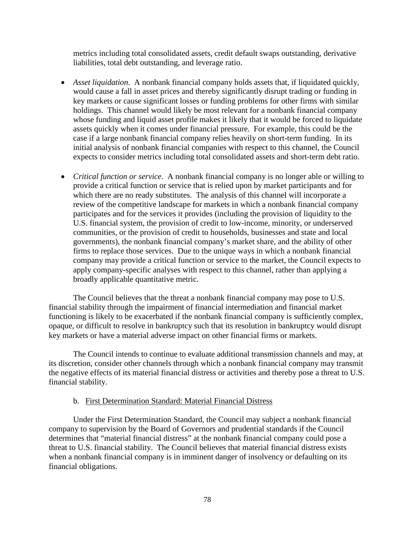metrics including total consolidated assets, credit default swaps outstanding, derivative liabilities, total debt outstanding, and leverage ratio.

- *Asset liquidation*. A nonbank financial company holds assets that, if liquidated quickly, would cause a fall in asset prices and thereby significantly disrupt trading or funding in key markets or cause significant losses or funding problems for other firms with similar holdings. This channel would likely be most relevant for a nonbank financial company whose funding and liquid asset profile makes it likely that it would be forced to liquidate assets quickly when it comes under financial pressure. For example, this could be the case if a large nonbank financial company relies heavily on short-term funding. In its initial analysis of nonbank financial companies with respect to this channel, the Council expects to consider metrics including total consolidated assets and short-term debt ratio.
- *Critical function or service*. A nonbank financial company is no longer able or willing to provide a critical function or service that is relied upon by market participants and for which there are no ready substitutes. The analysis of this channel will incorporate a review of the competitive landscape for markets in which a nonbank financial company participates and for the services it provides (including the provision of liquidity to the U.S. financial system, the provision of credit to low-income, minority, or underserved communities, or the provision of credit to households, businesses and state and local governments), the nonbank financial company's market share, and the ability of other firms to replace those services. Due to the unique ways in which a nonbank financial company may provide a critical function or service to the market, the Council expects to apply company-specific analyses with respect to this channel, rather than applying a broadly applicable quantitative metric.

The Council believes that the threat a nonbank financial company may pose to U.S. financial stability through the impairment of financial intermediation and financial market functioning is likely to be exacerbated if the nonbank financial company is sufficiently complex, opaque, or difficult to resolve in bankruptcy such that its resolution in bankruptcy would disrupt key markets or have a material adverse impact on other financial firms or markets.

The Council intends to continue to evaluate additional transmission channels and may, at its discretion, consider other channels through which a nonbank financial company may transmit the negative effects of its material financial distress or activities and thereby pose a threat to U.S. financial stability.

### b. First Determination Standard: Material Financial Distress

Under the First Determination Standard, the Council may subject a nonbank financial company to supervision by the Board of Governors and prudential standards if the Council determines that "material financial distress" at the nonbank financial company could pose a threat to U.S. financial stability. The Council believes that material financial distress exists when a nonbank financial company is in imminent danger of insolvency or defaulting on its financial obligations.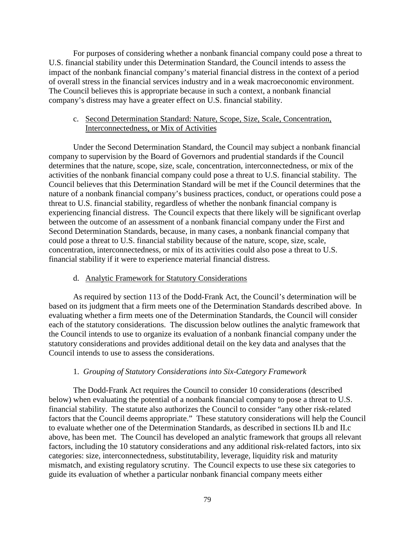For purposes of considering whether a nonbank financial company could pose a threat to U.S. financial stability under this Determination Standard, the Council intends to assess the impact of the nonbank financial company's material financial distress in the context of a period of overall stress in the financial services industry and in a weak macroeconomic environment. The Council believes this is appropriate because in such a context, a nonbank financial company's distress may have a greater effect on U.S. financial stability.

## c. Second Determination Standard: Nature, Scope, Size, Scale, Concentration, Interconnectedness, or Mix of Activities

Under the Second Determination Standard, the Council may subject a nonbank financial company to supervision by the Board of Governors and prudential standards if the Council determines that the nature, scope, size, scale, concentration, interconnectedness, or mix of the activities of the nonbank financial company could pose a threat to U.S. financial stability. The Council believes that this Determination Standard will be met if the Council determines that the nature of a nonbank financial company's business practices, conduct, or operations could pose a threat to U.S. financial stability, regardless of whether the nonbank financial company is experiencing financial distress. The Council expects that there likely will be significant overlap between the outcome of an assessment of a nonbank financial company under the First and Second Determination Standards, because, in many cases, a nonbank financial company that could pose a threat to U.S. financial stability because of the nature, scope, size, scale, concentration, interconnectedness, or mix of its activities could also pose a threat to U.S. financial stability if it were to experience material financial distress.

### d. Analytic Framework for Statutory Considerations

As required by section 113 of the Dodd-Frank Act, the Council's determination will be based on its judgment that a firm meets one of the Determination Standards described above. In evaluating whether a firm meets one of the Determination Standards, the Council will consider each of the statutory considerations. The discussion below outlines the analytic framework that the Council intends to use to organize its evaluation of a nonbank financial company under the statutory considerations and provides additional detail on the key data and analyses that the Council intends to use to assess the considerations.

# 1. *Grouping of Statutory Considerations into Six-Category Framework*

The Dodd-Frank Act requires the Council to consider 10 considerations (described below) when evaluating the potential of a nonbank financial company to pose a threat to U.S. financial stability. The statute also authorizes the Council to consider "any other risk-related factors that the Council deems appropriate." These statutory considerations will help the Council to evaluate whether one of the Determination Standards, as described in sections II.b and II.c above, has been met. The Council has developed an analytic framework that groups all relevant factors, including the 10 statutory considerations and any additional risk-related factors, into six categories: size, interconnectedness, substitutability, leverage, liquidity risk and maturity mismatch, and existing regulatory scrutiny. The Council expects to use these six categories to guide its evaluation of whether a particular nonbank financial company meets either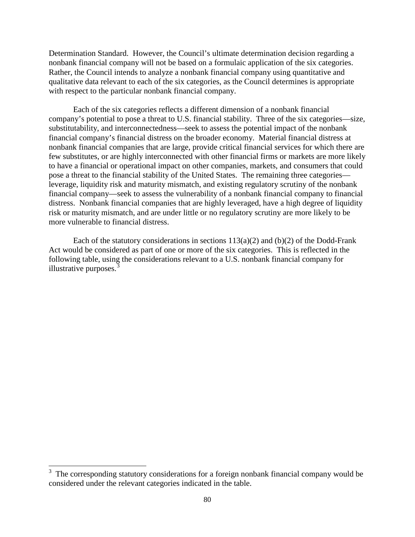Determination Standard. However, the Council's ultimate determination decision regarding a nonbank financial company will not be based on a formulaic application of the six categories. Rather, the Council intends to analyze a nonbank financial company using quantitative and qualitative data relevant to each of the six categories, as the Council determines is appropriate with respect to the particular nonbank financial company.

Each of the six categories reflects a different dimension of a nonbank financial company's potential to pose a threat to U.S. financial stability. Three of the six categories—size, substitutability, and interconnectedness—seek to assess the potential impact of the nonbank financial company's financial distress on the broader economy. Material financial distress at nonbank financial companies that are large, provide critical financial services for which there are few substitutes, or are highly interconnected with other financial firms or markets are more likely to have a financial or operational impact on other companies, markets, and consumers that could pose a threat to the financial stability of the United States. The remaining three categories leverage, liquidity risk and maturity mismatch, and existing regulatory scrutiny of the nonbank financial company—seek to assess the vulnerability of a nonbank financial company to financial distress. Nonbank financial companies that are highly leveraged, have a high degree of liquidity risk or maturity mismatch, and are under little or no regulatory scrutiny are more likely to be more vulnerable to financial distress.

Each of the statutory considerations in sections  $113(a)(2)$  and  $(b)(2)$  of the Dodd-Frank Act would be considered as part of one or more of the six categories. This is reflected in the following table, using the considerations relevant to a U.S. nonbank financial company for illustrative purposes. $\frac{3}{5}$  $\frac{3}{5}$  $\frac{3}{5}$ 

<span id="page-79-0"></span><sup>&</sup>lt;sup>3</sup> The corresponding statutory considerations for a foreign nonbank financial company would be considered under the relevant categories indicated in the table.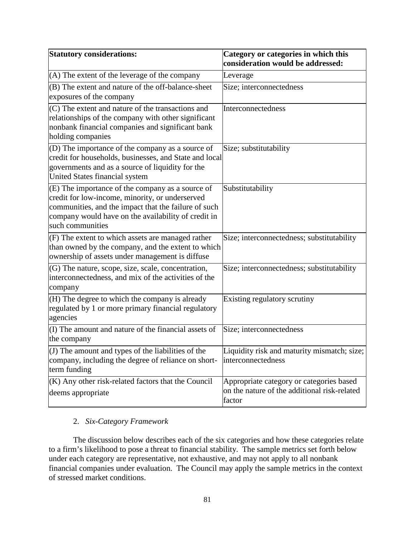| <b>Statutory considerations:</b>                                                                                                                                                                                                       | Category or categories in which this<br>consideration would be addressed:                          |
|----------------------------------------------------------------------------------------------------------------------------------------------------------------------------------------------------------------------------------------|----------------------------------------------------------------------------------------------------|
| (A) The extent of the leverage of the company                                                                                                                                                                                          | Leverage                                                                                           |
| (B) The extent and nature of the off-balance-sheet<br>exposures of the company                                                                                                                                                         | Size; interconnectedness                                                                           |
| (C) The extent and nature of the transactions and<br>relationships of the company with other significant<br>nonbank financial companies and significant bank<br>holding companies                                                      | Interconnectedness                                                                                 |
| (D) The importance of the company as a source of<br>credit for households, businesses, and State and local<br>governments and as a source of liquidity for the<br>United States financial system                                       | Size; substitutability                                                                             |
| (E) The importance of the company as a source of<br>credit for low-income, minority, or underserved<br>communities, and the impact that the failure of such<br>company would have on the availability of credit in<br>such communities | Substitutability                                                                                   |
| (F) The extent to which assets are managed rather<br>than owned by the company, and the extent to which<br>ownership of assets under management is diffuse                                                                             | Size; interconnectedness; substitutability                                                         |
| (G) The nature, scope, size, scale, concentration,<br>interconnectedness, and mix of the activities of the<br>company                                                                                                                  | Size; interconnectedness; substitutability                                                         |
| (H) The degree to which the company is already<br>regulated by 1 or more primary financial regulatory<br>agencies                                                                                                                      | Existing regulatory scrutiny                                                                       |
| (I) The amount and nature of the financial assets of<br>the company                                                                                                                                                                    | Size; interconnectedness                                                                           |
| $($ J $)$ The amount and types of the liabilities of the<br>company, including the degree of reliance on short-<br>term funding                                                                                                        | Liquidity risk and maturity mismatch; size;<br>interconnectedness                                  |
| $(K)$ Any other risk-related factors that the Council<br>deems appropriate                                                                                                                                                             | Appropriate category or categories based<br>on the nature of the additional risk-related<br>factor |

# 2. *Six-Category Framework*

The discussion below describes each of the six categories and how these categories relate to a firm's likelihood to pose a threat to financial stability. The sample metrics set forth below under each category are representative, not exhaustive, and may not apply to all nonbank financial companies under evaluation. The Council may apply the sample metrics in the context of stressed market conditions.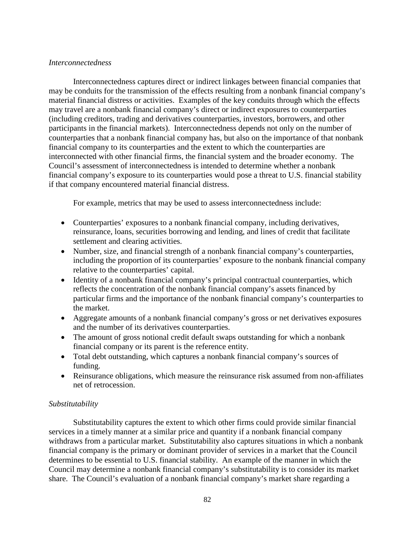### *Interconnectedness*

Interconnectedness captures direct or indirect linkages between financial companies that may be conduits for the transmission of the effects resulting from a nonbank financial company's material financial distress or activities. Examples of the key conduits through which the effects may travel are a nonbank financial company's direct or indirect exposures to counterparties (including creditors, trading and derivatives counterparties, investors, borrowers, and other participants in the financial markets). Interconnectedness depends not only on the number of counterparties that a nonbank financial company has, but also on the importance of that nonbank financial company to its counterparties and the extent to which the counterparties are interconnected with other financial firms, the financial system and the broader economy. The Council's assessment of interconnectedness is intended to determine whether a nonbank financial company's exposure to its counterparties would pose a threat to U.S. financial stability if that company encountered material financial distress.

For example, metrics that may be used to assess interconnectedness include:

- Counterparties' exposures to a nonbank financial company, including derivatives, reinsurance, loans, securities borrowing and lending, and lines of credit that facilitate settlement and clearing activities.
- Number, size, and financial strength of a nonbank financial company's counterparties, including the proportion of its counterparties' exposure to the nonbank financial company relative to the counterparties' capital.
- Identity of a nonbank financial company's principal contractual counterparties, which reflects the concentration of the nonbank financial company's assets financed by particular firms and the importance of the nonbank financial company's counterparties to the market.
- Aggregate amounts of a nonbank financial company's gross or net derivatives exposures and the number of its derivatives counterparties.
- The amount of gross notional credit default swaps outstanding for which a nonbank financial company or its parent is the reference entity.
- Total debt outstanding, which captures a nonbank financial company's sources of funding.
- Reinsurance obligations, which measure the reinsurance risk assumed from non-affiliates net of retrocession.

### *Substitutability*

Substitutability captures the extent to which other firms could provide similar financial services in a timely manner at a similar price and quantity if a nonbank financial company withdraws from a particular market. Substitutability also captures situations in which a nonbank financial company is the primary or dominant provider of services in a market that the Council determines to be essential to U.S. financial stability. An example of the manner in which the Council may determine a nonbank financial company's substitutability is to consider its market share. The Council's evaluation of a nonbank financial company's market share regarding a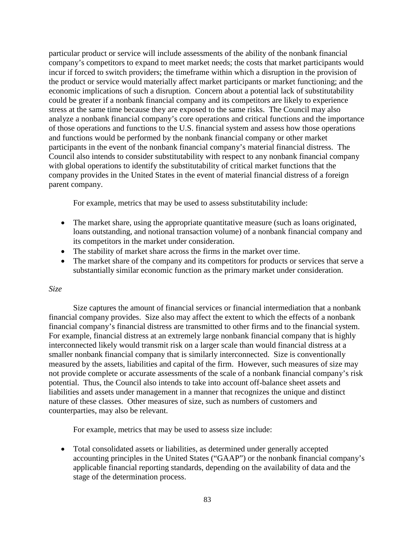particular product or service will include assessments of the ability of the nonbank financial company's competitors to expand to meet market needs; the costs that market participants would incur if forced to switch providers; the timeframe within which a disruption in the provision of the product or service would materially affect market participants or market functioning; and the economic implications of such a disruption. Concern about a potential lack of substitutability could be greater if a nonbank financial company and its competitors are likely to experience stress at the same time because they are exposed to the same risks. The Council may also analyze a nonbank financial company's core operations and critical functions and the importance of those operations and functions to the U.S. financial system and assess how those operations and functions would be performed by the nonbank financial company or other market participants in the event of the nonbank financial company's material financial distress. The Council also intends to consider substitutability with respect to any nonbank financial company with global operations to identify the substitutability of critical market functions that the company provides in the United States in the event of material financial distress of a foreign parent company.

For example, metrics that may be used to assess substitutability include:

- The market share, using the appropriate quantitative measure (such as loans originated, loans outstanding, and notional transaction volume) of a nonbank financial company and its competitors in the market under consideration.
- The stability of market share across the firms in the market over time.
- The market share of the company and its competitors for products or services that serve a substantially similar economic function as the primary market under consideration.

# *Size*

Size captures the amount of financial services or financial intermediation that a nonbank financial company provides. Size also may affect the extent to which the effects of a nonbank financial company's financial distress are transmitted to other firms and to the financial system. For example, financial distress at an extremely large nonbank financial company that is highly interconnected likely would transmit risk on a larger scale than would financial distress at a smaller nonbank financial company that is similarly interconnected. Size is conventionally measured by the assets, liabilities and capital of the firm. However, such measures of size may not provide complete or accurate assessments of the scale of a nonbank financial company's risk potential. Thus, the Council also intends to take into account off-balance sheet assets and liabilities and assets under management in a manner that recognizes the unique and distinct nature of these classes. Other measures of size, such as numbers of customers and counterparties, may also be relevant.

For example, metrics that may be used to assess size include:

• Total consolidated assets or liabilities, as determined under generally accepted accounting principles in the United States ("GAAP") or the nonbank financial company's applicable financial reporting standards, depending on the availability of data and the stage of the determination process.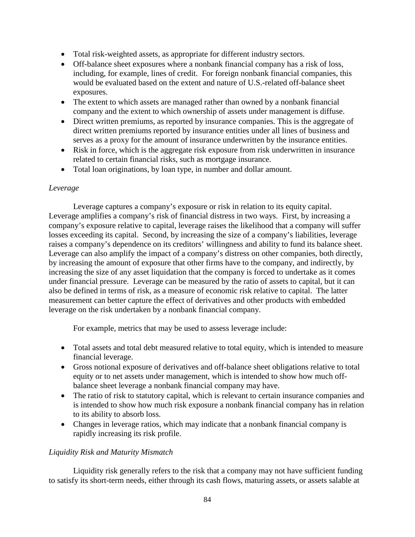- Total risk-weighted assets, as appropriate for different industry sectors.
- Off-balance sheet exposures where a nonbank financial company has a risk of loss, including, for example, lines of credit. For foreign nonbank financial companies, this would be evaluated based on the extent and nature of U.S.-related off-balance sheet exposures.
- The extent to which assets are managed rather than owned by a nonbank financial company and the extent to which ownership of assets under management is diffuse.
- Direct written premiums, as reported by insurance companies. This is the aggregate of direct written premiums reported by insurance entities under all lines of business and serves as a proxy for the amount of insurance underwritten by the insurance entities.
- Risk in force, which is the aggregate risk exposure from risk underwritten in insurance related to certain financial risks, such as mortgage insurance.
- Total loan originations, by loan type, in number and dollar amount.

## *Leverage*

Leverage captures a company's exposure or risk in relation to its equity capital. Leverage amplifies a company's risk of financial distress in two ways. First, by increasing a company's exposure relative to capital, leverage raises the likelihood that a company will suffer losses exceeding its capital. Second, by increasing the size of a company's liabilities, leverage raises a company's dependence on its creditors' willingness and ability to fund its balance sheet. Leverage can also amplify the impact of a company's distress on other companies, both directly, by increasing the amount of exposure that other firms have to the company, and indirectly, by increasing the size of any asset liquidation that the company is forced to undertake as it comes under financial pressure. Leverage can be measured by the ratio of assets to capital, but it can also be defined in terms of risk, as a measure of economic risk relative to capital. The latter measurement can better capture the effect of derivatives and other products with embedded leverage on the risk undertaken by a nonbank financial company.

For example, metrics that may be used to assess leverage include:

- Total assets and total debt measured relative to total equity, which is intended to measure financial leverage.
- Gross notional exposure of derivatives and off-balance sheet obligations relative to total equity or to net assets under management, which is intended to show how much offbalance sheet leverage a nonbank financial company may have.
- The ratio of risk to statutory capital, which is relevant to certain insurance companies and is intended to show how much risk exposure a nonbank financial company has in relation to its ability to absorb loss.
- Changes in leverage ratios, which may indicate that a nonbank financial company is rapidly increasing its risk profile.

### *Liquidity Risk and Maturity Mismatch*

Liquidity risk generally refers to the risk that a company may not have sufficient funding to satisfy its short-term needs, either through its cash flows, maturing assets, or assets salable at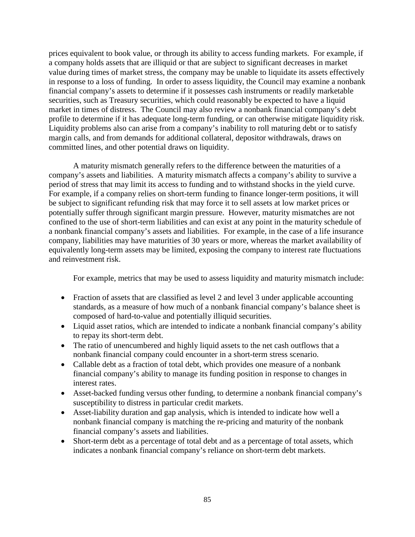prices equivalent to book value, or through its ability to access funding markets. For example, if a company holds assets that are illiquid or that are subject to significant decreases in market value during times of market stress, the company may be unable to liquidate its assets effectively in response to a loss of funding. In order to assess liquidity, the Council may examine a nonbank financial company's assets to determine if it possesses cash instruments or readily marketable securities, such as Treasury securities, which could reasonably be expected to have a liquid market in times of distress. The Council may also review a nonbank financial company's debt profile to determine if it has adequate long-term funding, or can otherwise mitigate liquidity risk. Liquidity problems also can arise from a company's inability to roll maturing debt or to satisfy margin calls, and from demands for additional collateral, depositor withdrawals, draws on committed lines, and other potential draws on liquidity.

A maturity mismatch generally refers to the difference between the maturities of a company's assets and liabilities. A maturity mismatch affects a company's ability to survive a period of stress that may limit its access to funding and to withstand shocks in the yield curve. For example, if a company relies on short-term funding to finance longer-term positions, it will be subject to significant refunding risk that may force it to sell assets at low market prices or potentially suffer through significant margin pressure. However, maturity mismatches are not confined to the use of short-term liabilities and can exist at any point in the maturity schedule of a nonbank financial company's assets and liabilities. For example, in the case of a life insurance company, liabilities may have maturities of 30 years or more, whereas the market availability of equivalently long-term assets may be limited, exposing the company to interest rate fluctuations and reinvestment risk.

For example, metrics that may be used to assess liquidity and maturity mismatch include:

- Fraction of assets that are classified as level 2 and level 3 under applicable accounting standards, as a measure of how much of a nonbank financial company's balance sheet is composed of hard-to-value and potentially illiquid securities.
- Liquid asset ratios, which are intended to indicate a nonbank financial company's ability to repay its short-term debt.
- The ratio of unencumbered and highly liquid assets to the net cash outflows that a nonbank financial company could encounter in a short-term stress scenario.
- Callable debt as a fraction of total debt, which provides one measure of a nonbank financial company's ability to manage its funding position in response to changes in interest rates.
- Asset-backed funding versus other funding, to determine a nonbank financial company's susceptibility to distress in particular credit markets.
- Asset-liability duration and gap analysis, which is intended to indicate how well a nonbank financial company is matching the re-pricing and maturity of the nonbank financial company's assets and liabilities.
- Short-term debt as a percentage of total debt and as a percentage of total assets, which indicates a nonbank financial company's reliance on short-term debt markets.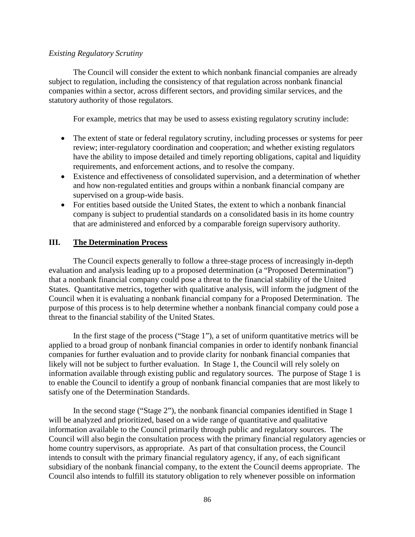#### *Existing Regulatory Scrutiny*

The Council will consider the extent to which nonbank financial companies are already subject to regulation, including the consistency of that regulation across nonbank financial companies within a sector, across different sectors, and providing similar services, and the statutory authority of those regulators.

For example, metrics that may be used to assess existing regulatory scrutiny include:

- The extent of state or federal regulatory scrutiny, including processes or systems for peer review; inter-regulatory coordination and cooperation; and whether existing regulators have the ability to impose detailed and timely reporting obligations, capital and liquidity requirements, and enforcement actions, and to resolve the company.
- Existence and effectiveness of consolidated supervision, and a determination of whether and how non-regulated entities and groups within a nonbank financial company are supervised on a group-wide basis.
- For entities based outside the United States, the extent to which a nonbank financial company is subject to prudential standards on a consolidated basis in its home country that are administered and enforced by a comparable foreign supervisory authority.

## **III. The Determination Process**

The Council expects generally to follow a three-stage process of increasingly in-depth evaluation and analysis leading up to a proposed determination (a "Proposed Determination") that a nonbank financial company could pose a threat to the financial stability of the United States. Quantitative metrics, together with qualitative analysis, will inform the judgment of the Council when it is evaluating a nonbank financial company for a Proposed Determination. The purpose of this process is to help determine whether a nonbank financial company could pose a threat to the financial stability of the United States.

In the first stage of the process ("Stage 1"), a set of uniform quantitative metrics will be applied to a broad group of nonbank financial companies in order to identify nonbank financial companies for further evaluation and to provide clarity for nonbank financial companies that likely will not be subject to further evaluation. In Stage 1, the Council will rely solely on information available through existing public and regulatory sources. The purpose of Stage 1 is to enable the Council to identify a group of nonbank financial companies that are most likely to satisfy one of the Determination Standards.

In the second stage ("Stage 2"), the nonbank financial companies identified in Stage 1 will be analyzed and prioritized, based on a wide range of quantitative and qualitative information available to the Council primarily through public and regulatory sources. The Council will also begin the consultation process with the primary financial regulatory agencies or home country supervisors, as appropriate. As part of that consultation process, the Council intends to consult with the primary financial regulatory agency, if any, of each significant subsidiary of the nonbank financial company, to the extent the Council deems appropriate. The Council also intends to fulfill its statutory obligation to rely whenever possible on information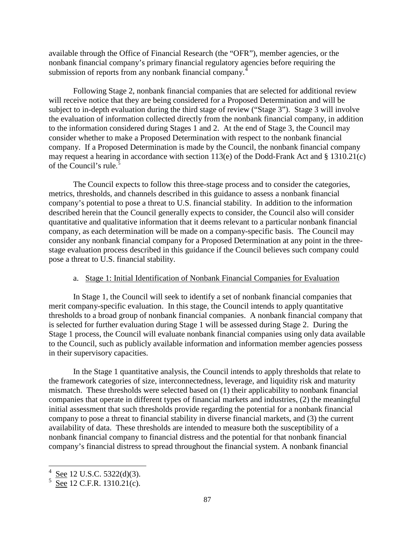available through the Office of Financial Research (the "OFR"), member agencies, or the nonbank financial company's primary financial regulatory agencies before requiring the submission of reports from any nonbank financial company.<sup>[4](#page-79-0)</sup>

Following Stage 2, nonbank financial companies that are selected for additional review will receive notice that they are being considered for a Proposed Determination and will be subject to in-depth evaluation during the third stage of review ("Stage 3"). Stage 3 will involve the evaluation of information collected directly from the nonbank financial company, in addition to the information considered during Stages 1 and 2. At the end of Stage 3, the Council may consider whether to make a Proposed Determination with respect to the nonbank financial company. If a Proposed Determination is made by the Council, the nonbank financial company may request a hearing in accordance with section 113(e) of the Dodd-Frank Act and § 1310.21(c) of the Council's rule. [5](#page-86-0)

The Council expects to follow this three-stage process and to consider the categories, metrics, thresholds, and channels described in this guidance to assess a nonbank financial company's potential to pose a threat to U.S. financial stability. In addition to the information described herein that the Council generally expects to consider, the Council also will consider quantitative and qualitative information that it deems relevant to a particular nonbank financial company, as each determination will be made on a company-specific basis. The Council may consider any nonbank financial company for a Proposed Determination at any point in the threestage evaluation process described in this guidance if the Council believes such company could pose a threat to U.S. financial stability.

### a. Stage 1: Initial Identification of Nonbank Financial Companies for Evaluation

In Stage 1, the Council will seek to identify a set of nonbank financial companies that merit company-specific evaluation. In this stage, the Council intends to apply quantitative thresholds to a broad group of nonbank financial companies. A nonbank financial company that is selected for further evaluation during Stage 1 will be assessed during Stage 2. During the Stage 1 process, the Council will evaluate nonbank financial companies using only data available to the Council, such as publicly available information and information member agencies possess in their supervisory capacities.

<span id="page-86-1"></span>In the Stage 1 quantitative analysis, the Council intends to apply thresholds that relate to the framework categories of size, interconnectedness, leverage, and liquidity risk and maturity mismatch. These thresholds were selected based on (1) their applicability to nonbank financial companies that operate in different types of financial markets and industries, (2) the meaningful initial assessment that such thresholds provide regarding the potential for a nonbank financial company to pose a threat to financial stability in diverse financial markets, and (3) the current availability of data. These thresholds are intended to measure both the susceptibility of a nonbank financial company to financial distress and the potential for that nonbank financial company's financial distress to spread throughout the financial system. A nonbank financial

 $\frac{1}{4}$ See 12 U.S.C. 5322(d)(3).

<span id="page-86-0"></span> $\frac{5}{\text{See}}$  12 C.F.R. 1310.21(c).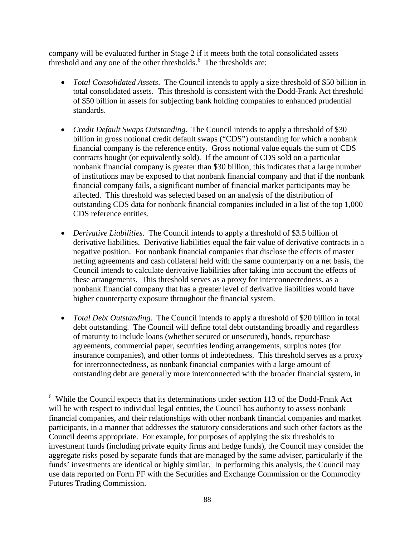company will be evaluated further in Stage 2 if it meets both the total consolidated assets threshold and any one of the other thresholds.<sup>[6](#page-86-1)</sup> The thresholds are:

- *Total Consolidated Assets*. The Council intends to apply a size threshold of \$50 billion in total consolidated assets. This threshold is consistent with the Dodd-Frank Act threshold of \$50 billion in assets for subjecting bank holding companies to enhanced prudential standards.
- *Credit Default Swaps Outstanding*. The Council intends to apply a threshold of \$30 billion in gross notional credit default swaps ("CDS") outstanding for which a nonbank financial company is the reference entity. Gross notional value equals the sum of CDS contracts bought (or equivalently sold). If the amount of CDS sold on a particular nonbank financial company is greater than \$30 billion, this indicates that a large number of institutions may be exposed to that nonbank financial company and that if the nonbank financial company fails, a significant number of financial market participants may be affected. This threshold was selected based on an analysis of the distribution of outstanding CDS data for nonbank financial companies included in a list of the top 1,000 CDS reference entities.
- *Derivative Liabilities*. The Council intends to apply a threshold of \$3.5 billion of derivative liabilities. Derivative liabilities equal the fair value of derivative contracts in a negative position. For nonbank financial companies that disclose the effects of master netting agreements and cash collateral held with the same counterparty on a net basis, the Council intends to calculate derivative liabilities after taking into account the effects of these arrangements. This threshold serves as a proxy for interconnectedness, as a nonbank financial company that has a greater level of derivative liabilities would have higher counterparty exposure throughout the financial system.
- *Total Debt Outstanding*. The Council intends to apply a threshold of \$20 billion in total debt outstanding. The Council will define total debt outstanding broadly and regardless of maturity to include loans (whether secured or unsecured), bonds, repurchase agreements, commercial paper, securities lending arrangements, surplus notes (for insurance companies), and other forms of indebtedness. This threshold serves as a proxy for interconnectedness, as nonbank financial companies with a large amount of outstanding debt are generally more interconnected with the broader financial system, in

<span id="page-87-0"></span> <sup>6</sup> While the Council expects that its determinations under section 113 of the Dodd-Frank Act will be with respect to individual legal entities, the Council has authority to assess nonbank financial companies, and their relationships with other nonbank financial companies and market participants, in a manner that addresses the statutory considerations and such other factors as the Council deems appropriate. For example, for purposes of applying the six thresholds to investment funds (including private equity firms and hedge funds), the Council may consider the aggregate risks posed by separate funds that are managed by the same adviser, particularly if the funds' investments are identical or highly similar. In performing this analysis, the Council may use data reported on Form PF with the Securities and Exchange Commission or the Commodity Futures Trading Commission.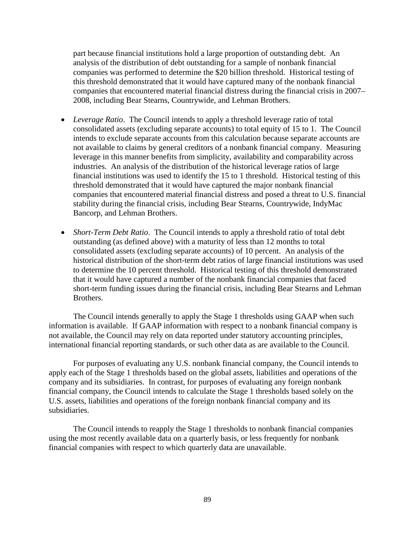part because financial institutions hold a large proportion of outstanding debt. An analysis of the distribution of debt outstanding for a sample of nonbank financial companies was performed to determine the \$20 billion threshold. Historical testing of this threshold demonstrated that it would have captured many of the nonbank financial companies that encountered material financial distress during the financial crisis in 2007– 2008, including Bear Stearns, Countrywide, and Lehman Brothers.

- *Leverage Ratio*. The Council intends to apply a threshold leverage ratio of total consolidated assets (excluding separate accounts) to total equity of 15 to 1. The Council intends to exclude separate accounts from this calculation because separate accounts are not available to claims by general creditors of a nonbank financial company. Measuring leverage in this manner benefits from simplicity, availability and comparability across industries. An analysis of the distribution of the historical leverage ratios of large financial institutions was used to identify the 15 to 1 threshold. Historical testing of this threshold demonstrated that it would have captured the major nonbank financial companies that encountered material financial distress and posed a threat to U.S. financial stability during the financial crisis, including Bear Stearns, Countrywide, IndyMac Bancorp, and Lehman Brothers.
- *Short-Term Debt Ratio.* The Council intends to apply a threshold ratio of total debt outstanding (as defined above) with a maturity of less than 12 months to total consolidated assets (excluding separate accounts) of 10 percent. An analysis of the historical distribution of the short-term debt ratios of large financial institutions was used to determine the 10 percent threshold. Historical testing of this threshold demonstrated that it would have captured a number of the nonbank financial companies that faced short-term funding issues during the financial crisis, including Bear Stearns and Lehman Brothers.

The Council intends generally to apply the Stage 1 thresholds using GAAP when such information is available. If GAAP information with respect to a nonbank financial company is not available, the Council may rely on data reported under statutory accounting principles, international financial reporting standards, or such other data as are available to the Council.

For purposes of evaluating any U.S. nonbank financial company, the Council intends to apply each of the Stage 1 thresholds based on the global assets, liabilities and operations of the company and its subsidiaries. In contrast, for purposes of evaluating any foreign nonbank financial company, the Council intends to calculate the Stage 1 thresholds based solely on the U.S. assets, liabilities and operations of the foreign nonbank financial company and its subsidiaries.

The Council intends to reapply the Stage 1 thresholds to nonbank financial companies using the most recently available data on a quarterly basis, or less frequently for nonbank financial companies with respect to which quarterly data are unavailable.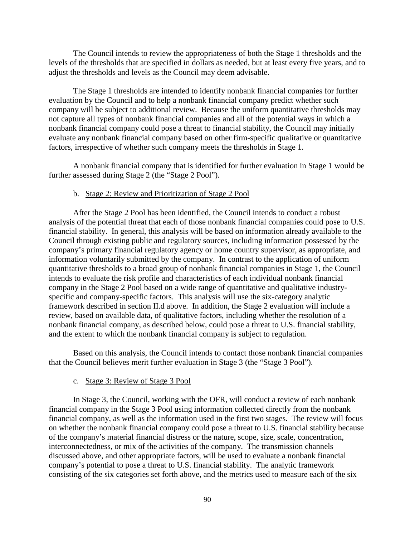The Council intends to review the appropriateness of both the Stage 1 thresholds and the levels of the thresholds that are specified in dollars as needed, but at least every five years, and to adjust the thresholds and levels as the Council may deem advisable.

The Stage 1 thresholds are intended to identify nonbank financial companies for further evaluation by the Council and to help a nonbank financial company predict whether such company will be subject to additional review. Because the uniform quantitative thresholds may not capture all types of nonbank financial companies and all of the potential ways in which a nonbank financial company could pose a threat to financial stability, the Council may initially evaluate any nonbank financial company based on other firm-specific qualitative or quantitative factors, irrespective of whether such company meets the thresholds in Stage 1.

A nonbank financial company that is identified for further evaluation in Stage 1 would be further assessed during Stage 2 (the "Stage 2 Pool").

#### b. Stage 2: Review and Prioritization of Stage 2 Pool

After the Stage 2 Pool has been identified, the Council intends to conduct a robust analysis of the potential threat that each of those nonbank financial companies could pose to U.S. financial stability. In general, this analysis will be based on information already available to the Council through existing public and regulatory sources, including information possessed by the company's primary financial regulatory agency or home country supervisor, as appropriate, and information voluntarily submitted by the company. In contrast to the application of uniform quantitative thresholds to a broad group of nonbank financial companies in Stage 1, the Council intends to evaluate the risk profile and characteristics of each individual nonbank financial company in the Stage 2 Pool based on a wide range of quantitative and qualitative industryspecific and company-specific factors. This analysis will use the six-category analytic framework described in section II.d above. In addition, the Stage 2 evaluation will include a review, based on available data, of qualitative factors, including whether the resolution of a nonbank financial company, as described below, could pose a threat to U.S. financial stability, and the extent to which the nonbank financial company is subject to regulation.

Based on this analysis, the Council intends to contact those nonbank financial companies that the Council believes merit further evaluation in Stage 3 (the "Stage 3 Pool").

#### c. Stage 3: Review of Stage 3 Pool

In Stage 3, the Council, working with the OFR, will conduct a review of each nonbank financial company in the Stage 3 Pool using information collected directly from the nonbank financial company, as well as the information used in the first two stages. The review will focus on whether the nonbank financial company could pose a threat to U.S. financial stability because of the company's material financial distress or the nature, scope, size, scale, concentration, interconnectedness, or mix of the activities of the company. The transmission channels discussed above, and other appropriate factors, will be used to evaluate a nonbank financial company's potential to pose a threat to U.S. financial stability. The analytic framework consisting of the six categories set forth above, and the metrics used to measure each of the six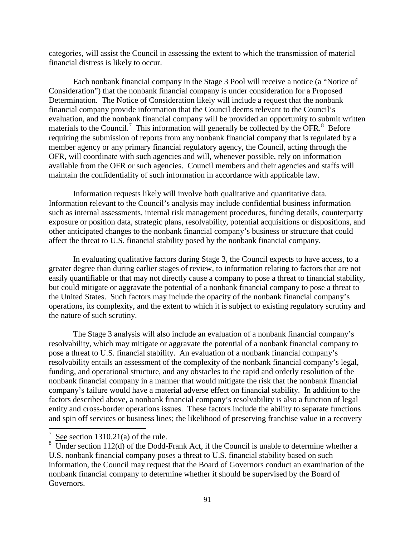categories, will assist the Council in assessing the extent to which the transmission of material financial distress is likely to occur.

Each nonbank financial company in the Stage 3 Pool will receive a notice (a "Notice of Consideration") that the nonbank financial company is under consideration for a Proposed Determination. The Notice of Consideration likely will include a request that the nonbank financial company provide information that the Council deems relevant to the Council's evaluation, and the nonbank financial company will be provided an opportunity to submit written materials to the Council.<sup>[7](#page-87-0)</sup> This information will generally be collected by the OFR.<sup>[8](#page-90-0)</sup> Before requiring the submission of reports from any nonbank financial company that is regulated by a member agency or any primary financial regulatory agency, the Council, acting through the OFR, will coordinate with such agencies and will, whenever possible, rely on information available from the OFR or such agencies. Council members and their agencies and staffs will maintain the confidentiality of such information in accordance with applicable law.

Information requests likely will involve both qualitative and quantitative data. Information relevant to the Council's analysis may include confidential business information such as internal assessments, internal risk management procedures, funding details, counterparty exposure or position data, strategic plans, resolvability, potential acquisitions or dispositions, and other anticipated changes to the nonbank financial company's business or structure that could affect the threat to U.S. financial stability posed by the nonbank financial company.

In evaluating qualitative factors during Stage 3, the Council expects to have access, to a greater degree than during earlier stages of review, to information relating to factors that are not easily quantifiable or that may not directly cause a company to pose a threat to financial stability, but could mitigate or aggravate the potential of a nonbank financial company to pose a threat to the United States. Such factors may include the opacity of the nonbank financial company's operations, its complexity, and the extent to which it is subject to existing regulatory scrutiny and the nature of such scrutiny.

The Stage 3 analysis will also include an evaluation of a nonbank financial company's resolvability, which may mitigate or aggravate the potential of a nonbank financial company to pose a threat to U.S. financial stability. An evaluation of a nonbank financial company's resolvability entails an assessment of the complexity of the nonbank financial company's legal, funding, and operational structure, and any obstacles to the rapid and orderly resolution of the nonbank financial company in a manner that would mitigate the risk that the nonbank financial company's failure would have a material adverse effect on financial stability. In addition to the factors described above, a nonbank financial company's resolvability is also a function of legal entity and cross-border operations issues. These factors include the ability to separate functions and spin off services or business lines; the likelihood of preserving franchise value in a recovery

<sup>7</sup> See section 1310.21(a) of the rule.

<span id="page-90-1"></span><span id="page-90-0"></span><sup>&</sup>lt;sup>8</sup> Under section 112(d) of the Dodd-Frank Act, if the Council is unable to determine whether a U.S. nonbank financial company poses a threat to U.S. financial stability based on such information, the Council may request that the Board of Governors conduct an examination of the nonbank financial company to determine whether it should be supervised by the Board of Governors.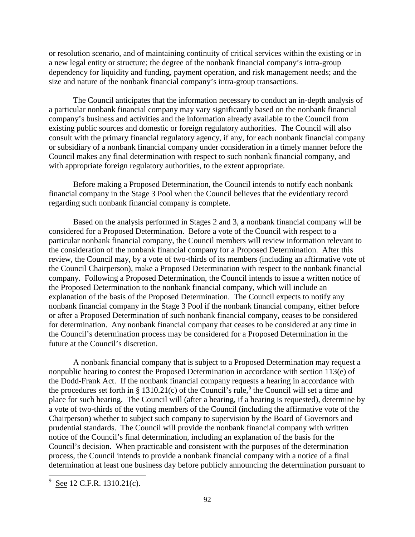or resolution scenario, and of maintaining continuity of critical services within the existing or in a new legal entity or structure; the degree of the nonbank financial company's intra-group dependency for liquidity and funding, payment operation, and risk management needs; and the size and nature of the nonbank financial company's intra-group transactions.

The Council anticipates that the information necessary to conduct an in-depth analysis of a particular nonbank financial company may vary significantly based on the nonbank financial company's business and activities and the information already available to the Council from existing public sources and domestic or foreign regulatory authorities. The Council will also consult with the primary financial regulatory agency, if any, for each nonbank financial company or subsidiary of a nonbank financial company under consideration in a timely manner before the Council makes any final determination with respect to such nonbank financial company, and with appropriate foreign regulatory authorities, to the extent appropriate.

Before making a Proposed Determination, the Council intends to notify each nonbank financial company in the Stage 3 Pool when the Council believes that the evidentiary record regarding such nonbank financial company is complete.

Based on the analysis performed in Stages 2 and 3, a nonbank financial company will be considered for a Proposed Determination. Before a vote of the Council with respect to a particular nonbank financial company, the Council members will review information relevant to the consideration of the nonbank financial company for a Proposed Determination. After this review, the Council may, by a vote of two-thirds of its members (including an affirmative vote of the Council Chairperson), make a Proposed Determination with respect to the nonbank financial company. Following a Proposed Determination, the Council intends to issue a written notice of the Proposed Determination to the nonbank financial company, which will include an explanation of the basis of the Proposed Determination. The Council expects to notify any nonbank financial company in the Stage 3 Pool if the nonbank financial company, either before or after a Proposed Determination of such nonbank financial company, ceases to be considered for determination. Any nonbank financial company that ceases to be considered at any time in the Council's determination process may be considered for a Proposed Determination in the future at the Council's discretion.

A nonbank financial company that is subject to a Proposed Determination may request a nonpublic hearing to contest the Proposed Determination in accordance with section 113(e) of the Dodd-Frank Act. If the nonbank financial company requests a hearing in accordance with the procedures set forth in § 1310.21(c) of the Council's rule,<sup>[9](#page-90-1)</sup> the Council will set a time and place for such hearing. The Council will (after a hearing, if a hearing is requested), determine by a vote of two-thirds of the voting members of the Council (including the affirmative vote of the Chairperson) whether to subject such company to supervision by the Board of Governors and prudential standards. The Council will provide the nonbank financial company with written notice of the Council's final determination, including an explanation of the basis for the Council's decision. When practicable and consistent with the purposes of the determination process, the Council intends to provide a nonbank financial company with a notice of a final determination at least one business day before publicly announcing the determination pursuant to

<span id="page-91-0"></span> $9 \text{ See } 12 \text{ C.F.R. } 1310.21 \text{(c)}$ .